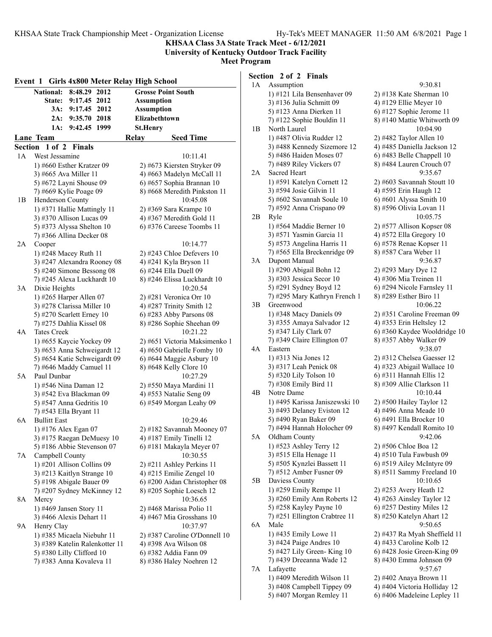**KHSAA Class 3A State Track Meet - 6/12/2021**

### **University of Kentucky Outdoor Track Facility Meet Program**

| Event 1 Girls 4x800 Meter Relay High School |                                                        |              |      |                   |                                                           |
|---------------------------------------------|--------------------------------------------------------|--------------|------|-------------------|-----------------------------------------------------------|
|                                             | <b>National:</b>                                       | 8:48.29      | 2012 |                   | <b>Grosse Point South</b>                                 |
|                                             | <b>State:</b>                                          | 9:17.45 2012 |      | <b>Assumption</b> |                                                           |
|                                             | 3A:                                                    | 9:17.45      | 2012 | <b>Assumption</b> |                                                           |
|                                             | 2A:                                                    | 9:35.70      | 2018 | Elizabethtown     |                                                           |
|                                             | 1A:                                                    | 9:42.45      | 1999 | <b>St.Henry</b>   |                                                           |
|                                             | <b>Lane Team</b>                                       |              |      | Relay             | <b>Seed Time</b>                                          |
|                                             | Section 1 of 2 Finals                                  |              |      |                   |                                                           |
| 1А                                          | West Jessamine                                         |              |      |                   | 10:11.41                                                  |
|                                             | 1) #660 Esther Kratzer 09                              |              |      |                   | 2) #673 Kiersten Stryker 09                               |
|                                             | 3) #665 Ava Miller 11                                  |              |      |                   | 4) #663 Madelyn McCall 11                                 |
|                                             | 5) #672 Layni Shouse 09                                |              |      |                   | 6) #657 Sophia Brannan 10                                 |
|                                             | 7) #669 Kylie Poage 09                                 |              |      |                   | 8) #668 Meredith Pinkston 11                              |
| 1В                                          | Henderson County                                       |              |      |                   | 10:45.08                                                  |
|                                             | 1) #371 Hallie Mattingly 11                            |              |      |                   | 2) #369 Sara Krampe 10                                    |
|                                             | 3) #370 Allison Lucas 09                               |              |      |                   | 4) #367 Meredith Gold 11                                  |
|                                             | 5) #373 Alyssa Shelton 10                              |              |      |                   | $(6)$ #376 Careese Toombs 11                              |
|                                             | 7) #366 Allina Decker 08                               |              |      |                   |                                                           |
| 2A                                          | Cooper                                                 |              |      |                   | 10:14.77                                                  |
|                                             | 1) #248 Macey Ruth 11                                  |              |      |                   | 2) #243 Chloe Defevers 10                                 |
|                                             | 3) #247 Alexandra Rooney 08                            |              |      |                   | 4) #241 Kyla Bryson 11                                    |
|                                             | 5) #240 Simone Bessong 08                              |              |      |                   | 6) #244 Ella Duell 09                                     |
|                                             | 7) #245 Alexa Luckhardt 10                             |              |      |                   | 8) #246 Elissa Luckhardt 10                               |
| 3A                                          | Dixie Heights                                          |              |      |                   | 10:20.54                                                  |
|                                             | 1) #265 Harper Allen 07                                |              |      |                   | 2) #281 Veronica Orr 10                                   |
|                                             | 3) #278 Clarissa Miller 10                             |              |      |                   | 4) #287 Trinity Smith 12                                  |
|                                             | 5) #270 Scarlett Erney 10                              |              |      |                   | $6)$ #283 Abby Parsons 08                                 |
|                                             | 7) #275 Dahlia Kissel 08                               |              |      |                   | 8) #286 Sophie Sheehan 09                                 |
| 4A                                          | <b>Tates Creek</b>                                     |              |      |                   | 10:21.22                                                  |
|                                             | 1) #655 Kaycie Yockey 09                               |              |      |                   | 2) #651 Victoria Maksimenko 1                             |
|                                             | 3) #653 Anna Schweigardt 12                            |              |      |                   | 4) #650 Gabrielle Fomby 10                                |
|                                             | 5) #654 Katie Schweigardt 09                           |              |      |                   | 6) #644 Maggie Asbury 10                                  |
|                                             | 7) #646 Maddy Camuel 11                                |              |      |                   | 8) #648 Kelly Clore 10                                    |
| 5A                                          | Paul Dunbar                                            |              |      |                   | 10:27.29                                                  |
|                                             | 1) #546 Nina Daman 12                                  |              |      |                   | 2) #550 Maya Mardini 11                                   |
|                                             | 3) #542 Eva Blackman 09                                |              |      |                   | 4) #553 Natalie Seng 09                                   |
|                                             | 5) #547 Anna Gedritis 10                               |              |      |                   | 6) #549 Morgan Leahy 09                                   |
|                                             | 7) #543 Ella Bryant 11                                 |              |      |                   |                                                           |
| 6A                                          | <b>Bullitt East</b>                                    |              |      |                   | 10:29.46                                                  |
|                                             | 1) #176 Alex Egan 07                                   |              |      |                   | 2) #182 Savannah Mooney 07                                |
|                                             | 3) #175 Raegan DeMuesy 10                              |              |      |                   | 4) #187 Emily Tinelli 12                                  |
|                                             | 5) #186 Abbie Stevenson 07                             |              |      |                   | 6) #181 Makayla Meyer 07<br>10:30.55                      |
| 7A                                          | Campbell County                                        |              |      |                   |                                                           |
|                                             | 1) #201 Allison Collins 09                             |              |      |                   | $2)$ #211 Ashley Perkins 11<br>4) #215 Emilie Zengel $10$ |
|                                             | 3) #213 Kaitlyn Strange 10<br>5) #198 Abigale Bauer 09 |              |      |                   | 6) #200 Aidan Christopher 08                              |
|                                             | 7) #207 Sydney McKinney 12                             |              |      |                   | 8) #205 Sophie Loesch 12                                  |
| 8A                                          | Mercy                                                  |              |      |                   | 10:36.65                                                  |
|                                             | 1) #469 Jansen Story 11                                |              |      |                   | 2) #468 Marissa Polio 11                                  |
|                                             | 3) #466 Alexis Dehart 11                               |              |      |                   | 4) #467 Mia Grosshans 10                                  |
| 9А                                          | Henry Clay                                             |              |      |                   | 10:37.97                                                  |
|                                             | 1) #385 Micaela Niebuhr 11                             |              |      |                   | 2) #387 Caroline O'Donnell 10                             |
|                                             | 3) #389 Katelin Ralenkotter 11                         |              |      |                   | 4) #398 Ava Wilson 08                                     |
|                                             | 5) #380 Lilly Clifford 10                              |              |      |                   | 6) #382 Addia Fann 09                                     |
|                                             | 7) #383 Anna Kovaleva 11                               |              |      |                   | 8) #386 Haley Noehren 12                                  |
|                                             |                                                        |              |      |                   |                                                           |

# **Section 2 of 2 Finals**

| 1А | Assumption                                      | 9:30.81                                               |
|----|-------------------------------------------------|-------------------------------------------------------|
|    | 1) #121 Lila Bensenhaver 09                     | 2) #138 Kate Sherman 10                               |
|    | 3) #136 Julia Schmitt 09                        | 4) #129 Ellie Meyer 10                                |
|    | 5) #123 Anna Dierken 11                         | 6) #127 Sophie Jerome 11                              |
|    | 7) #122 Sophie Bouldin 11                       | 8) #140 Mattie Whitworth 09                           |
| 1В | North Laurel                                    | 10:04.90                                              |
|    | 1) #487 Olivia Rudder 12                        | 2) #482 Taylor Allen 10                               |
|    | 3) #488 Kennedy Sizemore 12                     | 4) #485 Daniella Jackson 12                           |
|    | 5) #486 Haiden Moses 07                         | 6) #483 Belle Chappell 10                             |
|    | 7) #489 Riley Vickers 07                        | 8) #484 Lauren Crouch 07                              |
| 2A | Sacred Heart                                    | 9:35.67                                               |
|    | 1) #591 Katelyn Cornett 12                      | 2) #603 Savannah Stoutt 10                            |
|    | 3) #594 Josie Gilvin 11                         | 4) #595 Erin Haugh 12                                 |
|    | 5) #602 Savannah Soule 10                       | 6) #601 Alyssa Smith 10                               |
|    | 7) #592 Anna Crispano 09                        | 8) #596 Olivia Lovan 11                               |
| 2В | Ryle                                            | 10:05.75                                              |
|    | 1) #564 Maddie Berner 10                        | 2) #577 Allison Kopser 08                             |
|    | 3) #571 Yasmin Garcia 11                        | 4) #572 Ella Gregory 10                               |
|    | 5) #573 Angelina Harris 11                      | 6) #578 Renae Kopser 11                               |
|    | 7) #565 Ella Breckenridge 09                    | 8) #587 Cara Weber 11                                 |
| 3А | Dupont Manual                                   | 9:36.87                                               |
|    | 1) #290 Abigail Bohn 12                         | 2) #293 Mary Dye 12                                   |
|    | 3) #303 Jessica Secor $10$                      | 4) #306 Mia Treinen 11                                |
|    | 5) #291 Sydney Boyd 12                          | 6) #294 Nicole Farnsley 11                            |
|    | 7) #295 Mary Kathryn French 1                   | 8) #289 Esther Biro 11                                |
| 3B | Greenwood                                       | 10:06.22                                              |
|    | 1) #348 Macy Daniels 09                         | 2) #351 Caroline Freeman 09                           |
|    | 3) #355 Amaya Salvador 12                       | 4) #353 Erin Heltsley 12                              |
|    | 5) #347 Lily Clark 07                           | 6) #360 Kaydee Wooldridge 10                          |
|    | 7) #349 Claire Ellington 07                     | 8) #357 Abby Walker 09                                |
| 4Α | Eastern                                         | 9:38.07                                               |
|    | 1) #313 Nia Jones 12                            | 2) #312 Chelsea Gaesser 12                            |
|    | 3) #317 Leah Penick 08                          | 4) #323 Abigail Wallace 10<br>6) #311 Hannah Ellis 12 |
|    | 5) #320 Lily Tolson 10<br>7) #308 Emily Bird 11 | 8) #309 Allie Clarkson 11                             |
| 4B | Notre Dame                                      | 10:10.44                                              |
|    | 1) #495 Karissa Janiszewski 10                  | 2) #500 Hailey Taylor 12                              |
|    | 3) #493 Delaney Eviston 12                      | 4) #496 Anna Meade 10                                 |
|    | 5) #490 Ryan Baker 09                           | 6) #491 Ella Brocker 10                               |
|    | 7) #494 Hannah Holocher 09                      | 8) #497 Kendall Romito 10                             |
| 5Α | Oldham County                                   | 9:42.06                                               |
|    | 1) #523 Ashley Terry 12                         | 2) #506 Chloe Boa 12                                  |
|    | 3) #515 Ella Henage 11                          | 4) #510 Tula Fawbush 09                               |
|    | 5) #505 Kynzlei Bassett 11                      | 6) #519 Ailey McIntyre 09                             |
|    | 7) #512 Amber Fusner 09                         | 8) #511 Sammy Freeland 10                             |
| 5Β | Daviess County                                  | 10:10.65                                              |
|    | 1) #259 Emily Rempe 11                          | 2) #253 Avery Heath 12                                |
|    | 3) #260 Emily Ann Roberts 12                    | 4) #263 Ainsley Taylor 12                             |
|    | 5) #258 Kayley Payne 10                         | $6)$ #257 Destiny Miles 12                            |
|    | 7) #251 Ellington Crabtree 11                   | 8) #250 Katelyn Ahart 12                              |
| 6A | Male                                            | 9:50.65                                               |
|    | 1) #435 Emily Lowe 11                           | 2) #437 Ra Myah Sheffield 11                          |
|    | 3) #424 Paige Andres 10                         | 4) #433 Caroline Kolb 12                              |
|    | 5) #427 Lily Green- King 10                     | 6) #428 Josie Green-King 09                           |
|    | 7) #439 Dreeanna Wade 12                        | 8) #430 Emma Johnson 09                               |
| 7Α | Lafayette                                       | 9:57.67                                               |
|    | 1) #409 Meredith Wilson 11                      | 2) #402 Anaya Brown 11                                |
|    | 3) #408 Campbell Tippey 09                      | 4) #404 Victoria Holliday 12                          |
|    | 5) #407 Morgan Remley 11                        | 6) #406 Madeleine Lepley 11                           |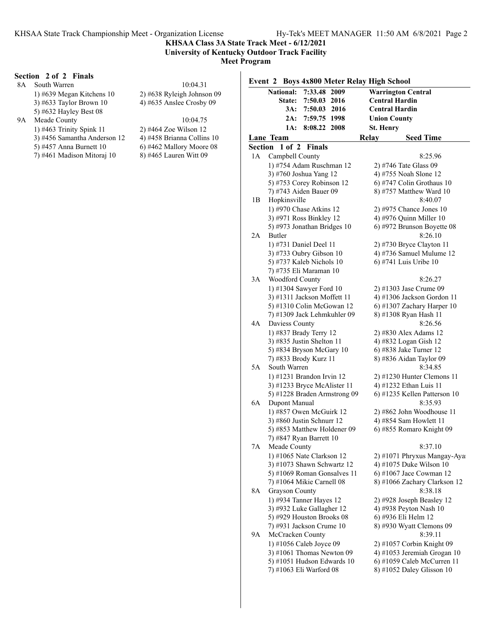**KHSAA Class 3A State Track Meet - 6/12/2021 University of Kentucky Outdoor Track Facility**

**Meet Program**

### **Section 2 of 2 Finals**

|    | Section 2 of 2 Finals        |                              |               |
|----|------------------------------|------------------------------|---------------|
| 8A | South Warren                 | 10:04.31                     | Event $2$ B   |
|    | 1) #639 Megan Kitchens $10$  | $2)$ #638 Ryleigh Johnson 09 | <b>Nation</b> |
|    | 3) #633 Taylor Brown $10$    | 4) #635 Anslee Crosby $09$   | Sta           |
|    | 5) #632 Hayley Best 08       |                              | 3             |
| 9Α | Meade County                 | 10:04.75                     | $\mathbf{2}$  |
|    | 1) #463 Trinity Spink $11$   | 2) #464 Zoe Wilson 12        |               |
|    | 3) #456 Samantha Anderson 12 | 4) #458 Brianna Collins 10   | Lane Team     |
|    | 5) #457 Anna Burnett 10      | $(6)$ #462 Mallory Moore 08  | Section 1 o   |
|    | 7) #461 Madison Mitoraj 10   | 8) #465 Lauren Witt 09       | Campb<br>1A   |
|    |                              |                              | 1) #754       |
|    |                              |                              | $3)$ #760     |

| Event 2 Boys 4x800 Meter Relay High School |                                                        |                                                    |  |
|--------------------------------------------|--------------------------------------------------------|----------------------------------------------------|--|
|                                            | <b>National:</b><br>7:33.48 2009                       | <b>Warrington Central</b>                          |  |
|                                            | State:<br>7:50.03<br>2016                              | <b>Central Hardin</b>                              |  |
|                                            | 7:50.03 2016<br>3A:                                    | <b>Central Hardin</b>                              |  |
|                                            | 2A:<br>7:59.75 1998                                    | <b>Union County</b>                                |  |
|                                            | 1A:<br>8:08.22 2008                                    | St. Henry                                          |  |
|                                            | Lane Team                                              | Relay<br><b>Seed Time</b>                          |  |
|                                            | Section 1 of 2 Finals                                  |                                                    |  |
| 1A                                         | Campbell County                                        | 8:25.96                                            |  |
|                                            | 1) #754 Adam Ruschman 12                               | 2) #746 Tate Glass 09                              |  |
|                                            | 3) #760 Joshua Yang 12                                 | 4) #755 Noah Slone 12                              |  |
|                                            | 5) #753 Corey Robinson 12                              | 6) #747 Colin Grothaus 10                          |  |
|                                            | 7) #743 Aiden Bauer 09                                 | 8) #757 Matthew Ward 10                            |  |
| 1В                                         | Hopkinsville                                           | 8:40.07                                            |  |
|                                            | 1) #970 Chase Atkins 12                                | $2)$ #975 Chance Jones 10                          |  |
|                                            | 3) #971 Ross Binkley 12                                | 4) #976 Quinn Miller 10                            |  |
|                                            | 5) #973 Jonathan Bridges 10                            | 6) #972 Brunson Boyette 08                         |  |
| 2A                                         | Butler                                                 | 8:26.10                                            |  |
|                                            | 1) #731 Daniel Deel 11                                 | 2) #730 Bryce Clayton 11                           |  |
|                                            | 3) #733 Oubry Gibson 10                                | 4) #736 Samuel Mulume 12                           |  |
|                                            | 5) #737 Kaleb Nichols 10                               | 6) #741 Luis Uribe 10                              |  |
|                                            | 7) #735 Eli Maraman 10                                 |                                                    |  |
| 3A                                         | Woodford County                                        | 8:26.27                                            |  |
|                                            | 1) #1304 Sawyer Ford 10                                | 2) #1303 Jase Crume 09                             |  |
|                                            | 3) #1311 Jackson Moffett 11                            | 4) #1306 Jackson Gordon 11                         |  |
|                                            | 5) #1310 Colin McGowan 12                              | 6) #1307 Zachary Harper $10$                       |  |
|                                            | 7) #1309 Jack Lehmkuhler 09                            | 8) #1308 Ryan Hash 11                              |  |
| 4Α                                         | Daviess County                                         | 8:26.56                                            |  |
|                                            | 1) #837 Brady Terry 12                                 | 2) #830 Alex Adams 12                              |  |
|                                            | 3) #835 Justin Shelton 11                              | 4) #832 Logan Gish 12                              |  |
|                                            | 5) #834 Bryson McGary 10                               | 6) #838 Jake Turner 12                             |  |
|                                            | 7) #833 Brody Kurz 11                                  | 8) #836 Aidan Taylor 09                            |  |
| 5Α                                         | South Warren                                           | 8:34.85                                            |  |
|                                            | 1) #1231 Brandon Irvin 12                              | $2)$ #1230 Hunter Clemons 11                       |  |
|                                            | 3) #1233 Bryce McAlister 11                            | 4) #1232 Ethan Luis 11                             |  |
|                                            | 5) #1228 Braden Armstrong 09                           | 6) #1235 Kellen Patterson 10                       |  |
| 6A                                         | Dupont Manual                                          | 8:35.93                                            |  |
|                                            | 1) #857 Owen McGuirk 12<br>3) #860 Justin Schnurr 12   | 2) #862 John Woodhouse 11                          |  |
|                                            |                                                        | 4) #854 Sam Howlett 11<br>6) #855 Romaro Knight 09 |  |
|                                            | 5) #853 Matthew Holdener 09<br>7) #847 Ryan Barrett 10 |                                                    |  |
| 7A                                         | Meade County                                           | 8:37.10                                            |  |
|                                            | 1) #1065 Nate Clarkson 12                              | 2) #1071 Phryxus Mangay-Aya                        |  |
|                                            | 3) #1073 Shawn Schwartz 12                             | 4) #1075 Duke Wilson 10                            |  |
|                                            | 5) #1069 Roman Gonsalves 11                            | 6) #1067 Jace Cowman 12                            |  |
|                                            | 7) #1064 Mikie Carnell 08                              | 8) #1066 Zachary Clarkson 12                       |  |
| 8А                                         | <b>Grayson County</b>                                  | 8:38.18                                            |  |
|                                            | 1) #934 Tanner Hayes 12                                | 2) #928 Joseph Beasley 12                          |  |
|                                            | 3) #932 Luke Gallagher 12                              | 4) #938 Peyton Nash 10                             |  |
|                                            | 5) #929 Houston Brooks 08                              | 6) #936 Eli Helm 12                                |  |
|                                            | 7) #931 Jackson Crume 10                               | 8) #930 Wyatt Clemons 09                           |  |
| 9A                                         | McCracken County                                       | 8:39.11                                            |  |
|                                            | 1) #1056 Caleb Joyce 09                                | 2) #1057 Corbin Knight 09                          |  |
|                                            | $3)$ #1061 Thomas Newton 09                            | 4) #1053 Jeremiah Grogan 10                        |  |
|                                            | 5) #1051 Hudson Edwards 10                             | $(6)$ #1059 Caleb McCurren 11                      |  |
|                                            | 7) #1063 Eli Warford 08                                | 8) #1052 Daley Glisson 10                          |  |
|                                            |                                                        |                                                    |  |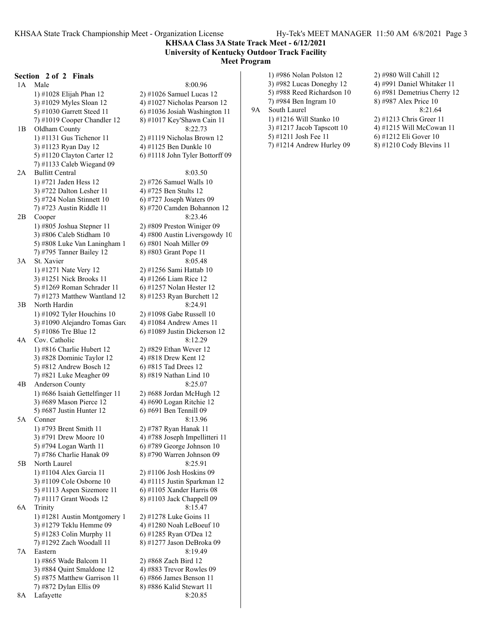### **KHSAA Class 3A State Track Meet - 6/12/2021 University of Kentucky Outdoor Track Facility Meet Program**

#### **Section 2 of 2 Finals**

1A Male 8:00.96 1) #1028 Elijah Phan 12 2) #1026 Samuel Lucas 12 3) #1029 Myles Sloan 12  $(4)$  #1027 Nicholas Pearson 12 5) #1030 Garrett Steed 11  $\qquad$  6) #1036 Josiah Washington 11 7) #1019 Cooper Chandler 12  $8$ ) #1017 Key'Shawn Cain 11 1B Oldham County 8:22.73 1) #1131 Gus Tichenor 11 2) #1119 Nicholas Brown 12 3) #1123 Ryan Day 12 4) #1125 Ben Dunkle 10 7) #1133 Caleb Wiegand 09 2A Bullitt Central 8:03.50 1) #721 Jaden Hess 12 2) #726 Samuel Walls 10 3) #722 Dalton Lesher 11 4) #725 Ben Stults 12 5) #724 Nolan Stinnett 10 6) #727 Joseph Waters 09 7) #723 Austin Riddle 11 8) #720 Camden Bohannon 12 2B Cooper 8:23.46 1) #805 Joshua Stepner 11 2) #809 Preston Winiger 09 5) #808 Luke Van Laningham  $1$  6) #801 Noah Miller 09 7) #795 Tanner Bailey 12 8) #803 Grant Pope 11 3A St. Xavier 8:05.48 1) #1271 Nate Very 12 2) #1256 Sami Hattab 10 3) #1251 Nick Brooks 11 4) #1266 Liam Rice 12 5) #1269 Roman Schrader 11 6) #1257 Nolan Hester 12 7) #1273 Matthew Wantland 12 8) #1253 Ryan Burchett 12 3B North Hardin 8:24.91 1) #1092 Tyler Houchins 10 2) #1098 Gabe Russell 10 3) #1090 Alejandro Tomas Garc  $4$ ) #1084 Andrew Ames 11 5) #1086 Tre Blue 12 6) #1089 Justin Dickerson 12 4A Cov. Catholic 8:12.29 1) #816 Charlie Hubert 12 2) #829 Ethan Wever 12 3) #828 Dominic Taylor 12 4) #818 Drew Kent 12 5) #812 Andrew Bosch 12 6) #815 Tad Drees 12 7) #821 Luke Meagher 09 8) #819 Nathan Lind 10 4B Anderson County 8:25.07 1) #686 Isaiah Gettelfinger 11  $\qquad$  2) #688 Jordan McHugh 12 3) #689 Mason Pierce 12 4) #690 Logan Ritchie 12 5) #687 Justin Hunter 12 6) #691 Ben Tennill 09 5A Conner 8:13.96 1) #793 Brent Smith 11 2) #787 Ryan Hanak 11 3) #791 Drew Moore 10  $\qquad$  4) #788 Joseph Impellitteri 11 5) #794 Logan Warth 11 6) #789 George Johnson 10 7) #786 Charlie Hanak 09 8) #790 Warren Johnson 09 5B North Laurel 8:25.91 1) #1104 Alex Garcia 11 2) #1106 Josh Hoskins 09 3) #1109 Cole Osborne 10 4) #1115 Justin Sparkman 12 5) #1113 Aspen Sizemore 11  $\qquad$  6) #1105 Xander Harris 08 7) #1117 Grant Woods 12 8) #1103 Jack Chappell 09 6A Trinity 8:15.47 1) #1281 Austin Montgomery 1 2) #1278 Luke Goins 11 3) #1279 Teklu Hemme 09 4) #1280 Noah LeBoeuf 10 5) #1283 Colin Murphy 11 6) #1285 Ryan O'Dea 12 7) #1292 Zach Woodall 11 8) #1277 Jason DeBroka 09 7A Eastern 8:19.49 1) #865 Wade Balcom 11 2) #868 Zach Bird 12 3) #884 Ouint Smaldone 12 4) #883 Trevor Rowles 09 5) #875 Matthew Garrison 11  $\qquad$  6) #866 James Benson 11 7) #872 Dylan Ellis 09 8) #886 Kalid Stewart 11

5) #1120 Clayton Carter 12 6) #1118 John Tyler Bottorff 09 3) #806 Caleb Stidham 10  $\qquad$  4) #800 Austin Liversgowdy 10 8A Lafayette 8:20.85

3) #982 Lucas Doneghy 12 4) #991 Daniel Whitaker 11 5) #988 Reed Richardson 10 6) #981 Demetrius Cherry 12 7) #984 Ben Ingram 10 8) #987 Alex Price 10 9A South Laurel 8:21.64 1) #1216 Will Stanko 10 2) #1213 Chris Greer 11 3) #1217 Jacob Tapscott 10  $\qquad$  4) #1215 Will McCowan 11 5) #1211 Josh Fee 11 6) #1212 Eli Gover 10 7) #1214 Andrew Hurley 09 8) #1210 Cody Blevins 11

1) #986 Nolan Polston 12 2) #980 Will Cahill 12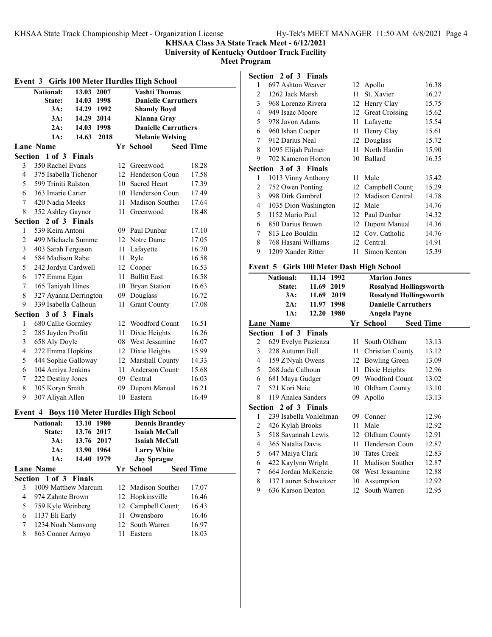**KHSAA Class 3A State Track Meet - 6/12/2021**

**University of Kentucky Outdoor Track Facility**

**Meet Program**

|                | Event 3 Girls 100 Meter Hurdles High School |               |      |      |                                            |                  |
|----------------|---------------------------------------------|---------------|------|------|--------------------------------------------|------------------|
|                | <b>National:</b>                            | 13.03 2007    |      |      | <b>Vashti Thomas</b>                       |                  |
|                | State:                                      | 14.03 1998    |      |      | <b>Danielle Carruthers</b>                 |                  |
|                | 3A:                                         | 14.29 1992    |      |      | <b>Shandy Boyd</b>                         |                  |
|                | 3A:                                         | 14.29 2014    |      |      | Kianna Gray                                |                  |
|                | 2A:                                         | 14.03 1998    |      |      | <b>Danielle Carruthers</b>                 |                  |
|                | 1A:                                         | 14.63         | 2018 |      | <b>Melanie Welsing</b>                     |                  |
|                | <b>Lane Name</b>                            |               |      |      | Yr School                                  | <b>Seed Time</b> |
| Section        | $1$ of $3$                                  | <b>Finals</b> |      |      |                                            |                  |
| 3              | 350 Rachel Evans                            |               |      |      | 12 Greenwood                               | 18.28            |
| 4              | 375 Isabella Tichenor                       |               |      |      | 12 Henderson Coun                          | 17.58            |
| 5              | 599 Triniti Ralston                         |               |      |      | 10 Sacred Heart                            | 17.39            |
| 6              | 363 Imarie Carter                           |               |      |      | 10 Henderson Coun                          | 17.49            |
| 7              | 420 Nadia Meeks                             |               |      |      | 11 Madison Souther                         | 17.64            |
| 8              | 352 Ashley Gaynor                           |               |      | 11 - | Greenwood                                  | 18.48            |
| Section        |                                             | 2 of 3 Finals |      |      |                                            |                  |
| 1              | 539 Keira Antoni                            |               |      |      | 09 Paul Dunbar                             | 17.10            |
| $\overline{c}$ | 499 Michaela Summe                          |               |      |      | 12 Notre Dame                              | 17.05            |
| 3              | 403 Sarah Ferguson                          |               |      |      | 11 Lafayette                               | 16.70            |
| $\overline{4}$ | 584 Madison Rabe                            |               |      |      | 11 Ryle                                    | 16.58            |
| 5              | 242 Jordyn Cardwell                         |               |      |      | 12 Cooper                                  | 16.53            |
| 6              | 177 Emma Egan                               |               |      |      | 11 Bullitt East                            | 16.58            |
| 7              | 165 Taniyah Hines                           |               |      |      | 10 Bryan Station                           | 16.63            |
| $\,$ $\,$      | 327 Ayanna Derrington                       |               |      |      | 09 Douglass                                | 16.72            |
| 9              | 339 Isabella Calhoun                        |               |      | 11   | <b>Grant County</b>                        | 17.08            |
|                | Section 3 of 3 Finals                       |               |      |      |                                            |                  |
| 1              | 680 Callie Gormley                          |               |      |      | 12 Woodford Count                          | 16.51            |
| $\overline{c}$ | 285 Jayden Profitt                          |               |      |      | 11 Dixie Heights                           | 16.26            |
| 3              | 658 Aly Doyle                               |               |      |      | 08 West Jessamine                          | 16.07            |
| 4              | 272 Emma Hopkins                            |               |      |      | 12 Dixie Heights                           | 15.99            |
| 5              | 444 Sophie Galloway                         |               |      |      | 12 Marshall County                         | 14.33            |
| 6              | 104 Amiya Jenkins                           |               |      |      | 11 Anderson Count                          | 15.68            |
| 7              | 222 Destiny Jones                           |               |      |      | 09 Central                                 | 16.03            |
| $\,$ $\,$      | 305 Koryn Smith                             |               |      |      | 09 Dupont Manual                           | 16.21            |
| 9              | 307 Aliyah Allen                            |               |      | 10   | Eastern                                    | 16.49            |
|                |                                             |               |      |      |                                            |                  |
|                |                                             |               |      |      | Event 4 Boys 110 Meter Hurdles High School |                  |
|                | <b>National:</b>                            | 13.10         | 1980 |      | <b>Dennis Brantley</b>                     |                  |
|                | State:                                      | 13.76 2017    |      |      | <b>Isaiah McCall</b>                       |                  |
|                | 3A:                                         | 13.76         | 2017 |      | Isaiah McCall                              |                  |
|                | $2A$ :                                      | 13.90         | 1964 |      | <b>Larry White</b>                         |                  |
|                | $1A$ :                                      | 14.40         | 1979 |      | <b>Jay Sprague</b>                         |                  |
|                | <b>Lane Name</b>                            |               |      |      | Yr School                                  | <b>Seed Time</b> |
| Section        | $1$ of $3$                                  | <b>Finals</b> |      |      |                                            |                  |
| 3              | 1009 Matthew Marcum                         |               |      |      | 12 Madison Souther                         | 17.07            |
| 4              | 974 Zahnte Brown                            |               |      |      | 12 Hopkinsville                            | 16.46            |
| 5              | 759 Kyle Weinberg                           |               |      |      | 12 Campbell Count                          | 16.43            |
| 6              | 1137 Eli Early                              |               |      | 11 - | Owensboro                                  | 16.46            |
| 7              | 1234 Noah Namvong                           |               |      |      | 12 South Warren                            | 16.97            |
| 8              | 863 Conner Arroyo                           |               |      | 11   | Eastern                                    | 18.03            |
|                |                                             |               |      |      |                                            |                  |

### **Section 2 of 3 Finals**

| 1 | 697 Ashton Weaver            |     | 12 Apollo             | 16.38 |
|---|------------------------------|-----|-----------------------|-------|
| 2 | 1262 Jack Marsh              | 11  | St. Xavier            | 16.27 |
| 3 | 968 Lorenzo Rivera           | 12  | Henry Clay            | 15.75 |
| 4 | 949 Isaac Moore              | 12  | <b>Great Crossing</b> | 15.62 |
| 5 | 978 Javon Adams              | 11  | Lafayette             | 15.54 |
| 6 | 960 Ishan Cooper             | 11  | Henry Clay            | 15.61 |
| 7 | 912 Darius Neal              |     | 12 Douglass           | 15.72 |
| 8 | 1095 Elijah Palmer           | 11  | North Hardin          | 15.90 |
| 9 | 702 Kameron Horton           | 10  | Ballard               | 16.35 |
|   | <b>Section 3 of 3 Finals</b> |     |                       |       |
| 1 | 1013 Vinny Anthony           | 11  | Male                  | 15.42 |
| 2 | 752 Owen Ponting             | 12  | Campbell Count        | 15.29 |
|   |                              |     |                       |       |
| 3 | 998 Dirk Gambrel             | 12. | Madison Central       | 14.78 |
| 4 | 1035 Dion Washington         | 12  | Male                  | 14.76 |
| 5 | 1152 Mario Paul              | 12. | Paul Dunbar           | 14.32 |
| 6 | 850 Darius Brown             | 12  | Dupont Manual         | 14.36 |
| 7 | 813 Leo Bouldin              | 12  | Cov. Catholic         | 14.76 |
| 8 | 768 Hasani Williams          |     | 12 Central            | 14.91 |
| 9 | 1209 Xander Ritter           | 11  | Simon Kenton          | 15.39 |

### **Event 5 Girls 100 Meter Dash High School**

|                | <b>National:</b>       | 11.14 1992     |  | <b>Marion Jones</b>           |                  |
|----------------|------------------------|----------------|--|-------------------------------|------------------|
|                | State:                 | 11.69 2019     |  | <b>Rosalynd Hollingsworth</b> |                  |
|                | 3A:                    | 11.69 2019     |  | <b>Rosalynd Hollingsworth</b> |                  |
|                |                        | 2A: 11.97 1998 |  | <b>Danielle Carruthers</b>    |                  |
|                | 1A:                    | 12.20 1980     |  | <b>Angela Payne</b>           |                  |
|                | Lane Name              |                |  | Yr School                     | <b>Seed Time</b> |
|                | Section 1 of 3 Finals  |                |  |                               |                  |
|                |                        |                |  |                               |                  |
| 2              | 629 Evelyn Pazienza    |                |  | 11 South Oldham               | 13.13            |
| 3              | 228 Autumn Bell        |                |  | 11 Christian County           | 13.12            |
| 4              | 159 Z'Nyah Owens       |                |  | 12 Bowling Green              | 13.09            |
| 5              | 268 Jada Calhoun       |                |  | 11 Dixie Heights              | 12.96            |
| 6              | 681 Maya Gudger        |                |  | 09 Woodford Count             | 13.02            |
| 7              | 521 Kori Neie          |                |  | 10 Oldham County              | 13.10            |
| 8              | 119 Analea Sanders     |                |  | 09 Apollo                     | 13.13            |
|                | Section 2 of 3 Finals  |                |  |                               |                  |
| 1              | 239 Isabella Vonlehman |                |  | 09 Conner                     | 12.96            |
| 2              | 426 Kylah Brooks       |                |  | 11 Male                       | 12.92            |
| $\overline{3}$ | 518 Savannah Lewis     |                |  | 12 Oldham County              | 12.91            |
| 4              | 365 Natalia Davis      |                |  | 11 Henderson Coun             | 12.87            |
| 5              | 647 Maiya Clark        |                |  | 10 Tates Creek                | 12.83            |
| 6              | 422 Kaylynn Wright     |                |  | 11 Madison Souther            | 12.87            |
| 7              | 664 Jordan McKenzie    |                |  | 08 West Jessamine             | 12.88            |
| 8              | 137 Lauren Schweitzer  |                |  | 10 Assumption                 | 12.92            |
| 9              | 636 Karson Deaton      |                |  | 12 South Warren               | 12.95            |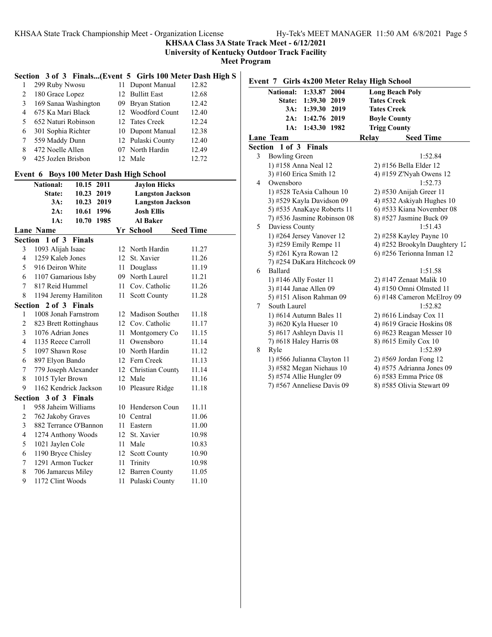**KHSAA Class 3A State Track Meet - 6/12/2021**

**University of Kentucky Outdoor Track Facility**

**Meet Program**

# **Section 3 of 3 Finals...(Event 5 Girls 100 Meter Dash High S**

|    | 299 Ruby Nwosu       | 11 Dupont Manual  | 12.82 |
|----|----------------------|-------------------|-------|
|    | 180 Grace Lopez      | 12 Bullitt East   | 12.68 |
| 3  | 169 Sanaa Washington | 09 Bryan Station  | 12.42 |
| 4  | 675 Ka Mari Black    | 12 Woodford Count | 12.40 |
| 5. | 652 Naturi Robinson  | 12 Tates Creek    | 12.24 |
| 6  | 301 Sophia Richter   | 10 Dupont Manual  | 12.38 |
|    | 559 Maddy Dunn       | 12 Pulaski County | 12.40 |
| 8  | 472 Noelle Allen     | 07 North Hardin   | 12.49 |
| 9  | 425 Jozlen Brisbon   | Male              | 12.72 |

### **Event 6 Boys 100 Meter Dash High School**

|                          | <b>National:</b>             | 10.15      | 2011 |     | <b>Jaylon Hicks</b>     |                  |
|--------------------------|------------------------------|------------|------|-----|-------------------------|------------------|
|                          | State:                       | 10.23      | 2019 |     | <b>Langston Jackson</b> |                  |
|                          | 3A:                          | 10.23 2019 |      |     | <b>Langston Jackson</b> |                  |
|                          | 2A:                          | 10.61 1996 |      |     | <b>Josh Ellis</b>       |                  |
|                          | 1A:                          | 10.70      | 1985 |     | <b>Al Baker</b>         |                  |
|                          | <b>Lane Name</b>             |            |      |     | Yr School               | <b>Seed Time</b> |
|                          | <b>Section 1 of 3 Finals</b> |            |      |     |                         |                  |
| 3                        | 1093 Alijah Isaac            |            |      |     | 12 North Hardin         | 11.27            |
| $\overline{4}$           | 1259 Kaleb Jones             |            |      | 12  | St. Xavier              | 11.26            |
| 5                        | 916 Deiron White             |            |      | 11  | Douglass                | 11.19            |
| 6                        | 1107 Gamarious Isby          |            |      |     | 09 North Laurel         | 11.21            |
| 7                        | 817 Reid Hummel              |            |      |     | 11 Cov. Catholic        | 11.26            |
| 8                        | 1194 Jeremy Hamiliton        |            |      | 11  | <b>Scott County</b>     | 11.28            |
| Section<br>2 of 3 Finals |                              |            |      |     |                         |                  |
| $\mathbf{1}$             | 1008 Jonah Farnstrom         |            |      |     | 12 Madison Souther      | 11.18            |
| 2                        | 823 Brett Rottinghaus        |            |      |     | 12 Cov. Catholic        | 11.17            |
| 3                        | 1076 Adrian Jones            |            |      | 11  | Montgomery Co           | 11.15            |
| 4                        | 1135 Reece Carroll           |            |      | 11. | Owensboro               | 11.14            |
| 5                        | 1097 Shawn Rose              |            |      |     | 10 North Hardin         | 11.12            |
| 6                        | 897 Elyon Bando              |            |      |     | 12 Fern Creek           | 11.13            |
| 7                        | 779 Joseph Alexander         |            |      | 12  | Christian County        | 11.14            |
| 8                        | 1015 Tyler Brown             |            |      |     | 12 Male                 | 11.16            |
| 9                        | 1162 Kendrick Jackson        |            |      |     | 10 Pleasure Ridge       | 11.18            |
|                          | Section 3 of 3 Finals        |            |      |     |                         |                  |
| 1                        | 958 Jaheim Williams          |            |      | 10  | Henderson Coun          | 11.11            |
| 2                        | 762 Jakoby Graves            |            |      |     | 10 Central              | 11.06            |
| 3                        | 882 Terrance O'Bannon        |            |      |     | 11 Eastern              | 11.00            |
| $\overline{4}$           | 1274 Anthony Woods           |            |      |     | 12 St. Xavier           | 10.98            |
| 5                        | 1021 Jaylen Cole             |            |      | 11  | Male                    | 10.83            |
| 6                        | 1190 Bryce Chisley           |            |      | 12  | <b>Scott County</b>     | 10.90            |
| 7                        | 1291 Armon Tucker            |            |      | 11  | Trinity                 | 10.98            |
| 8                        | 706 Jamarcus Miley           |            |      | 12  | <b>Barren County</b>    | 11.05            |
| 9                        | 1172 Clint Woods             |            |      | 11  | Pulaski County          | 11.10            |

|         |                        | Event 7 Girls 4x200 Meter Relay High School |                        |                               |
|---------|------------------------|---------------------------------------------|------------------------|-------------------------------|
|         | <b>National:</b>       | 1:33.87 2004                                | <b>Long Beach Poly</b> |                               |
|         | State:                 | 1:39.30 2019                                | <b>Tates Creek</b>     |                               |
|         | 3A:                    | 1:39.30<br>2019                             | <b>Tates Creek</b>     |                               |
|         | 2A:                    | 1:42.76<br>2019                             | <b>Boyle County</b>    |                               |
|         | 1A:                    | 1:43.30<br>1982                             | <b>Trigg County</b>    |                               |
|         | Lane Team              |                                             | Relay                  | <b>Seed Time</b>              |
| Section | $1$ of $3$             | <b>Finals</b>                               |                        |                               |
| 3       | <b>Bowling Green</b>   |                                             |                        | 1:52.84                       |
|         | 1) #158 Anna Neal 12   |                                             |                        | 2) #156 Bella Elder 12        |
|         |                        | 3) #160 Erica Smith 12                      |                        | 4) #159 Z'Nyah Owens 12       |
| 4       | Owensboro              |                                             |                        | 1:52.73                       |
|         |                        | 1) #528 TeAsia Calhoun 10                   |                        | $2)$ #530 Anijah Greer 11     |
|         |                        | 3) #529 Kayla Davidson 09                   |                        | 4) #532 Askiyah Hughes 10     |
|         |                        | 5) #535 AnaKaye Roberts 11                  |                        | 6) #533 Kiana November 08     |
|         |                        | 7) #536 Jasmine Robinson 08                 |                        | 8) #527 Jasmine Buck 09       |
| 5       | Daviess County         |                                             |                        | 1:51.43                       |
|         |                        | 1) #264 Jersey Vanover 12                   |                        | $2)$ #258 Kayley Payne 10     |
|         |                        | 3) #259 Emily Rempe 11                      |                        | 4) #252 Brookyln Daughtery 12 |
|         |                        | 5) #261 Kyra Rowan 12                       |                        | 6) #256 Terionna Inman 12     |
|         |                        | 7) #254 DaKara Hitchcock 09                 |                        |                               |
| 6       | Ballard                |                                             |                        | 1:51.58                       |
|         | 1) #146 Ally Foster 11 |                                             |                        | 2) #147 Zenaat Malik 10       |
|         | 3) #144 Janae Allen 09 |                                             |                        | 4) #150 Omni Olmsted 11       |
|         |                        | 5) #151 Alison Rahman 09                    |                        | 6) #148 Cameron McElroy 09    |
| 7       | South Laurel           |                                             |                        | 1:52.82                       |
|         |                        | 1) #614 Autumn Bales 11                     |                        | 2) #616 Lindsay Cox 11        |
|         |                        | 3) #620 Kyla Hueser 10                      |                        | 4) #619 Gracie Hoskins 08     |
|         |                        | 5) #617 Ashleyn Davis 11                    |                        | $6$ ) #623 Reagan Messer 10   |
|         |                        | 7) #618 Haley Harris 08                     |                        | 8) #615 Emily Cox 10          |
| 8       | Ryle                   |                                             |                        | 1:52.89                       |
|         |                        | 1) #566 Julianna Clayton 11                 |                        | 2) #569 Jordan Fong 12        |
|         |                        | 3) #582 Megan Niehaus 10                    |                        | 4) #575 Adrianna Jones 09     |
|         |                        | 5) #574 Allie Hungler 09                    |                        | 6) #583 Emma Price 08         |
|         |                        | 7) #567 Anneliese Davis 09                  |                        | 8) #585 Olivia Stewart 09     |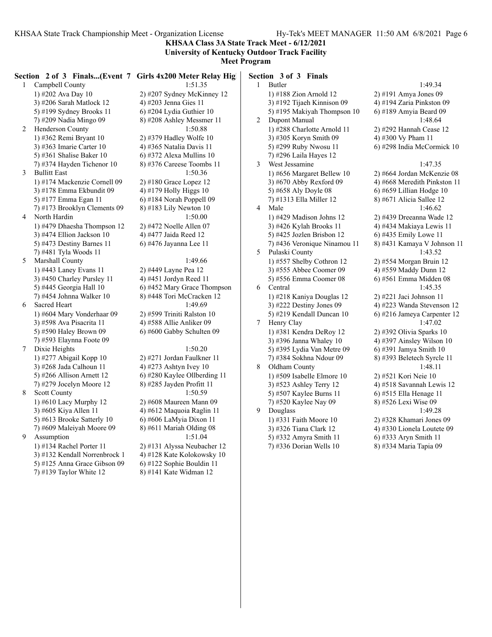**KHSAA Class 3A State Track Meet - 6/12/2021 University of Kentucky Outdoor Track Facility**

**Meet Program**

| $\mathbf{1}$    | Campbell County                                         | Section 2 of 3 Finals(Event 7 Girls 4x200 Meter Relay High<br>1:51.35 | $\mathbf{1}$ | Section 3 of 3 Finals<br>Butler |               |
|-----------------|---------------------------------------------------------|-----------------------------------------------------------------------|--------------|---------------------------------|---------------|
|                 | 1) #202 Ava Day 10                                      | 2) #207 Sydney McKinney 12                                            |              | 1) #188 Zion Arnold 12          | $2)$ #191 An  |
|                 | 3) #206 Sarah Matlock 12                                | 4) #203 Jenna Gies 11                                                 |              | 3) #192 Tijaeh Kinnison 09      | 4) #194 Za    |
|                 | 5) #199 Sydney Brooks 11                                | 6) #204 Lydia Guthier 10                                              |              | 5) #195 Makiyah Thompson 10     | 6) #189 An    |
|                 | 7) #209 Nadia Mingo 09                                  | 8) #208 Ashley Messmer 11                                             | 2            | Dupont Manual                   |               |
| 2               | Henderson County                                        | 1:50.88                                                               |              | 1) #288 Charlotte Arnold 11     | 2) #292 Ha    |
|                 | 1) #362 Remi Bryant 10                                  | 2) #379 Hadley Wolfe 10                                               |              | 3) #305 Koryn Smith 09          | 4) #300 Vy    |
|                 | 3) #363 Imarie Carter 10                                | 4) #365 Natalia Davis 11                                              |              | 5) #299 Ruby Nwosu 11           | 6) #298 Inc   |
|                 | 5) #361 Shalise Baker 10                                | $6)$ #372 Alexa Mullins 10                                            |              | 7) #296 Laila Hayes 12          |               |
|                 | 7) #374 Hayden Tichenor 10                              | $(8)$ #376 Careese Toombs 11                                          | 3            | West Jessamine                  |               |
| 3               | <b>Bullitt East</b>                                     | 1:50.36                                                               |              | 1) #656 Margaret Bellew 10      | $2)$ #664 Jor |
|                 | 1) #174 Mackenzie Cornell 09                            | $2)$ #180 Grace Lopez 12                                              |              | 3) #670 Abby Rexford 09         | 4) #668 Me    |
|                 | 3) #178 Emma Ekbundit 09                                | 4) #179 Holly Higgs 10                                                |              | 5) #658 Aly Doyle 08            | 6) #659 Lil   |
|                 | 5) #177 Emma Egan 11                                    | $6$ ) #184 Norah Poppell 09                                           |              | 7) #1313 Ella Miller 12         | 8) #671 Al:   |
|                 | 7) #173 Brooklyn Clements 09                            | $(8)$ #183 Lily Newton 10                                             | 4            | Male                            |               |
| 4               | North Hardin                                            | 1:50.00                                                               |              | 1) #429 Madison Johns 12        | 2) #439 Dr    |
|                 | 1) #479 Dhaesha Thompson 12                             | 2) #472 Noelle Allen 07                                               |              | 3) #426 Kylah Brooks 11         | 4) #434 Ma    |
|                 | 3) #474 Ellion Jackson 10                               | 4) #477 Jaida Reed 12                                                 |              | 5) #425 Jozlen Brisbon 12       | 6) #435 En    |
|                 | 5) #473 Destiny Barnes 11                               | 6) #476 Jayanna Lee 11                                                |              | 7) #436 Veronique Ninamou 11    | 8) #431 Ka    |
|                 | 7) #481 Tyla Woods 11                                   |                                                                       | 5            | Pulaski County                  |               |
| 5               | Marshall County                                         | 1:49.66                                                               |              | 1) #557 Shelby Cothron 12       | $2)$ #554 Mo  |
|                 | 1) #443 Laney Evans 11                                  | 2) #449 Layne Pea 12                                                  |              | 3) #555 Abbee Coomer 09         | 4) #559 Ma    |
|                 | 3) #450 Charley Pursley 11                              | 4) #451 Jordyn Reed 11                                                |              | 5) #556 Emma Coomer 08          | 6) #561 En    |
|                 | 5) #445 Georgia Hall 10                                 | 6) #452 Mary Grace Thompson                                           | 6            | Central                         |               |
|                 | 7) #454 Johnna Walker 10                                | 8) #448 Tori McCracken 12                                             |              | 1) #218 Kaniya Douglas 12       | 2) #221 Jac   |
| 6               | Sacred Heart                                            | 1:49.69                                                               |              | 3) #222 Destiny Jones $09$      | 4) #223 Wa    |
|                 | 1) #604 Mary Vonderhaar 09                              | 2) #599 Triniti Ralston 10                                            |              | 5) #219 Kendall Duncan 10       | 6) #216 Jar   |
|                 | 3) #598 Ava Pisacrita 11                                | 4) #588 Allie Anliker 09                                              | 7            | Henry Clay                      |               |
|                 | 5) #590 Haley Brown 09                                  | 6) #600 Gabby Schulten 09                                             |              | 1) #381 Kendra DeRoy 12         | 2) #392 Ol:   |
|                 | 7) #593 Elaynna Foote 09                                |                                                                       |              | 3) #396 Janna Whaley 10         | 4) #397 Ai    |
| $7\phantom{.0}$ | Dixie Heights                                           | 1:50.20                                                               |              | 5) #395 Lydia Van Metre 09      | 6) #391 Jar   |
|                 | 1) #277 Abigail Kopp 10                                 | 2) #271 Jordan Faulkner 11                                            |              | 7) #384 Sokhna Ndour 09         | 8) #393 Be    |
|                 | 3) #268 Jada Calhoun 11                                 | 4) #273 Ashtyn Ivey $10$                                              | 8            | Oldham County                   |               |
|                 | 5) #266 Allison Arnett 12                               | 6) #280 Kaylee Ollberding 11                                          |              | 1) #509 Isabelle Elmore 10      | 2) #521 Ko    |
|                 | 7) #279 Jocelyn Moore 12                                | $8)$ #285 Jayden Profitt 11                                           |              | 3) #523 Ashley Terry 12         | 4) #518 Sa    |
| 8               | <b>Scott County</b>                                     | 1:50.59                                                               |              | 5) #507 Kaylee Burns 11         | 6) #515 Ell   |
|                 | 1) #610 Lacy Murphy 12                                  | 2) #608 Maureen Mann 09                                               |              | 7) #520 Kaylee Nay 09           | 8) #526 Le    |
|                 | 3) #605 Kiya Allen 11                                   | 4) #612 Maquoia Raglin 11                                             | 9            | Douglass                        |               |
|                 | 5) #613 Brooke Satterly 10                              | 6) #606 LaMyia Dixon 11                                               |              | 1) #331 Faith Moore 10          | 2) #328 Kh    |
| 9               | 7) #609 Maleiyah Moore 09                               | $8)$ #611 Mariah Olding 08                                            |              | 3) #326 Tiana Clark 12          | 4) #330 Lio   |
|                 | Assumption                                              | 1:51.04                                                               |              | 5) #332 Amyra Smith 11          | 6) #333 Ar    |
|                 | 1) #134 Rachel Porter 11                                | 2) #131 Alyssa Neubacher 12                                           |              | 7) #336 Dorian Wells 10         | 8) #334 Ma    |
|                 | 3) #132 Kendall Norrenbrock 1                           | 4) #128 Kate Kolokowsky 10                                            |              |                                 |               |
|                 | 5) #125 Anna Grace Gibson 09<br>7) #139 Taylor White 12 | 6) #122 Sophie Bouldin 11<br>8) #141 Kate Widman 12                   |              |                                 |               |
|                 |                                                         |                                                                       |              |                                 |               |
|                 |                                                         |                                                                       |              |                                 |               |

nya Jones 09 nia Pinkston 09 nyia Beard 09 1:48.64 nnah Cease 12 Pham 11 dia McCormick 10  $1:47.35$ rdan McKenzie 08 eredith Pinkston 11 llian Hodge 10 icia Sallee 12  $1:46.62$ eeanna Wade 12 akiaya Lewis 11 nily Lowe 11 maya V Johnson 11  $1:43.52$ organ Bruin 12 addy Dunn 12 nma Midden 08 1:45.35 ei Johnson 11 anda Stevenson 12 neya Carpenter 12 1:47.02 ivia Sparks 10 nsley Wilson 10 nya Smith 10 letech Syrcle 11 1:48.11 ori Neie 10 vannah Lewis 12 la Henage 11 xi Wise 09 1:49.28 1) amari Jones 09 onela Loutete 09 yn Smith 11 aria Tapia 09

1:49.34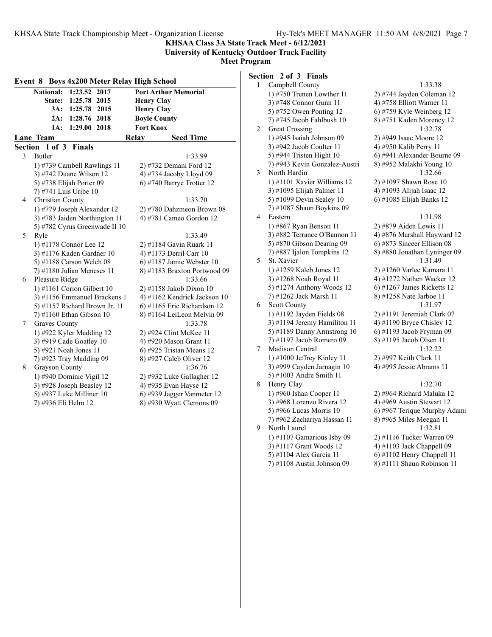**KHSAA Class 3A State Track Meet - 6/12/2021 University of Kentucky Outdoor Track Facility**

**Meet Program**

| Event 8 Boys 4x200 Meter Relay High School |                                                 |                                                        |                |  |
|--------------------------------------------|-------------------------------------------------|--------------------------------------------------------|----------------|--|
|                                            | <b>National:</b><br>1:23.52<br>2017             | <b>Port Arthur Memorial</b>                            | 1              |  |
|                                            | State:<br>1:25.78<br>2015                       | <b>Henry Clay</b>                                      |                |  |
|                                            | $3A$ :<br>1:25.78<br>2015                       | <b>Henry Clay</b>                                      |                |  |
|                                            | 2A:<br>1:28.76 2018                             | <b>Boyle County</b>                                    |                |  |
|                                            | 1:29.00 2018<br>1A:                             | <b>Fort Knox</b>                                       | $\overline{c}$ |  |
|                                            | Lane Team                                       | Relay<br><b>Seed Time</b>                              |                |  |
|                                            | Section 1 of 3 Finals                           |                                                        |                |  |
| 3                                          | Butler                                          | 1:33.99                                                |                |  |
|                                            | 1) #739 Cambell Rawlings 11                     | 2) #732 Demani Ford 12                                 |                |  |
|                                            | 3) #742 Duane Wilson 12                         | 4) #734 Jacoby Lloyd 09                                | 3              |  |
|                                            | 5) #738 Elijah Porter 09                        | 6) #740 Barrye Trotter 12                              |                |  |
|                                            | 7) #741 Luis Uribe 10                           |                                                        |                |  |
| 4                                          | Christian County                                | 1:33.70                                                |                |  |
|                                            | 1) #779 Joseph Alexander 12                     | 2) #780 Dahzmeon Brown 08                              |                |  |
|                                            | 3) #783 Jaiden Northington 11                   | 4) #781 Cameo Gordon 12                                | 4              |  |
|                                            | 5) #782 Cyrus Greenwade II 10                   |                                                        |                |  |
| 5                                          | Ryle                                            | 1:33.49                                                |                |  |
|                                            | 1) #1178 Connor Lee 12                          | 2) #1184 Gavin Ruark 11                                |                |  |
|                                            | 3) #1176 Kaden Gardner 10                       | 4) #1173 Derril Carr 10                                |                |  |
|                                            | 5) #1188 Carson Welch 08                        | 6) #1187 Jamie Webster $10$                            | 5              |  |
|                                            | 7) #1180 Julian Meneses 11                      | 8) #1183 Braxton Portwood 09                           |                |  |
| 6                                          | Pleasure Ridge                                  | 1:33.66                                                |                |  |
|                                            | 1) #1161 Corion Gilbert 10                      | 2) #1158 Jakob Dixon 10                                |                |  |
|                                            | 3) #1156 Emmanuel Brackens 1                    | 4) #1162 Kendrick Jackson 10                           |                |  |
|                                            | 5) #1157 Richard Brown Jr. 11                   | 6) #1165 Eric Richardson 12                            | 6              |  |
|                                            | 7) #1160 Ethan Gibson 10                        | 8) #1164 LeiLeon Melvin 09                             |                |  |
| 7                                          | <b>Graves County</b>                            | 1:33.78                                                |                |  |
|                                            | 1) #922 Kyler Madding 12                        | 2) #924 Clint McKee 11                                 |                |  |
|                                            | 3) #919 Cade Goatley 10                         | 4) #920 Mason Grant 11                                 | 7              |  |
|                                            | 5) #921 Noah Jones 11                           | $6$ ) #925 Tristan Means 12                            |                |  |
|                                            | 7) #923 Tray Madding 09                         | 8) #927 Caleb Oliver 12<br>1:36.76                     |                |  |
| 8                                          | Grayson County                                  |                                                        |                |  |
|                                            | 1) #940 Dominic Vigil 12                        | 2) #932 Luke Gallagher 12                              | 8              |  |
|                                            | 3) #928 Joseph Beasley 12                       | 4) #935 Evan Hayse 12                                  |                |  |
|                                            | 5) #937 Luke Milliner 10<br>7) #936 Eli Helm 12 | 6) #939 Jagger Vanmeter 12<br>8) #930 Wyatt Clemons 09 |                |  |
|                                            |                                                 |                                                        |                |  |

# **Section 2 of 3 Finals**

| 1 | Campbell County               | 1:33.38                      |
|---|-------------------------------|------------------------------|
|   | 1) #750 Trenen Lowther 11     | 2) #744 Jayden Coleman 12    |
|   | 3) #748 Connor Gunn 11        | 4) #758 Elliott Warner 11    |
|   | 5) #752 Owen Ponting 12       | 6) #759 Kyle Weinberg 12     |
|   | 7) #745 Jacob Fahlbush 10     | 8) #751 Kaden Morency 12     |
| 2 | <b>Great Crossing</b>         | 1:32.78                      |
|   | 1) #945 Isaiah Johnson 09     | 2) #949 Isaac Moore 12       |
|   | 3) #942 Jacob Coulter 11      | 4) #950 Kalib Perry 11       |
|   | 5) #944 Tristen Hight 10      | 6) #941 Alexander Bourne 09  |
|   | 7) #943 Kevin Gonzalez-Austri | 8) #952 Malakhi Young 10     |
| 3 | North Hardin                  | 1:32.66                      |
|   | 1) #1101 Xavier Williams 12   | 2) #1097 Shawn Rose 10       |
|   | 3) #1095 Elijah Palmer 11     | 4) #1093 Alijah Isaac 12     |
|   | 5) #1099 Devin Sealey 10      | 6) #1085 Elijah Banks 12     |
|   | 7) #1087 Shaun Boykins 09     |                              |
| 4 | Eastern                       | 1:31.98                      |
|   | 1) #867 Ryan Benson 11        | 2) #879 Aiden Lewis 11       |
|   | 3) #882 Terrance O'Bannon 11  | 4) #876 Marshall Hayward 12  |
|   | 5) #870 Gibson Dearing 09     | 6) #873 Sinceer Ellison 08   |
|   | 7) #887 Ijalon Tompkins 12    | 8) #880 Jonathan Lyninger 09 |
| 5 | St. Xavier                    | 1:31.49                      |
|   | 1) #1259 Kaleb Jones 12       | 2) #1260 Varlee Kamara 11    |
|   | 3) #1268 Noah Royal 11        | 4) #1272 Nathen Wacker 12    |
|   | 5) #1274 Anthony Woods 12     | 6) #1267 James Ricketts 12   |
|   | 7) #1262 Jack Marsh 11        | 8) #1258 Nate Jarboe 11      |
| 6 | Scott County                  | 1:31.97                      |
|   | 1) #1192 Jayden Fields 08     | $2)$ #1191 Jeremiah Clark 07 |
|   | 3) #1194 Jeremy Hamiliton 11  | 4) #1190 Bryce Chisley 12    |
|   | 5) #1189 Danny Armstrong 10   | 6) #1193 Jacob Fryman 09     |
|   | 7) #1197 Jacob Romero 09      | 8) #1195 Jacob Olsen 11      |
| 7 | Madison Central               | 1:32.22                      |
|   | 1) #1000 Jeffrey Kinley 11    | 2) #997 Keith Clark 11       |
|   | 3) #999 Cayden Jarnagin 10    | 4) #995 Jessie Abrams 11     |
|   | 5) #1003 Andre Smith 11       |                              |
| 8 | Henry Clay                    | 1:32.70                      |
|   | 1) #960 Ishan Cooper 11       | 2) #964 Richard Maluka 12    |
|   | 3) #968 Lorenzo Rivera 12     | 4) #969 Austin Stewart 12    |
|   | 5) #966 Lucas Morris 10       | 6) #967 Terique Murphy Adams |
|   | 7) #962 Zachariya Hassan 11   | 8) #965 Miles Meegan 11      |
| 9 | North Laurel                  | 1:32.81                      |
|   | 1) #1107 Gamarious Isby 09    | 2) #1116 Tucker Warren 09    |
|   | 3) #1117 Grant Woods 12       | 4) #1103 Jack Chappell 09    |
|   | 5) #1104 Alex Garcia 11       | 6) #1102 Henry Chappell 11   |
|   | 7) #1108 Austin Johnson 09    | 8) #1111 Shaun Robinson 11   |
|   |                               |                              |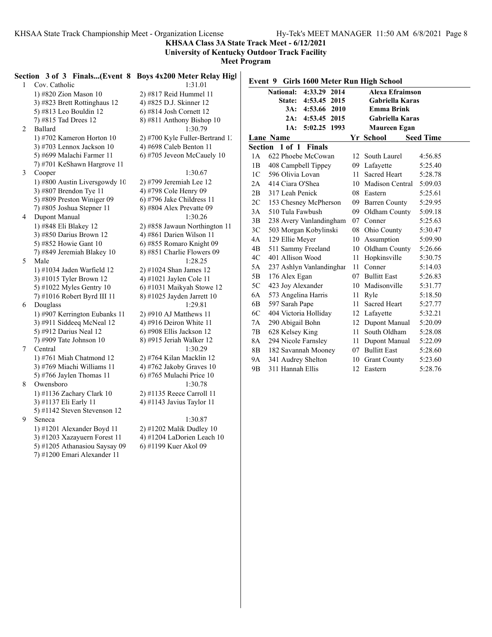**KHSAA Class 3A State Track Meet - 6/12/2021**

**University of Kentucky Outdoor Track Facility**

**Meet Program**

|   |                               | Section 3 of 3 Finals(Event 8 Boys 4x200 Meter Relay Higl |                |                                          |                        |                  |
|---|-------------------------------|-----------------------------------------------------------|----------------|------------------------------------------|------------------------|------------------|
|   | Cov. Catholic                 | 1:31.01                                                   |                | Event 9 Girls 1600 Meter Run High School |                        |                  |
|   | 1) #820 Zion Mason $10$       | 2) #817 Reid Hummel 11                                    |                | National: 4:33.29 2014                   | <b>Alexa Efraimson</b> |                  |
|   | 3) #823 Brett Rottinghaus 12  | 4) #825 D.J. Skinner 12                                   |                | State: 4:53.45 2015                      | <b>Gabriella Karas</b> |                  |
|   | 5) #813 Leo Bouldin 12        | $6$ ) #814 Josh Cornett 12                                |                | 3A: 4:53.66 2010                         | <b>Emma Brink</b>      |                  |
|   | 7) #815 Tad Drees 12          | $8)$ #811 Anthony Bishop 10                               |                | 2A: 4:53.45 2015                         | Gabriella Karas        |                  |
| 2 | Ballard                       | 1:30.79                                                   |                | 1A: 5:02.25 1993                         | <b>Maureen Egan</b>    |                  |
|   | 1) #702 Kameron Horton 10     | 2) #700 Kyle Fuller-Bertrand 1.                           |                | Lane Name                                | Yr School              | <b>Seed Time</b> |
|   | 3) #703 Lennox Jackson 10     | 4) #698 Caleb Benton 11                                   |                | Section 1 of 1 Finals                    |                        |                  |
|   | 5) #699 Malachi Farmer 11     | 6) #705 Jeveon McCauely $10$                              | 1A             | 622 Phoebe McCowan                       | 12 South Laurel        | 4:56.85          |
|   | 7) #701 KeShawn Hargrove 11   |                                                           | 1B             | 408 Campbell Tippey                      | 09 Lafayette           | 5:25.40          |
| 3 | Cooper                        | 1:30.67                                                   | 1 <sup>C</sup> | 596 Olivia Lovan                         | 11 Sacred Heart        | 5:28.78          |
|   | 1) #800 Austin Liversgowdy 10 | 2) #799 Jeremiah Lee 12                                   | 2A             | 414 Ciara O'Shea                         | 10 Madison Central     | 5:09.03          |
|   | 3) #807 Brendon Tye 11        | 4) #798 Cole Henry 09                                     | 2B             | 317 Leah Penick                          | 08 Eastern             | 5:25.61          |
|   | 5) #809 Preston Winiger 09    | $(6)$ #796 Jake Childress 11                              | 2C             | 153 Chesney McPherson                    | 09 Barren County       | 5:29.95          |
|   | 7) #805 Joshua Stepner 11     | 8) #804 Alex Prevatte 09                                  | 3A             | 510 Tula Fawbush                         | 09 Oldham County       | 5:09.18          |
| 4 | Dupont Manual                 | 1:30.26                                                   | 3B             | 238 Avery Vanlandingham                  | 07 Conner              | 5:25.63          |
|   | 1) #848 Eli Blakey 12         | 2) #858 Jawaun Northington 11                             | 3C             | 503 Morgan Kobylinski                    | 08 Ohio County         | 5:30.47          |
|   | 3) #850 Darius Brown 12       | 4) #861 Darien Wilson 11                                  | 4A             | 129 Ellie Meyer                          | 10 Assumption          | 5:09.90          |
|   | 5) #852 Howie Gant 10         | 6) #855 Romaro Knight 09                                  | 4B             | 511 Sammy Freeland                       | 10 Oldham County       | 5:26.66          |
|   | 7) #849 Jeremiah Blakey 10    | 8) #851 Charlie Flowers 09                                | 4C             | 401 Allison Wood                         | 11 Hopkinsville        | 5:30.75          |
| 5 | Male                          | 1:28.25                                                   |                |                                          | 11 Conner              |                  |
|   | 1) #1034 Jaden Warfield 12    | 2) #1024 Shan James 12                                    | 5A             | 237 Ashlyn Vanlandinghar                 | 07 Bullitt East        | 5:14.03          |
|   | 3) #1015 Tyler Brown 12       | 4) #1021 Jaylen Cole 11                                   | 5B             | 176 Alex Egan                            |                        | 5:26.83          |
|   | 5) #1022 Myles Gentry $10$    | 6) #1031 Maikyah Stowe 12                                 | 5C             | 423 Joy Alexander                        | 10 Madisonville        | 5:31.77          |
|   | 7) #1016 Robert Byrd III 11   | 8) #1025 Jayden Jarrett 10                                | 6A             | 573 Angelina Harris                      | 11 Ryle                | 5:18.50          |
| 6 | Douglass                      | 1:29.81                                                   | 6B             | 597 Sarah Pape                           | 11 Sacred Heart        | 5:27.77          |
|   | 1) #907 Kerrington Eubanks 11 | $2)$ #910 AJ Matthews 11                                  | 6C             | 404 Victoria Holliday                    | 12 Lafayette           | 5:32.21          |
|   | 3) #911 Siddeeq McNeal 12     | 4) #916 Deiron White 11                                   | 7A             | 290 Abigail Bohn                         | 12 Dupont Manual       | 5:20.09          |
|   | 5) #912 Darius Neal 12        | $(6)$ #908 Ellis Jackson 12                               | 7B             | 628 Kelsey King                          | 11 South Oldham        | 5:28.08          |
|   | 7) #909 Tate Johnson $10$     | 8) #915 Jeriah Walker 12                                  | 8A             | 294 Nicole Farnsley                      | 11 Dupont Manual       | 5:22.09          |
| 7 | Central                       | 1:30.29                                                   | 8 <sub>B</sub> | 182 Savannah Mooney                      | 07 Bullitt East        | 5:28.60          |
|   | 1) #761 Miah Chatmond 12      | 2) #764 Kilan Macklin 12                                  | <b>9A</b>      | 341 Audrey Shelton                       | 10 Grant County        | 5:23.60          |
|   | 3) #769 Miachi Williams 11    | 4) #762 Jakoby Graves $10$                                | 9 <sub>B</sub> | 311 Hannah Ellis                         | 12 Eastern             | 5:28.76          |
|   | 5) #766 Jaylen Thomas 11      | $6)$ #765 Mulachi Price 10                                |                |                                          |                        |                  |
| 8 | Owensboro                     | 1:30.78                                                   |                |                                          |                        |                  |
|   | 1) #1136 Zachary Clark 10     | 2) #1135 Reece Carroll 11                                 |                |                                          |                        |                  |
|   | 3) #1137 Eli Early 11         | 4) #1143 Javius Taylor 11                                 |                |                                          |                        |                  |
|   | 5) #1142 Steven Stevenson 12  |                                                           |                |                                          |                        |                  |
| 9 | Seneca                        | 1:30.87                                                   |                |                                          |                        |                  |

1) #1201 Alexander Boyd 11 2) #1202 Malik Dudley 10<br>3) #1203 Xazayuern Forest 11 4) #1204 LaDorien Leach 10 3) #1203 Xazayuern Forest 11 5) #1205 Athanasiou Saysay 09 6) #1199 Kuer Akol 09 7) #1200 Emari Alexander 11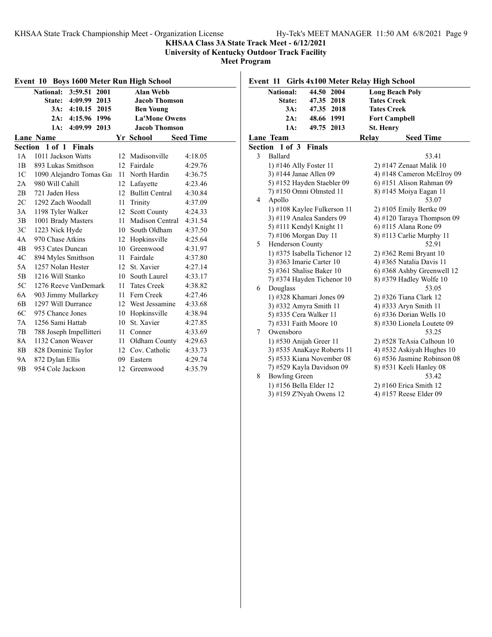**Event 11 Girls 4x100 Meter Relay High School**

#### **KHSAA Class 3A State Track Meet - 6/12/2021**

**University of Kentucky Outdoor Track Facility**

**Meet Program**

| Event 10 Boys 1600 Meter Run High School          |                                 |    |                        |         |  |  |  |  |
|---------------------------------------------------|---------------------------------|----|------------------------|---------|--|--|--|--|
|                                                   | National: 3:59.51 2001          |    | <b>Alan Webb</b>       |         |  |  |  |  |
|                                                   | 4:09.99 2013<br>State:          |    | <b>Jacob Thomson</b>   |         |  |  |  |  |
|                                                   | 3A:<br>4:10.15 2015             |    | <b>Ben Young</b>       |         |  |  |  |  |
|                                                   | 4:15.96<br>2A:<br>1996          |    | <b>La'Mone Owens</b>   |         |  |  |  |  |
|                                                   | 4:09.99<br>2013<br>1A:          |    | <b>Jacob Thomson</b>   |         |  |  |  |  |
| <b>Lane Name</b><br>Yr School<br><b>Seed Time</b> |                                 |    |                        |         |  |  |  |  |
|                                                   | Section 1 of 1<br><b>Finals</b> |    |                        |         |  |  |  |  |
| 1A                                                | 1011 Jackson Watts              |    | 12 Madisonville        | 4:18.05 |  |  |  |  |
| 1B                                                | 893 Lukas Smithson              | 12 | Fairdale               | 4:29.76 |  |  |  |  |
| 1 <sup>C</sup>                                    | 1090 Alejandro Tomas Ga         | 11 | North Hardin           | 4:36.75 |  |  |  |  |
| 2A                                                | 980 Will Cahill                 |    | 12 Lafavette           | 4:23.46 |  |  |  |  |
| 2B                                                | 721 Jaden Hess                  | 12 | <b>Bullitt Central</b> | 4:30.84 |  |  |  |  |
| 2C                                                | 1292 Zach Woodall               | 11 | Trinity                | 4:37.09 |  |  |  |  |
| 3A                                                | 1198 Tyler Walker               |    | 12 Scott County        | 4:24.33 |  |  |  |  |
| 3B                                                | 1001 Brady Masters              | 11 | Madison Central        | 4:31.54 |  |  |  |  |
| 3C                                                | 1223 Nick Hyde                  | 10 | South Oldham           | 4:37.50 |  |  |  |  |
| 4A                                                | 970 Chase Atkins                |    | 12 Hopkinsville        | 4:25.64 |  |  |  |  |
| 4B                                                | 953 Cates Duncan                | 10 | Greenwood              | 4:31.97 |  |  |  |  |
| 4C                                                | 894 Myles Smithson              |    | 11 Fairdale            | 4:37.80 |  |  |  |  |
| 5A                                                | 1257 Nolan Hester               | 12 | St. Xavier             | 4:27.14 |  |  |  |  |
| 5B                                                | 1216 Will Stanko                | 10 | South Laurel           | 4:33.17 |  |  |  |  |
| 5C                                                | 1276 Reeve VanDemark            | 11 | <b>Tates Creek</b>     | 4:38.82 |  |  |  |  |
| 6A                                                | 903 Jimmy Mullarkey             | 11 | Fern Creek             | 4:27.46 |  |  |  |  |
| 6B                                                | 1297 Will Durrance              | 12 | West Jessamine         | 4:33.68 |  |  |  |  |
| 6C                                                | 975 Chance Jones                | 10 | Hopkinsville           | 4:38.94 |  |  |  |  |
| 7Α                                                | 1256 Sami Hattab                | 10 | St. Xavier             | 4:27.85 |  |  |  |  |
| 7B                                                | 788 Joseph Impellitteri         | 11 | Conner                 | 4:33.69 |  |  |  |  |
| 8A                                                | 1132 Canon Weaver               | 11 | Oldham County          | 4:29.63 |  |  |  |  |
| 8B                                                | 828 Dominic Taylor              | 12 | Cov. Catholic          | 4:33.73 |  |  |  |  |
| 9Α                                                | 872 Dylan Ellis                 | 09 | Eastern                | 4:29.74 |  |  |  |  |
| 9 <sub>B</sub>                                    | 954 Cole Jackson                | 12 | Greenwood              | 4:35.79 |  |  |  |  |

### **National: 44.50 2004 Long Beach Poly State: 47.35 2018 Tates Creek 3A: 47.35 2018 Tates Creek 2A: 48.66 1991 Fort Campbell 1A: 49.75 2013 St. Henry Lane Team Relay Seed Time Section 1 of 3 Finals** 3 Ballard 53.41 1) #146 Ally Foster 11 2) #147 Zenaat Malik 10 3) #144 Janae Allen 09 4) #148 Cameron McElroy 09 5) #152 Hayden Staebler 09 6) #151 Alison Rahman 09 7) #150 Omni Olmsted 11 8) #145 Moiya Eagan 11 4 Apollo 53.07 1) #108 Kaylee Fulkerson 11 2) #105 Emily Bertke 09 3) #119 Analea Sanders 09  $\qquad$  4) #120 Taraya Thompson 09 5) #111 Kendyl Knight 11 6) #115 Alana Rone 09 7) #106 Morgan Day 11 8) #113 Carlie Murphy 11 5 Henderson County 52.91 1) #375 Isabella Tichenor 12 2) #362 Remi Bryant 10 3) #363 Imarie Carter 10 4) #365 Natalia Davis 11 5) #361 Shalise Baker 10 6) #368 Ashby Greenwell 12<br>
7) #374 Hayden Tichenor 10 8) #379 Hadley Wolfe 10 7) #374 Hayden Tichenor  $10$ 6 Douglass 53.05 1) #328 Khamari Jones 09 2) #326 Tiana Clark 12 3) #332 Amyra Smith 11  $\qquad \qquad$  4) #333 Aryn Smith 11 5) #335 Cera Walker 11 6) #336 Dorian Wells 10 7) #331 Faith Moore 10 8) #330 Lionela Loutete 09 7 Owensboro 53.25 1) #530 Anijah Greer 11 2) #528 TeAsia Calhoun 10 3) #535 AnaKaye Roberts 11  $\qquad$  4) #532 Askiyah Hughes 10 5) #533 Kiana November 08 6) #536 Jasmine Robinson 08 7) #529 Kayla Davidson 09 8) #531 Keeli Hanley 08 8 Bowling Green 53.42 1) #156 Bella Elder 12 2) #160 Erica Smith 12 3) #159 Z'Nyah Owens 12  $\qquad$  4) #157 Reese Elder 09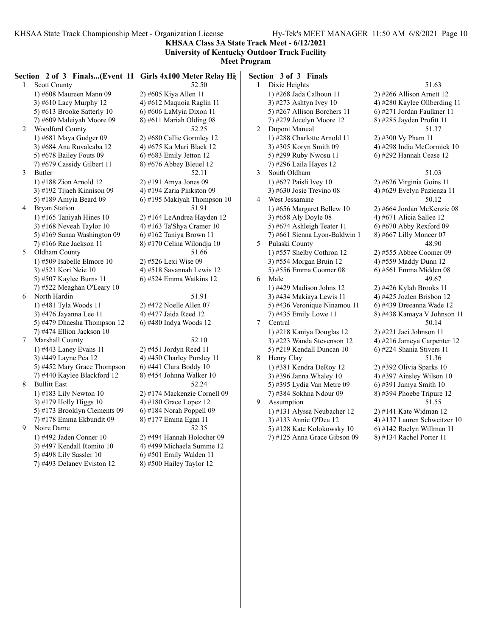**KHSAA Class 3A State Track Meet - 6/12/2021**

### **University of Kentucky Outdoor Track Facility**

**Meet Program**

|              | Section 2 of 3 Finals(Event 11 Girls 4x100 Meter Relay Hip |                              | Section 3 of 3 Finals         |  |
|--------------|------------------------------------------------------------|------------------------------|-------------------------------|--|
| $\mathbf{1}$ | <b>Scott County</b>                                        | 52.50                        | Dixie Heights<br>$\mathbf{1}$ |  |
|              | 1) #608 Maureen Mann 09                                    | 2) #605 Kiya Allen 11        | 1) #268 Jada Calhoun 1        |  |
|              | 3) #610 Lacy Murphy 12                                     | 4) #612 Maquoia Raglin 11    | 3) #273 Ashtyn Ivey 10        |  |
|              | 5) #613 Brooke Satterly 10                                 | 6) #606 LaMyia Dixon 11      | 5) #267 Allison Borche        |  |
|              | 7) #609 Maleiyah Moore 09                                  | 8) #611 Mariah Olding 08     | 7) #279 Jocelyn Moore         |  |
| 2            | Woodford County                                            | 52.25                        | 2<br>Dupont Manual            |  |
|              | 1) #681 Maya Gudger 09                                     | 2) #680 Callie Gormley 12    | 1) #288 Charlotte Arno        |  |
|              | 3) #684 Ana Ruvalcaba 12                                   | 4) #675 Ka Mari Black 12     | 3) #305 Koryn Smith 09        |  |
|              | 5) #678 Bailey Fouts 09                                    | $6$ ) #683 Emily Jetton 12   | 5) #299 Ruby Nwosu 1          |  |
|              | 7) #679 Cassidy Gilbert 11                                 | 8) #676 Abbey Bleuel 12      | 7) #296 Laila Hayes 12        |  |
| 3            | Butler                                                     | 52.11                        | 3<br>South Oldham             |  |
|              | 1) #188 Zion Arnold 12                                     | 2) #191 Amya Jones 09        | 1) #627 Paisli Ivey 10        |  |
|              | 3) #192 Tijaeh Kinnison 09                                 | 4) #194 Zaria Pinkston 09    | 3) #630 Josie Trevino 0       |  |
|              | 5) #189 Amyia Beard 09                                     | 6) #195 Makiyah Thompson 10  | 4<br>West Jessamine           |  |
| 4            | <b>Bryan Station</b>                                       | 51.91                        | 1) #656 Margaret Belle        |  |
|              | 1) #165 Taniyah Hines $10$                                 | 2) #164 LeAndrea Hayden 12   | 3) #658 Aly Doyle 08          |  |
|              | 3) #168 Neveah Taylor $10$                                 | 4) #163 Ta'Shya Cramer 10    | 5) #674 Ashleigh Teate        |  |
|              | 5) #169 Sanaa Washington 09                                | 6) #162 Taniya Brown 11      | 7) #661 Sienna Lyon-B         |  |
|              | 7) #166 Rae Jackson 11                                     | 8) #170 Celina Wilondja 10   | 5<br>Pulaski County           |  |
| 5            | Oldham County                                              | 51.66                        | 1) #557 Shelby Cothron        |  |
|              | 1) #509 Isabelle Elmore 10                                 | 2) #526 Lexi Wise 09         | 3) #554 Morgan Bruin          |  |
|              | 3) #521 Kori Neie 10                                       | 4) #518 Savannah Lewis 12    | 5) #556 Emma Coomer           |  |
|              | 5) #507 Kaylee Burns 11                                    | $(6)$ #524 Emma Watkins 12   | 6<br>Male                     |  |
|              | 7) #522 Meaghan O'Leary 10                                 |                              | 1) #429 Madison Johns         |  |
| 6            | North Hardin                                               | 51.91                        | 3) #434 Makiaya Lewis         |  |
|              | 1) #481 Tyla Woods 11                                      | 2) #472 Noelle Allen 07      | 5) #436 Veronique Nina        |  |
|              | 3) #476 Jayanna Lee 11                                     | 4) #477 Jaida Reed 12        | 7) #435 Emily Lowe 11         |  |
|              | 5) #479 Dhaesha Thompson 12                                | 6) #480 Indya Woods 12       | $\tau$<br>Central             |  |
|              | 7) #474 Ellion Jackson 10                                  |                              | 1) #218 Kaniya Dougla         |  |
| 7            | Marshall County                                            | 52.10                        | 3) #223 Wanda Stevens         |  |
|              | 1) #443 Laney Evans 11                                     | 2) #451 Jordyn Reed 11       | 5) #219 Kendall Dunca         |  |
|              | 3) #449 Layne Pea 12                                       | 4) #450 Charley Pursley 11   | 8<br>Henry Clay               |  |
|              | 5) #452 Mary Grace Thompson                                | 6) #441 Clara Boddy 10       | 1) #381 Kendra DeRoy          |  |
|              | 7) #440 Kaylee Blackford 12                                | 8) #454 Johnna Walker 10     | 3) #396 Janna Whaley          |  |
| 8            | <b>Bullitt East</b>                                        | 52.24                        | 5) #395 Lydia Van Meti        |  |
|              | 1) #183 Lily Newton $10$                                   | 2) #174 Mackenzie Cornell 09 | 7) #384 Sokhna Ndour          |  |
|              | 3) #179 Holly Higgs 10                                     | 4) #180 Grace Lopez 12       | 9<br>Assumption               |  |
|              | 5) #173 Brooklyn Clements 09                               | $6$ ) #184 Norah Poppell 09  | 1) #131 Alyssa Neubac         |  |
|              | 7) #178 Emma Ekbundit 09                                   | 8) #177 Emma Egan 11         | 3) #133 Annie O'Dea 11        |  |
| 9            | Notre Dame                                                 | 52.35                        | 5) #128 Kate Kolokows         |  |
|              | 1) #492 Jaden Conner 10                                    | 2) #494 Hannah Holocher 09   | 7) #125 Anna Grace Gi         |  |
|              | 3) #497 Kendall Romito 10                                  | 4) #499 Michaela Summe 12    |                               |  |
|              | 5) #498 Lily Sassler 10                                    | $(6)$ #501 Emily Walden 11   |                               |  |
|              | 7) #493 Delaney Eviston 12                                 | 8) #500 Hailey Taylor 12     |                               |  |
|              |                                                            |                              |                               |  |

1 Dixie Heights 51.63 houn 11  $\qquad$  2) #266 Allison Arnett 12  $\frac{3}{4}$  +280 Kaylee Ollberding 11 Borchers 11 6) #271 Jordan Faulkner 11 Moore 12 8) #285 Jayden Profitt 11 2 Dupont Manual 51.37  $1 \cdot$  Arnold 11 2) #300 Vy Pham 11  $\text{mith } 09$  4) #298 India McCormick 10  $\frac{11}{6}$  +292 Hannah Cease 12 3 South Oldham 51.03 ey 10 2) #626 Virginia Goins 11 vino 08 4) #629 Evelyn Pazienza 11 4 West Jessamine 50.12 Bellew 10 2) #664 Jordan McKenzie 08  $\frac{1}{6}$  108 4) #671 Alicia Sallee 12 Teater 11  $\qquad$  6) #670 Abby Rexford 09 yon-Baldwin 1 8) #667 Lilly Moncer 07 5 Pulaski County 48.90  $2$   $\mu$   $\frac{12}{2}$   $\mu$   $\frac{1555}{2}$  Abbee Coomer 09 Bruin 12 4) #559 Maddy Dunn 12 oomer 08 6) #561 Emma Midden 08 6 Male 49.67 1) #429 Madison Johns 12 2) #426 Kylah Brooks 11 Lewis 11  $\qquad$  4) #425 Jozlen Brisbon 12 te Ninamou 11 6) #439 Dreeanna Wade 12 7) #435 Emily Lowe 11 8) #438 Kamaya V Johnson 11 7 Central 50.14 1) #218 Kaniya Douglas 12 2) #221 Jaci Johnson 11 tevenson  $12 \t\t 4)$  #216 Jameya Carpenter 12 Duncan  $10 \qquad 6$ ) #224 Shania Stivers 11 8 Henry Clay 51.36  $DeRoy 12$  2) #392 Olivia Sparks 10 haley 10  $\qquad$  4) #397 Ainsley Wilson 10 (m) Metre 09 6) #391 Jamya Smith 10<br>Sol #394 Phoebe Tripure 8) #394 Phoebe Tripure 12 9 Assumption 51.55 Ieubacher 12 2) #141 Kate Widman 12  $3$  Dea 12 4) #137 Lauren Schweitzer 10 lokowsky 10 6) #142 Raelyn Willman 11

ace Gibson  $09 \qquad 8)$  #134 Rachel Porter 11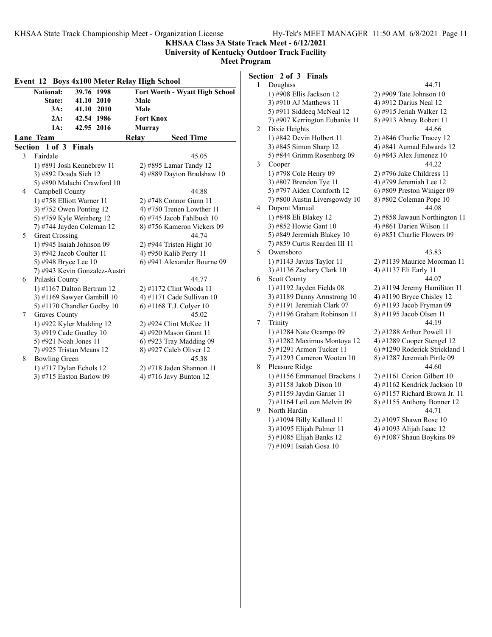**KHSAA Class 3A State Track Meet - 6/12/2021**

**University of Kentucky Outdoor Track Facility Meet Program**

| Event 12 Boys 4x100 Meter Relay High School |                       |                               |                  |                                |  |  |
|---------------------------------------------|-----------------------|-------------------------------|------------------|--------------------------------|--|--|
|                                             | <b>National:</b>      | 39.76 1998                    |                  | Fort Worth - Wyatt High School |  |  |
|                                             | State:                | 41.10 2010                    | Male             |                                |  |  |
|                                             | 3A:                   | 41.10 2010                    | Male             |                                |  |  |
|                                             | 2A:                   | 42.54 1986                    | <b>Fort Knox</b> |                                |  |  |
|                                             | 1A:                   | 42.95 2016                    | <b>Murray</b>    |                                |  |  |
|                                             | Lane Team             |                               | Relay            | <b>Seed Time</b>               |  |  |
|                                             | Section 1 of 3 Finals |                               |                  |                                |  |  |
| 3                                           | Fairdale              |                               |                  | 45.05                          |  |  |
|                                             |                       | 1) #891 Josh Kennebrew 11     |                  | 2) #895 Lamar Tandy 12         |  |  |
|                                             | 3) #892 Doada Sieh 12 |                               |                  | 4) #889 Dayton Bradshaw 10     |  |  |
|                                             |                       | 5) #890 Malachi Crawford 10   |                  |                                |  |  |
| 4                                           | Campbell County       |                               |                  | 44.88                          |  |  |
|                                             |                       | 1) #758 Elliott Warner 11     |                  | 2) #748 Connor Gunn 11         |  |  |
|                                             |                       | 3) #752 Owen Ponting 12       |                  | 4) #750 Trenen Lowther $11$    |  |  |
|                                             |                       | 5) #759 Kyle Weinberg 12      |                  | 6) #745 Jacob Fahlbush $10$    |  |  |
|                                             |                       | 7) #744 Jayden Coleman 12     |                  | 8) #756 Kameron Vickers 09     |  |  |
| 5                                           | <b>Great Crossing</b> |                               |                  | 44.74                          |  |  |
|                                             |                       | 1) #945 Isaiah Johnson 09     |                  | $2)$ #944 Tristen Hight 10     |  |  |
|                                             |                       | 3) #942 Jacob Coulter 11      |                  | 4) #950 Kalib Perry 11         |  |  |
|                                             | 5) #948 Bryce Lee 10  |                               |                  | 6) #941 Alexander Bourne 09    |  |  |
|                                             |                       | 7) #943 Kevin Gonzalez-Austri |                  |                                |  |  |
| 6                                           | Pulaski County        |                               |                  | 44.77                          |  |  |
|                                             |                       | 1) #1167 Dalton Bertram 12    |                  | 2) #1172 Clint Woods 11        |  |  |
|                                             |                       | 3) #1169 Sawyer Gambill $10$  |                  | 4) #1171 Cade Sullivan 10      |  |  |
|                                             |                       | 5) #1170 Chandler Godby 10    |                  | 6) #1168 T.J. Colyer 10        |  |  |
| 7                                           | <b>Graves County</b>  |                               |                  | 45.02                          |  |  |
|                                             |                       | 1) #922 Kyler Madding 12      |                  | 2) #924 Clint McKee 11         |  |  |
|                                             |                       | 3) #919 Cade Goatley 10       |                  | 4) #920 Mason Grant 11         |  |  |
|                                             | 5) #921 Noah Jones 11 |                               |                  | $6$ ) #923 Tray Madding 09     |  |  |
|                                             |                       | 7) #925 Tristan Means 12      |                  | 8) #927 Caleb Oliver 12        |  |  |
| 8                                           | <b>Bowling Green</b>  |                               |                  | 45.38                          |  |  |
|                                             |                       | 1) #717 Dylan Echols 12       |                  | 2) #718 Jaden Shannon 11       |  |  |
|                                             |                       | 3) #715 Easton Barlow 09      |                  | 4) #716 Javy Bunton 12         |  |  |
|                                             |                       |                               |                  |                                |  |  |

# **Section 2 of 3 Finals**

7) #1091 Isaiah Gosa 10

| 1 | Douglass                      | 44.71                          |
|---|-------------------------------|--------------------------------|
|   | 1) #908 Ellis Jackson 12      | $2)$ #909 Tate Johnson 10      |
|   | 3) #910 AJ Matthews 11        | 4) #912 Darius Neal 12         |
|   | 5) #911 Siddeeq McNeal 12     | 6) #915 Jeriah Walker 12       |
|   | 7) #907 Kerrington Eubanks 11 | 8) #913 Abney Robert 11        |
| 2 | Dixie Heights                 | 44.66                          |
|   | 1) #842 Devin Holbert 11      | 2) #846 Charlie Tracey 12      |
|   | 3) #845 Simon Sharp 12        | 4) #841 Aumad Edwards 12       |
|   | 5) #844 Grimm Rosenberg 09    | 6) #843 Alex Jimenez 10        |
| 3 | Cooper                        | 44.22                          |
|   | 1) #798 Cole Henry 09         | $2)$ #796 Jake Childress 11    |
|   | 3) #807 Brendon Tye 11        | 4) #799 Jeremiah Lee 12        |
|   | 5) #797 Aiden Cornforth 12    | 6) #809 Preston Winiger 09     |
|   | 7) #800 Austin Liversgowdy 10 | 8) #802 Coleman Pope 10        |
| 4 | Dupont Manual                 | 44.08                          |
|   | 1) #848 Eli Blakey 12         | 2) #858 Jawaun Northington 11  |
|   | 3) #852 Howie Gant 10         | 4) #861 Darien Wilson 11       |
|   | 5) #849 Jeremiah Blakey 10    | 6) #851 Charlie Flowers 09     |
|   | 7) #859 Curtis Rearden III 11 |                                |
| 5 | Owensboro                     | 43.83                          |
|   | 1) #1143 Javius Taylor 11     | 2) #1139 Maurice Moorman 11    |
|   | 3) #1136 Zachary Clark 10     | 4) #1137 Eli Early 11          |
| 6 | <b>Scott County</b>           | 44.07                          |
|   | 1) #1192 Jayden Fields 08     | 2) #1194 Jeremy Hamiliton 11   |
|   | 3) #1189 Danny Armstrong 10   | 4) #1190 Bryce Chisley 12      |
|   | 5) #1191 Jeremiah Clark 07    | 6) #1193 Jacob Fryman 09       |
|   | 7) #1196 Graham Robinson 11   | 8) #1195 Jacob Olsen 11        |
| 7 | Trinity                       | 44.19                          |
|   | 1) #1284 Nate Ocampo 09       | $2)$ #1288 Arthur Powell 11    |
|   | 3) #1282 Maximus Montoya 12   | 4) #1289 Cooper Stengel 12     |
|   | 5) #1291 Armon Tucker 11      | 6) #1290 Roderick Strickland 1 |
|   | 7) #1293 Cameron Wooten 10    | 8) #1287 Jeremiah Pirtle 09    |
| 8 | Pleasure Ridge                | 44.60                          |
|   | 1) #1156 Emmanuel Brackens 1  | 2) #1161 Corion Gilbert 10     |
|   | 3) #1158 Jakob Dixon 10       | 4) #1162 Kendrick Jackson 10   |
|   | 5) #1159 Jaydin Garner 11     | 6) #1157 Richard Brown Jr. 11  |
|   | 7) #1164 LeiLeon Melvin 09    | 8) #1155 Anthony Bonner 12     |
| 9 | North Hardin                  | 44.71                          |
|   | 1) #1094 Billy Kalland 11     | 2) #1097 Shawn Rose 10         |
|   | 3) #1095 Elijah Palmer 11     | 4) #1093 Alijah Isaac 12       |
|   | 5) #1085 Elijah Banks 12      | 6) #1087 Shaun Boykins 09      |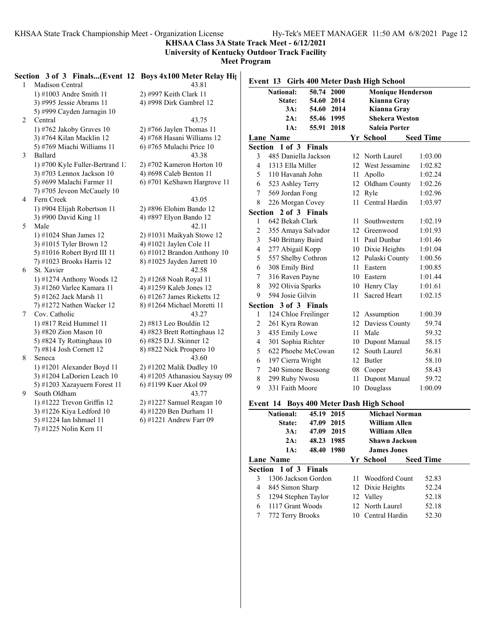**KHSAA Class 3A State Track Meet - 6/12/2021**

**University of Kentucky Outdoor Track Facility**

**Meet Program**

| 1 | Section 3 of 3 Finals(Event 12 Boys 4x100 Meter Relay Hights<br>Madison Central | 43.81                          |                          |                       |            |  | Event 13 Girls 400 Meter Dash High School |                  |
|---|---------------------------------------------------------------------------------|--------------------------------|--------------------------|-----------------------|------------|--|-------------------------------------------|------------------|
|   | 1) $\#1003$ Andre Smith 11                                                      | 2) #997 Keith Clark 11         |                          | <b>National:</b>      | 50.74 2000 |  | <b>Monique Henderson</b>                  |                  |
|   | 3) #995 Jessie Abrams 11                                                        | 4) #998 Dirk Gambrel 12        |                          | State:                | 54.60 2014 |  | Kianna Gray                               |                  |
|   | 5) #999 Cayden Jarnagin 10                                                      |                                |                          | $3A$ :                | 54.60 2014 |  | Kianna Gray                               |                  |
| 2 | Central                                                                         | 43.75                          |                          | 2A:                   | 55.46 1995 |  | <b>Shekera Weston</b>                     |                  |
|   | 1) #762 Jakoby Graves $10$                                                      | $2)$ #766 Jaylen Thomas 11     |                          | 1A:                   | 55.91 2018 |  | <b>Saleia Porter</b>                      |                  |
|   | 3) #764 Kilan Macklin 12                                                        | 4) #768 Hasani Williams 12     |                          | <b>Lane Name</b>      |            |  | Yr School                                 | <b>Seed Time</b> |
|   | 5) #769 Miachi Williams 11                                                      | 6) #765 Mulachi Price 10       |                          | Section 1 of 3 Finals |            |  |                                           |                  |
| 3 | Ballard                                                                         | 43.38                          | 3                        | 485 Daniella Jackson  |            |  | 12 North Laurel                           | 1:03.00          |
|   | 1) #700 Kyle Fuller-Bertrand 1.                                                 | $2)$ #702 Kameron Horton 10    | $\overline{\mathcal{A}}$ | 1313 Ella Miller      |            |  | 12 West Jessamine                         | 1:02.82          |
|   | 3) #703 Lennox Jackson 10                                                       | 4) #698 Caleb Benton 11        | $\overline{\mathcal{L}}$ | 110 Havanah John      |            |  | 11 Apollo                                 | 1:02.24          |
|   | 5) #699 Malachi Farmer 11                                                       | 6) #701 KeShawn Hargrove 11    | 6                        | 523 Ashley Terry      |            |  | 12 Oldham County                          | 1:02.26          |
|   | 7) #705 Jeveon McCauely 10                                                      |                                | 7                        | 569 Jordan Fong       |            |  | 12 Ryle                                   | 1:02.96          |
| 4 | Fern Creek                                                                      | 43.05                          | 8                        | 226 Morgan Covey      |            |  | 11 Central Hardin                         | 1:03.97          |
|   | 1) #904 Elijah Robertson 11                                                     | 2) #896 Elohim Bando 12        |                          |                       |            |  |                                           |                  |
|   | 3) #900 David King 11                                                           | 4) #897 Elyon Bando 12         |                          | Section 2 of 3 Finals |            |  |                                           |                  |
| 5 | Male                                                                            | 42.11                          | 1                        | 642 Bekah Clark       |            |  | 11 Southwestern                           | 1:02.19          |
|   | 1) #1024 Shan James 12                                                          | 2) #1031 Maikyah Stowe 12      | $\overline{c}$           | 355 Amaya Salvador    |            |  | 12 Greenwood                              | 1:01.93          |
|   | 3) #1015 Tyler Brown 12                                                         | 4) #1021 Jaylen Cole 11        | 3                        | 540 Brittany Baird    |            |  | 11 Paul Dunbar                            | 1:01.46          |
|   | 5) #1016 Robert Byrd III 11                                                     | $6$ ) #1012 Brandon Anthony 10 | 4                        | 277 Abigail Kopp      |            |  | 10 Dixie Heights                          | 1:01.04          |
|   | 7) #1023 Brooks Harris 12                                                       | 8) #1025 Jayden Jarrett 10     | 5                        | 557 Shelby Cothron    |            |  | 12 Pulaski County                         | 1:00.56          |
| 6 | St. Xavier                                                                      | 42.58                          | 6                        | 308 Emily Bird        |            |  | 11 Eastern                                | 1:00.85          |
|   | 1) #1274 Anthony Woods 12                                                       | 2) #1268 Noah Royal 11         | 7                        | 316 Raven Payne       |            |  | 10 Eastern                                | 1:01.44          |
|   | 3) #1260 Varlee Kamara 11                                                       | 4) #1259 Kaleb Jones 12        | 8                        | 392 Olivia Sparks     |            |  | 10 Henry Clay                             | 1:01.61          |
|   | 5) #1262 Jack Marsh 11                                                          | $6$ ) #1267 James Ricketts 12  | 9                        | 594 Josie Gilvin      |            |  | 11 Sacred Heart                           | 1:02.15          |
|   | 7) #1272 Nathen Wacker 12                                                       | 8) #1264 Michael Moretti 11    |                          | Section 3 of 3 Finals |            |  |                                           |                  |
| 7 | Cov. Catholic                                                                   | 43.27                          | 1                        | 124 Chloe Freilinger  |            |  | 12 Assumption                             | 1:00.39          |
|   | 1) #817 Reid Hummel 11                                                          | 2) #813 Leo Bouldin 12         | 2                        | 261 Kyra Rowan        |            |  | 12 Daviess County                         | 59.74            |
|   | 3) #820 Zion Mason 10                                                           | 4) #823 Brett Rottinghaus 12   | 3                        | 435 Emily Lowe        |            |  | 11 Male                                   | 59.32            |
|   | 5) #824 Ty Rottinghaus 10                                                       | 6) #825 D.J. Skinner 12        | 4                        | 301 Sophia Richter    |            |  | 10 Dupont Manual                          | 58.15            |
|   | 7) #814 Josh Cornett 12                                                         | 8) #822 Nick Prospero 10       | 5                        | 622 Phoebe McCowan    |            |  | 12 South Laurel                           | 56.81            |
| 8 | Seneca                                                                          | 43.60                          | 6                        | 197 Cierra Wright     |            |  | 12 Butler                                 | 58.10            |
|   | 1) #1201 Alexander Boyd 11                                                      | 2) #1202 Malik Dudley 10       | 7                        | 240 Simone Bessong    |            |  | 08 Cooper                                 | 58.43            |
|   | 3) #1204 LaDorien Leach 10                                                      | 4) #1205 Athanasiou Saysay 09  | 8                        | 299 Ruby Nwosu        |            |  | 11 Dupont Manual                          | 59.72            |
|   | 5) #1203 Xazayuern Forest 11                                                    | 6) #1199 Kuer Akol 09          | 9                        | 331 Faith Moore       |            |  | 10 Douglass                               | 1:00.09          |
| 9 | South Oldham                                                                    | 43.77                          |                          |                       |            |  |                                           |                  |
|   | 1) #1222 Trevon Griffin 12                                                      | 2) #1227 Samuel Reagan 10      |                          |                       |            |  | Event 14 Boys 400 Meter Dash High School  |                  |
|   | 3) #1226 Kiya Ledford 10                                                        | 4) #1220 Ben Durham 11         |                          | <b>National:</b>      | 45.19 2015 |  | <b>Michael Norman</b>                     |                  |
|   | 5) #1224 Ian Ishmael 11                                                         | $6$ ) #1221 Andrew Farr 09     |                          | State:                | 47.09 2015 |  | <b>William Allen</b>                      |                  |
|   | 7) #1225 Nolin Kern 11                                                          |                                |                          | $3A$ :                | 47.09 2015 |  | <b>William Allen</b>                      |                  |

|   |                              |                   |  | Event 14 Boys 400 Meter Dash High School |                  |
|---|------------------------------|-------------------|--|------------------------------------------|------------------|
|   | National:                    | 45.19 2015        |  | <b>Michael Norman</b>                    |                  |
|   |                              | State: 47.09 2015 |  | William Allen                            |                  |
|   | $3A$ :                       | 47.09 2015        |  | William Allen                            |                  |
|   | 2A:                          | 48.23 1985        |  | <b>Shawn Jackson</b>                     |                  |
|   | 1A:                          | 48.40 1980        |  | <b>James Jones</b>                       |                  |
|   | <b>Lane Name</b>             |                   |  | Yr School                                | <b>Seed Time</b> |
|   | <b>Section 1 of 3 Finals</b> |                   |  |                                          |                  |
| 3 | 1306 Jackson Gordon          |                   |  | 11 Woodford Count                        | 52.83            |
| 4 | 845 Simon Sharp              |                   |  | 12 Dixie Heights                         | 52.24            |
| 5 | 1294 Stephen Taylor          |                   |  | 12 Valley                                | 52.18            |
|   | 6 1117 Grant Woods           |                   |  | 12 North Laurel                          | 52.18            |
| 7 | 772 Terry Brooks             |                   |  | 10 Central Hardin                        | 52.30            |
|   |                              |                   |  |                                          |                  |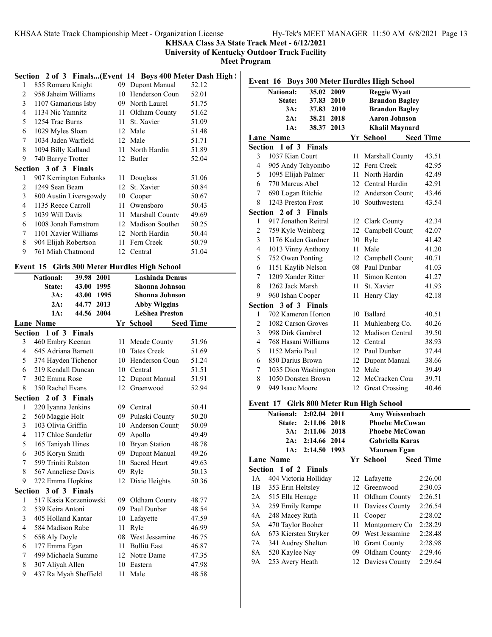**KHSAA Class 3A State Track Meet - 6/12/2021**

**University of Kentucky Outdoor Track Facility**

**Meet Program**

### Section 2 of 3 Finals...(Event 14 Boys 400 Meter Dash High !

| 1 | 855 Romaro Knight            | 09  | Dupont Manual   | 52.12 |
|---|------------------------------|-----|-----------------|-------|
| 2 | 958 Jaheim Williams          | 10  | Henderson Coun  | 52.01 |
| 3 | 1107 Gamarious Isby          | 09. | North Laurel    | 51.75 |
| 4 | 1134 Nic Yamnitz             | 11  | Oldham County   | 51.62 |
| 5 | 1254 Trae Burns              | 11  | St. Xavier      | 51.09 |
| 6 | 1029 Myles Sloan             | 12  | Male            | 51.48 |
| 7 | 1034 Jaden Warfield          | 12  | Male            | 51.71 |
| 8 | 1094 Billy Kalland           |     | 11 North Hardin | 51.89 |
| 9 | 740 Barrye Trotter           |     | 12 Butler       | 52.04 |
|   | <b>Section 3 of 3 Finals</b> |     |                 |       |
| 1 | 907 Kerrington Eubanks       | 11  | Douglass        | 51.06 |
| 2 | 1249 Sean Beam               | 12  | St. Xavier      | 50.84 |
| 3 | 800 Austin Liversgowdy       | 10  | Cooper          | 50.67 |
| 4 | 1135 Reece Carroll           | 11  | Owensboro       | 50.43 |
| 5 | 1039 Will Davis              | 11  | Marshall County | 49.69 |
| 6 | 1008 Jonah Farnstrom         | 12  | Madison Souther | 50.25 |
| 7 | 1101 Xavier Williams         |     | 12 North Hardin | 50.44 |
| 8 | 904 Elijah Robertson         | 11  | Fern Creek      | 50.79 |
| 9 | 761 Miah Chatmond            |     | 12 Central      | 51.04 |

### **Event 15 Girls 300 Meter Hurdles High School**

|                | <b>National:</b>      | 39.98 2001             | <b>Lashinda Demus</b> |                       |                  |  |  |
|----------------|-----------------------|------------------------|-----------------------|-----------------------|------------------|--|--|
|                | State:                | 43.00 1995             | Shonna Johnson        |                       |                  |  |  |
|                | 3A:                   | 43.00 1995             |                       | <b>Shonna Johnson</b> |                  |  |  |
|                | $2A$ :                | 44.77 2013             |                       | <b>Abby Wiggins</b>   |                  |  |  |
|                | 1A:                   | 44.56 2004             |                       | <b>LeShea Preston</b> |                  |  |  |
|                | <b>Lane Name</b>      |                        |                       | Yr School             | <b>Seed Time</b> |  |  |
|                | Section 1 of 3        | <b>Finals</b>          |                       |                       |                  |  |  |
| 3              | 460 Embry Keenan      |                        | 11                    | Meade County          | 51.96            |  |  |
| $\overline{4}$ | 645 Adriana Barnett   |                        |                       | 10 Tates Creek        | 51.69            |  |  |
| 5              | 374 Hayden Tichenor   |                        |                       | 10 Henderson Coun     | 51.24            |  |  |
| 6              | 219 Kendall Duncan    |                        | 10                    | Central               | 51.51            |  |  |
| 7              | 302 Emma Rose         |                        | 12                    | Dupont Manual         | 51.91            |  |  |
| 8              | 350 Rachel Evans      |                        | 12 <sup>2</sup>       | Greenwood             | 52.94            |  |  |
|                | Section 2 of 3 Finals |                        |                       |                       |                  |  |  |
| 1              | 220 Iyanna Jenkins    |                        | 09                    | Central               | 50.41            |  |  |
| $\overline{c}$ | 560 Maggie Holt       |                        |                       | 09 Pulaski County     | 50.20            |  |  |
| 3              | 103 Olivia Griffin    |                        |                       | 10 Anderson Count     | 50.09            |  |  |
| $\overline{4}$ | 117 Chloe Sandefur    |                        | 09                    | Apollo                | 49.49            |  |  |
| 5              | 165 Taniyah Hines     |                        |                       | 10 Bryan Station      | 48.78            |  |  |
| 6              | 305 Koryn Smith       |                        |                       | 09 Dupont Manual      | 49.26            |  |  |
| 7              | 599 Triniti Ralston   |                        |                       | 10 Sacred Heart       | 49.63            |  |  |
| 8              | 567 Anneliese Davis   |                        | 09                    | Ryle                  | 50.13            |  |  |
| 9              | 272 Emma Hopkins      |                        | 12                    | Dixie Heights         | 50.36            |  |  |
|                | Section 3 of 3 Finals |                        |                       |                       |                  |  |  |
| 1              |                       | 517 Kasia Korzeniowski | 09                    | Oldham County         | 48.77            |  |  |
| $\overline{c}$ | 539 Keira Antoni      |                        |                       | 09 Paul Dunbar        | 48.54            |  |  |
| 3              | 405 Holland Kantar    |                        |                       | 10 Lafayette          | 47.59            |  |  |
| $\overline{4}$ | 584 Madison Rabe      |                        | 11                    | Ryle                  | 46.99            |  |  |
| 5              | 658 Aly Doyle         |                        |                       | 08 West Jessamine     | 46.75            |  |  |
| 6              | 177 Emma Egan         |                        |                       | 11 Bullitt East       | 46.87            |  |  |
| 7              | 499 Michaela Summe    |                        |                       | 12 Notre Dame         | 47.35            |  |  |
| 8              | 307 Aliyah Allen      |                        |                       | 10 Eastern            | 47.98            |  |  |
| 9              | 437 Ra Myah Sheffield |                        | 11                    | Male                  | 48.58            |  |  |
|                |                       |                        |                       |                       |                  |  |  |

|                          | Event 16 Boys 300 Meter Hurdles High School |              |      |        |                       |                  |  |  |  |  |
|--------------------------|---------------------------------------------|--------------|------|--------|-----------------------|------------------|--|--|--|--|
|                          | <b>National:</b>                            | 35.02        | 2009 |        | <b>Reggie Wyatt</b>   |                  |  |  |  |  |
|                          | State:                                      | 37.83        | 2010 |        | <b>Brandon Bagley</b> |                  |  |  |  |  |
|                          | $3A$ :                                      | 37.83        | 2010 |        | <b>Brandon Bagley</b> |                  |  |  |  |  |
|                          | 2A:                                         | 38.21 2018   |      |        | <b>Aaron Johnson</b>  |                  |  |  |  |  |
|                          | 1A:<br>38.37 2013<br><b>Khalil Maynard</b>  |              |      |        |                       |                  |  |  |  |  |
|                          | <b>Lane Name</b>                            |              |      |        | Yr School             | <b>Seed Time</b> |  |  |  |  |
|                          | Section 1 of 3 Finals                       |              |      |        |                       |                  |  |  |  |  |
| 3                        | 1037 Kian Court                             |              |      |        | 11 Marshall County    | 43.51            |  |  |  |  |
| $\overline{4}$           | 905 Andy Tchyombo                           |              |      |        | 12 Fern Creek         | 42.95            |  |  |  |  |
| 5                        | 1095 Elijah Palmer                          |              |      |        | 11 North Hardin       | 42.49            |  |  |  |  |
| 6                        | 770 Marcus Abel                             |              |      |        | 12 Central Hardin     | 42.91            |  |  |  |  |
| 7                        | 690 Logan Ritchie                           |              |      |        | 12 Anderson Count     | 43.46            |  |  |  |  |
| 8                        | 1243 Preston Frost                          |              |      | 10     | Southwestern          | 43.54            |  |  |  |  |
| Section                  | 2 of 3 Finals                               |              |      |        |                       |                  |  |  |  |  |
| 1                        | 917 Jonathon Reitral                        |              |      |        | 12 Clark County       | 42.34            |  |  |  |  |
| $\overline{c}$           | 759 Kyle Weinberg                           |              |      |        | 12 Campbell Count     | 42.07            |  |  |  |  |
| 3                        | 1176 Kaden Gardner                          |              |      |        | 10 Ryle               | 41.42            |  |  |  |  |
| $\overline{4}$           | 1013 Vinny Anthony                          |              |      | 11     | Male                  | 41.20            |  |  |  |  |
| 5                        | 752 Owen Ponting                            |              |      |        | 12 Campbell Count     | 40.71            |  |  |  |  |
| 6                        | 1151 Kaylib Nelson                          |              |      |        | 08 Paul Dunbar        | 41.03            |  |  |  |  |
| 7                        | 1209 Xander Ritter                          |              |      | $11 -$ | Simon Kenton          | 41.27            |  |  |  |  |
| 8                        | 1262 Jack Marsh                             |              |      | 11     | St. Xavier            | 41.93            |  |  |  |  |
| 9                        | 960 Ishan Cooper                            |              |      |        | 11 Henry Clay         | 42.18            |  |  |  |  |
|                          | Section 3 of 3 Finals                       |              |      |        |                       |                  |  |  |  |  |
| 1                        | 702 Kameron Horton                          |              |      |        | 10 Ballard            | 40.51            |  |  |  |  |
| $\overline{2}$           | 1082 Carson Groves                          |              |      |        | 11 Muhlenberg Co.     | 40.26            |  |  |  |  |
| 3                        | 998 Dirk Gambrel                            |              |      |        | 12 Madison Central    | 39.50            |  |  |  |  |
| $\overline{\mathcal{L}}$ | 768 Hasani Williams                         |              |      |        | 12 Central            | 38.93            |  |  |  |  |
| 5                        | 1152 Mario Paul                             |              |      |        | 12 Paul Dunbar        | 37.44            |  |  |  |  |
| 6                        | 850 Darius Brown                            |              |      |        | 12 Dupont Manual      | 38.66            |  |  |  |  |
| 7                        | 1035 Dion Washington                        |              |      |        | 12 Male               | 39.49            |  |  |  |  |
| 8                        | 1050 Donsten Brown                          |              |      | 12     | McCracken Cou         | 39.71            |  |  |  |  |
| 9                        | 949 Isaac Moore                             |              |      | 12     | <b>Great Crossing</b> | 40.46            |  |  |  |  |
|                          | Event 17 Girls 800 Meter Run High School    |              |      |        |                       |                  |  |  |  |  |
|                          | $\mathbf{r}$                                | 2.02.04.2044 |      |        |                       |                  |  |  |  |  |

|    | <b>National:</b>      | 2:02.04 2011 |     | <b>Amy Weissenbach</b> |                  |
|----|-----------------------|--------------|-----|------------------------|------------------|
|    | State:                | 2:11.06 2018 |     | <b>Phoebe McCowan</b>  |                  |
|    | 3A:                   | 2:11.06 2018 |     | <b>Phoebe McCowan</b>  |                  |
|    | 2A:                   | 2:14.66 2014 |     | Gabriella Karas        |                  |
|    | 1A:                   | 2:14.50 1993 |     | <b>Maureen Egan</b>    |                  |
|    | Lane Name             |              |     | Yr School -            | <b>Seed Time</b> |
|    | Section 1 of 2 Finals |              |     |                        |                  |
| 1A | 404 Victoria Holliday |              |     | 12 Lafayette           | 2:26.00          |
| 1B | 353 Erin Heltsley     |              |     | 12 Greenwood           | 2:30.03          |
| 2A | 515 Ella Henage       |              | 11. | Oldham County          | 2:26.51          |
| 3A | 259 Emily Rempe       |              |     | 11 Daviess County      | 2:26.54          |
| 4A | 248 Macey Ruth        |              | 11  | Cooper                 | 2:28.02          |
| 5A | 470 Taylor Booher     |              | 11  | Montgomery Co          | 2:28.29          |
| 6A | 673 Kiersten Stryker  |              |     | 09 West Jessamine      | 2:28.48          |
| 7A | 341 Audrey Shelton    |              |     | 10 Grant County        | 2:28.98          |
| 8A | 520 Kaylee Nay        |              |     | 09 Oldham County       | 2:29.46          |
| 9А | 253 Avery Heath       |              |     | 12 Daviess County      | 2:29.64          |
|    |                       |              |     |                        |                  |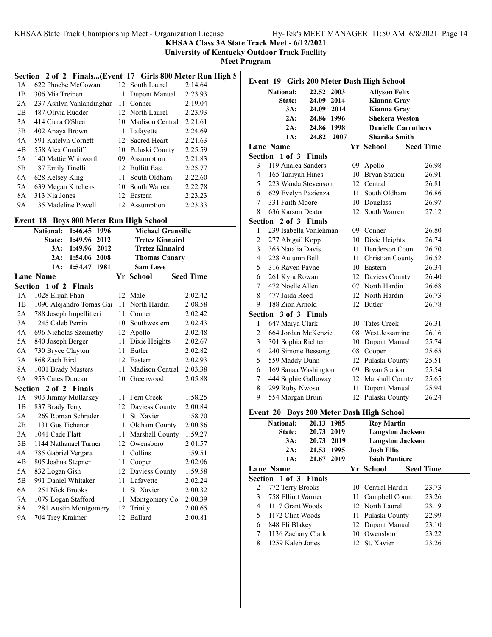**KHSAA Class 3A State Track Meet - 6/12/2021**

**University of Kentucky Outdoor Track Facility**

**Meet Program**

# **Section 2 of 2 Finals...(Event 17 Girls 800 Meter Run High S**

| 1 A            | 622 Phoebe McCowan       |     | 12 South Laurel    | 2:14.64 |
|----------------|--------------------------|-----|--------------------|---------|
| 1B             | 306 Mia Treinen          | 11  | Dupont Manual      | 2:23.93 |
| 2A             | 237 Ashlyn Vanlandinghar | 11  | Conner             | 2:19.04 |
| 2B             | 487 Olivia Rudder        |     | 12 North Laurel    | 2:23.93 |
| 3A             | 414 Ciara O'Shea         |     | 10 Madison Central | 2:21.61 |
| 3B             | 402 Anaya Brown          |     | 11 Lafavette       | 2:24.69 |
| 4A             | 591 Katelyn Cornett      |     | 12 Sacred Heart    | 2:21.63 |
| 4 <sub>B</sub> | 558 Alex Cundiff         |     | 10 Pulaski County  | 2:25.59 |
| 5A             | 140 Mattie Whitworth     | 09. | Assumption         | 2:21.83 |
| 5B             | 187 Emily Tinelli        |     | 12 Bullitt East    | 2:25.77 |
| 6A             | 628 Kelsey King          | 11  | South Oldham       | 2:22.60 |
| 7A             | 639 Megan Kitchens       | 10  | South Warren       | 2:22.78 |
| 8A             | 313 Nia Jones            | 12. | Eastern            | 2:23.23 |
| <b>9A</b>      | 135 Madeline Powell      | 12. | Assumption         | 2:23.33 |

#### **Event 18 Boys 800 Meter Run High School**

|           | <b>National:</b>        | 1:46.45 1996  |      |    | <b>Michael Granville</b> |                  |
|-----------|-------------------------|---------------|------|----|--------------------------|------------------|
|           | State:                  | 1:49.96       | 2012 |    | <b>Tretez Kinnaird</b>   |                  |
|           | 3A:                     | 1:49.96       | 2012 |    | <b>Tretez Kinnaird</b>   |                  |
|           | 2A:                     | 1:54.06       | 2008 |    | <b>Thomas Canary</b>     |                  |
|           | 1A:                     | 1:54.47       | 1981 |    | <b>Sam Love</b>          |                  |
|           | <b>Lane Name</b>        |               |      |    | Yr School                | <b>Seed Time</b> |
| Section   | $1$ of $2$              | <b>Finals</b> |      |    |                          |                  |
| 1A        | 1028 Elijah Phan        |               |      |    | 12 Male                  | 2:02.42          |
| 1B        | 1090 Alejandro Tomas Ga |               |      | 11 | North Hardin             | 2:08.58          |
| 2A        | 788 Joseph Impellitteri |               |      | 11 | Conner                   | 2:02.42          |
| 3A        | 1245 Caleb Perrin       |               |      | 10 | Southwestern             | 2:02.43          |
| 4A        | 696 Nicholas Szemethy   |               |      |    | 12 Apollo                | 2:02.48          |
| 5A        | 840 Joseph Berger       |               |      | 11 | Dixie Heights            | 2:02.67          |
| 6A        | 730 Bryce Clayton       |               |      | 11 | <b>Butler</b>            | 2:02.82          |
| 7A        | 868 Zach Bird           |               |      |    | 12 Eastern               | 2:02.93          |
| 8A        | 1001 Brady Masters      |               |      | 11 | Madison Central          | 2:03.38          |
| <b>9A</b> | 953 Cates Duncan        |               |      | 10 | Greenwood                | 2:05.88          |
| Section   |                         | 2 of 2 Finals |      |    |                          |                  |
| 1A        | 903 Jimmy Mullarkey     |               |      | 11 | Fern Creek               | 1:58.25          |
| 1B        | 837 Brady Terry         |               |      | 12 | Daviess County           | 2:00.84          |
| 2A        | 1269 Roman Schrader     |               |      | 11 | St. Xavier               | 1:58.70          |
| 2B        | 1131 Gus Tichenor       |               |      | 11 | Oldham County            | 2:00.86          |
| 3A        | 1041 Cade Flatt         |               |      | 11 | Marshall County          | 1:59.27          |
| 3B        | 1144 Nathanael Turner   |               |      | 12 | Owensboro                | 2:01.57          |
| 4A        | 785 Gabriel Vergara     |               |      | 11 | Collins                  | 1:59.51          |
| 4B        | 805 Joshua Stepner      |               |      | 11 | Cooper                   | 2:02.06          |
| 5A        | 832 Logan Gish          |               |      | 12 | Daviess County           | 1:59.58          |
| 5B        | 991 Daniel Whitaker     |               |      | 11 | Lafayette                | 2:02.24          |
| 6A        | 1251 Nick Brooks        |               |      | 11 | St. Xavier               | 2:00.32          |
| 7Α        | 1079 Logan Stafford     |               |      | 11 | Montgomery Co            | 2:00.39          |
| 8A        | 1281 Austin Montgomery  |               |      | 12 | Trinity                  | 2:00.65          |
| <b>9A</b> | 704 Trey Kraimer        |               |      | 12 | Ballard                  | 2:00.81          |

| Event 19 Girls 200 Meter Dash High School |                                                        |               |      |      |                                        |                  |  |
|-------------------------------------------|--------------------------------------------------------|---------------|------|------|----------------------------------------|------------------|--|
|                                           | <b>National:</b><br>22.52 2003<br><b>Allyson Felix</b> |               |      |      |                                        |                  |  |
|                                           | State:                                                 | 24.09 2014    |      |      | Kianna Gray                            |                  |  |
|                                           | 3A:                                                    | 24.09 2014    |      |      | Kianna Gray                            |                  |  |
|                                           | 2A:                                                    | 24.86 1996    |      |      | <b>Shekera Weston</b>                  |                  |  |
|                                           | 2A:                                                    | 24.86 1998    |      |      | <b>Danielle Carruthers</b>             |                  |  |
|                                           | 1A:                                                    | 24.82         | 2007 |      | <b>Sharika Smith</b>                   |                  |  |
|                                           | Lane Name                                              |               |      |      | Yr School                              | <b>Seed Time</b> |  |
| Section                                   | 1 of 3                                                 | <b>Finals</b> |      |      |                                        |                  |  |
| 3                                         | 119 Analea Sanders                                     |               |      | 09   | Apollo                                 | 26.98            |  |
| 4                                         | 165 Taniyah Hines                                      |               |      | 10   | <b>Bryan Station</b>                   | 26.91            |  |
| 5                                         | 223 Wanda Stevenson                                    |               |      | 12   | Central                                | 26.81            |  |
| 6                                         | 629 Evelyn Pazienza                                    |               |      | 11 - | South Oldham                           | 26.86            |  |
| 7                                         | 331 Faith Moore                                        |               |      |      | 10 Douglass                            | 26.97            |  |
| 8                                         | 636 Karson Deaton                                      |               |      | 12   | South Warren                           | 27.12            |  |
| Section                                   | 2 of 3 Finals                                          |               |      |      |                                        |                  |  |
| 1                                         | 239 Isabella Vonlehman                                 |               |      |      | 09 Conner                              | 26.80            |  |
| $\overline{c}$                            | 277 Abigail Kopp                                       |               |      |      | 10 Dixie Heights                       | 26.74            |  |
| 3                                         | 365 Natalia Davis                                      |               |      |      | 11 Henderson Coun                      | 26.70            |  |
| 4                                         | 228 Autumn Bell                                        |               |      |      | 11 Christian County                    | 26.52            |  |
| 5                                         | 316 Raven Payne                                        |               |      |      | 10 Eastern                             | 26.34            |  |
| 6                                         | 261 Kyra Rowan                                         |               |      |      | 12 Daviess County                      | 26.40            |  |
| $\tau$                                    | 472 Noelle Allen                                       |               |      |      | 07 North Hardin                        | 26.68            |  |
| 8                                         | 477 Jaida Reed                                         |               |      |      | 12 North Hardin                        | 26.73            |  |
| 9                                         | 188 Zion Arnold                                        |               |      |      | 12 Butler                              | 26.78            |  |
|                                           | Section 3 of 3 Finals                                  |               |      |      |                                        |                  |  |
| 1                                         | 647 Maiya Clark                                        |               |      |      | 10 Tates Creek                         | 26.31            |  |
| $\overline{c}$                            | 664 Jordan McKenzie                                    |               |      |      | 08 West Jessamine                      | 26.16            |  |
| 3                                         | 301 Sophia Richter                                     |               |      |      | 10 Dupont Manual                       | 25.74            |  |
| $\overline{\mathcal{L}}$                  | 240 Simone Bessong                                     |               |      |      | 08 Cooper                              | 25.65            |  |
| 5                                         | 559 Maddy Dunn                                         |               |      |      | 12 Pulaski County                      | 25.51            |  |
| 6                                         | 169 Sanaa Washington                                   |               |      |      | 09 Bryan Station                       | 25.54            |  |
| 7                                         | 444 Sophie Galloway                                    |               |      |      | 12 Marshall County                     | 25.65            |  |
| 8                                         | 299 Ruby Nwosu                                         |               |      |      | 11 Dupont Manual                       | 25.94            |  |
| 9                                         | 554 Morgan Bruin                                       |               |      |      | 12 Pulaski County                      | 26.24            |  |
| Event 20                                  |                                                        |               |      |      | <b>Boys 200 Meter Dash High School</b> |                  |  |
|                                           | 20.13<br><b>Roy Martin</b><br><b>National:</b><br>1985 |               |      |      |                                        |                  |  |

|   | <b>National:</b>      | 20.13 1985 |  | <b>Roy Martin</b>       |                  |
|---|-----------------------|------------|--|-------------------------|------------------|
|   | State:                | 20.73 2019 |  | <b>Langston Jackson</b> |                  |
|   | 3A:                   | 20.73 2019 |  | <b>Langston Jackson</b> |                  |
|   | 2A:                   | 21.53 1995 |  | <b>Josh Ellis</b>       |                  |
|   | 1A:                   | 21.67 2019 |  | <b>Isiah Pantiere</b>   |                  |
|   | Lane Name             |            |  | Yr School               | <b>Seed Time</b> |
|   | Section 1 of 3 Finals |            |  |                         |                  |
| 2 | 772 Terry Brooks      |            |  | 10 Central Hardin       | 23.73            |
| 3 | 758 Elliott Warner    |            |  | 11 Campbell Count       | 23.26            |
| 4 | 1117 Grant Woods      |            |  | 12 North Laurel         | 23.19            |
| 5 | 1172 Clint Woods      |            |  | 11 Pulaski County       | 22.99            |
| 6 | 848 Eli Blakey        |            |  | 12 Dupont Manual        | 23.10            |
| 7 | 1136 Zachary Clark    |            |  | 10 Owensboro            | 23.22            |
| 8 | 1259 Kaleb Jones      |            |  | 12 St. Xavier           | 23.26            |
|   |                       |            |  |                         |                  |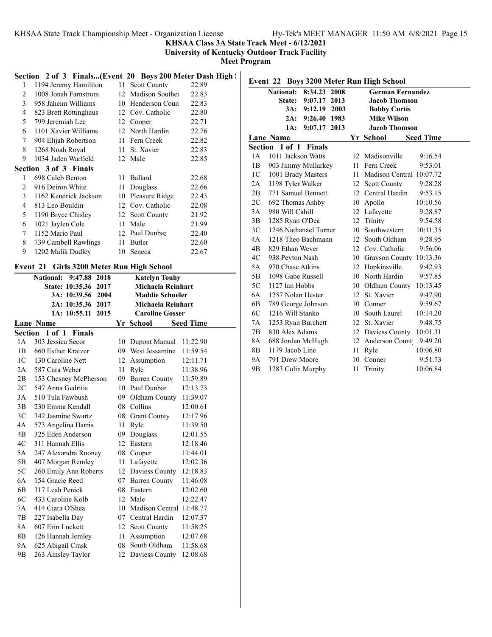### **KHSAA Class 3A State Track Meet - 6/12/2021**

**University of Kentucky Outdoor Track Facility**

**Meet Program**

# Section 2 of 3 Finals...(Event 20 Boys 200 Meter Dash High !

| 1              | 1194 Jeremy Hamiliton        |    | 11 Scott County    | 22.89 |
|----------------|------------------------------|----|--------------------|-------|
| 2              | 1008 Jonah Farnstrom         |    | 12 Madison Souther | 22.83 |
| 3              | 958 Jaheim Williams          |    | 10 Henderson Coun  | 22.83 |
| $\overline{4}$ | 823 Brett Rottinghaus        |    | 12 Cov. Catholic   | 22.80 |
| 5              | 799 Jeremiah Lee             |    | 12 Cooper          | 22.71 |
| 6              | 1101 Xavier Williams         |    | 12 North Hardin    | 22.76 |
| 7              | 904 Elijah Robertson         | 11 | Fern Creek         | 22.82 |
| 8              | 1268 Noah Royal              | 11 | St. Xavier         | 22.83 |
| 9              | 1034 Jaden Warfield          |    | 12 Male            | 22.85 |
|                | <b>Section 3 of 3 Finals</b> |    |                    |       |
| 1              | 698 Caleb Benton             | 11 | <b>Ballard</b>     | 22.68 |
| 2              | 916 Deiron White             | 11 | Douglass           | 22.66 |
|                |                              |    |                    |       |
| 3              | 1162 Kendrick Jackson        | 10 | Pleasure Ridge     | 22.43 |
| $\overline{4}$ | 813 Leo Bouldin              | 12 | Cov. Catholic      | 22.08 |
| 5              | 1190 Bryce Chisley           |    | 12 Scott County    | 21.92 |
| 6              | 1021 Jaylen Cole             | 11 | Male               | 21.99 |
| 7              | 1152 Mario Paul              | 12 | Paul Dunbar        | 22.40 |
| 8              | 739 Cambell Rawlings         | 11 | Butler             | 22.60 |
| 9              | 1202 Malik Dudley            | 10 | Seneca             | 22.67 |

### **Event 21 Girls 3200 Meter Run High School**

|                | <b>National:</b><br>9:47.88 2018 |    | <b>Katelyn Touhy</b>        |                  |
|----------------|----------------------------------|----|-----------------------------|------------------|
|                | State: 10:35.36 2017             |    | Michaela Reinhart           |                  |
|                | 3A: 10:39.56 2004                |    | <b>Maddie Schueler</b>      |                  |
|                | 2A: 10:35.36 2017                |    | Michaela Reinhart           |                  |
|                | 1A: 10:55.11 2015                |    | <b>Caroline Gosser</b>      |                  |
|                | <b>Lane Name</b>                 |    | Yr School                   | <b>Seed Time</b> |
|                | Section 1 of 1 Finals            |    |                             |                  |
| 1A             | 303 Jessica Secor                | 10 | Dupont Manual               | 11:22.90         |
| 1B             | 660 Esther Kratzer               |    | 09 West Jessamine           | 11:59.54         |
| 1 <sup>C</sup> | 130 Caroline Nett                |    | 12 Assumption               | 12:11.71         |
| 2A             | 587 Cara Weber                   |    | 11 Ryle                     | 11:38.96         |
| 2B             | 153 Chesney McPherson            |    | 09 Barren County            | 11:59.89         |
| 2C             | 547 Anna Gedritis                |    | 10 Paul Dunbar              | 12:13.73         |
| 3A             | 510 Tula Fawbush                 |    | 09 Oldham County            | 11:39.07         |
| 3B             | 230 Emma Kendall                 |    | 08 Collins                  | 12:00.61         |
| 3 <sup>C</sup> | 342 Jasmine Swartz               |    | 08 Grant County             | 12:17.96         |
| 4A             | 573 Angelina Harris              | 11 | Ryle                        | 11:39.50         |
| 4B             | 325 Eden Anderson                |    | 09 Douglass                 | 12:01.55         |
| 4C             | 311 Hannah Ellis                 | 12 | Eastern                     | 12:18.46         |
| 5A             | 247 Alexandra Rooney             |    | 08 Cooper                   | 11:44.01         |
| 5B             | 407 Morgan Remley                |    | 11 Lafayette                | 12:02.36         |
| 5C             | 260 Emily Ann Roberts            |    | 12 Daviess County 12:18.83  |                  |
| 6A             | 154 Gracie Reed                  |    | 07 Barren County            | 11:46.08         |
| 6B             | 317 Leah Penick                  | 08 | Eastern                     | 12:02.60         |
| 6C             | 433 Caroline Kolb                | 12 | Male                        | 12:22.47         |
| 7A             | 414 Ciara O'Shea                 |    | 10 Madison Central 11:48.77 |                  |
| 7В             | 227 Isabella Day                 |    | 07 Central Hardin           | 12:07.37         |
| 8A             | 607 Erin Luckett                 |    | 12 Scott County             | 11:58.25         |
| 8B             | 126 Hannah Jemley                |    | 11 Assumption               | 12:07.68         |
| 9А             | 625 Abigail Crask                |    | 08 South Oldham             | 11:58.68         |
| 9B             | 263 Ainsley Taylor               |    | 12 Daviess County           | 12:08.68         |
|                |                                  |    |                             |                  |

|                |                    |                       |      |    | Event 22 Boys 3200 Meter Run High School |                  |  |
|----------------|--------------------|-----------------------|------|----|------------------------------------------|------------------|--|
|                | <b>National:</b>   | 8:34.23 2008          |      |    | <b>German Fernandez</b>                  |                  |  |
|                | State:             | 9:07.17               | 2013 |    | <b>Jacob Thomson</b>                     |                  |  |
|                | 3A:                | 9:12.19               | 2003 |    | <b>Bobby Curtis</b>                      |                  |  |
|                | 2A:                | 9:26.40 1983          |      |    | <b>Mike Wilson</b>                       |                  |  |
|                | 1A:                | 9:07.17 2013          |      |    | <b>Jacob Thomson</b>                     |                  |  |
|                | <b>Lane Name</b>   |                       |      |    | Yr School                                | <b>Seed Time</b> |  |
| Section        | $1$ of $1$         | <b>Finals</b>         |      |    |                                          |                  |  |
| 1 A            | 1011 Jackson Watts |                       |      | 12 | Madisonville                             | 9:16.54          |  |
| 1B             |                    | 903 Jimmy Mullarkey   |      | 11 | Fern Creek                               | 9:53.01          |  |
| 1 <sup>C</sup> | 1001 Brady Masters |                       |      | 11 | Madison Central 10:07.72                 |                  |  |
| 2A             | 1198 Tyler Walker  |                       |      | 12 | <b>Scott County</b>                      | 9:28.28          |  |
| 2B             |                    | 771 Samuel Bennett    |      | 12 | Central Hardin                           | 9:53.15          |  |
| 2C             | 692 Thomas Ashby   |                       |      | 10 | Apollo                                   | 10:10.56         |  |
| 3A             | 980 Will Cahill    |                       |      | 12 | Lafayette                                | 9:28.87          |  |
| 3B             | 1285 Ryan O'Dea    |                       |      | 12 | Trinity                                  | 9:54.58          |  |
| 3C             |                    | 1246 Nathanael Turner |      | 10 | Southwestern                             | 10:11.35         |  |
| 4A             |                    | 1218 Theo Bachmann    |      | 12 | South Oldham                             | 9:28.95          |  |
| 4B             | 829 Ethan Wever    |                       |      | 12 | Cov. Catholic                            | 9:56.06          |  |
| 4C             | 938 Peyton Nash    |                       |      |    | 10 Grayson County 10:13.36               |                  |  |
| 5A             | 970 Chase Atkins   |                       |      |    | 12 Hopkinsville                          | 9:42.93          |  |
| 5B             | 1098 Gabe Russell  |                       |      | 10 | North Hardin                             | 9:57.85          |  |
| 5C             | 1127 Ian Hobbs     |                       |      |    | 10 Oldham County                         | 10:13.45         |  |
| 6A             | 1257 Nolan Hester  |                       |      |    | 12 St. Xavier                            | 9:47.90          |  |
| 6B             |                    | 789 George Johnson    |      | 10 | Conner                                   | 9:59.67          |  |
| 6C             | 1216 Will Stanko   |                       |      | 10 | South Laurel                             | 10:14.20         |  |
| 7A             | 1253 Ryan Burchett |                       |      |    | 12 St. Xavier                            | 9:48.75          |  |
| 7В             | 830 Alex Adams     |                       |      | 12 | Daviess County                           | 10:01.31         |  |
| 8A             |                    | 688 Jordan McHugh     |      | 12 | Anderson Count                           | 9:49.20          |  |
| 8 <sub>B</sub> | 1179 Jacob Line    |                       |      | 11 | Ryle                                     | 10:06.80         |  |
| 9Α             | 791 Drew Moore     |                       |      | 10 | Conner                                   | 9:51.73          |  |
| 9 <sub>B</sub> | 1283 Colin Murphy  |                       |      | 11 | Trinity                                  | 10:06.84         |  |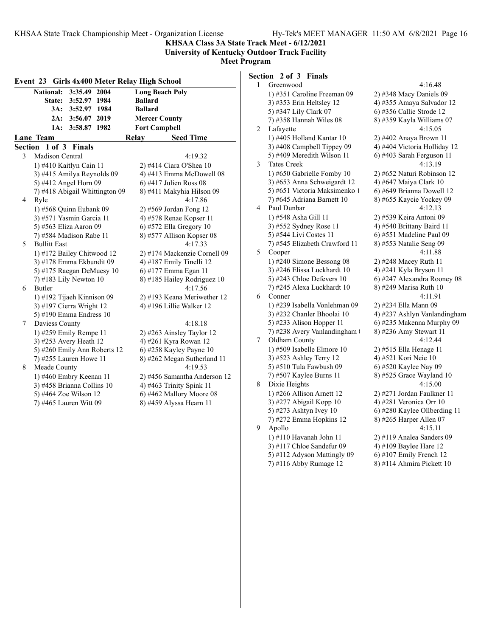**KHSAA Class 3A State Track Meet - 6/12/2021**

**University of Kentucky Outdoor Track Facility Meet Program**

|                | 3:35.49 2004<br><b>National:</b>                | <b>Long Beach Poly</b> |                                                     |  |
|----------------|-------------------------------------------------|------------------------|-----------------------------------------------------|--|
|                | State:<br>3:52.97 1984                          | <b>Ballard</b>         |                                                     |  |
|                | 3A:<br>3:52.97 1984                             | <b>Ballard</b>         |                                                     |  |
|                | 3:56.07 2019<br>2A:                             | <b>Mercer County</b>   |                                                     |  |
|                | 1A:<br>3:58.87 1982                             | <b>Fort Campbell</b>   |                                                     |  |
|                | Lane Team                                       | Relay                  | <b>Seed Time</b>                                    |  |
|                | Section 1 of 3 Finals                           |                        |                                                     |  |
| 3              | <b>Madison Central</b>                          |                        | 4:19.32                                             |  |
|                | 1) #410 Kaitlyn Cain 11                         |                        | 2) #414 Ciara O'Shea 10                             |  |
|                | 3) #415 Amilya Reynolds 09                      |                        | 4) #413 Emma McDowell 08                            |  |
|                | 5) #412 Angel Horn 09                           |                        | 6) #417 Julien Ross 08                              |  |
|                | 7) #418 Abigail Whittington 09                  |                        | 8) #411 Makyhia Hilson 09                           |  |
| $\overline{4}$ | Ryle                                            |                        | 4:17.86                                             |  |
|                | 1) #568 Quinn Eubank 09                         |                        | 2) #569 Jordan Fong 12                              |  |
|                | 3) #571 Yasmin Garcia 11                        |                        | 4) #578 Renae Kopser 11                             |  |
|                | 5) #563 Eliza Aaron 09                          |                        | 6) #572 Ella Gregory 10                             |  |
|                | 7) #584 Madison Rabe 11                         |                        | 8) #577 Allison Kopser 08                           |  |
| 5              | <b>Bullitt East</b>                             |                        | 4:17.33                                             |  |
|                | 1) #172 Bailey Chitwood 12                      |                        | 2) #174 Mackenzie Cornell 09                        |  |
|                | 3) #178 Emma Ekbundit 09                        |                        | 4) #187 Emily Tinelli 12                            |  |
|                | 5) #175 Raegan DeMuesy 10                       |                        | 6) #177 Emma Egan 11                                |  |
|                | 7) #183 Lily Newton 10                          |                        | 8) #185 Hailey Rodriguez 10                         |  |
| 6              | Butler                                          |                        | 4:17.56                                             |  |
|                | 1) #192 Tijaeh Kinnison 09                      |                        | 2) #193 Keana Meriwether 12                         |  |
|                | 3) #197 Cierra Wright 12                        |                        | 4) #196 Lillie Walker 12                            |  |
|                | 5) #190 Emma Endress 10                         |                        |                                                     |  |
| 7              | Daviess County                                  |                        | 4:18.18                                             |  |
|                | 1) #259 Emily Rempe 11                          |                        | $2)$ #263 Ainsley Taylor 12                         |  |
|                | 3) #253 Avery Heath 12                          |                        | 4) #261 Kyra Rowan 12                               |  |
|                | 5) #260 Emily Ann Roberts 12                    |                        | 6) #258 Kayley Payne 10                             |  |
|                | 7) #255 Lauren Howe 11                          |                        | 8) #262 Megan Sutherland 11                         |  |
| 8              | Meade County                                    |                        | 4:19.53                                             |  |
|                | 1) #460 Embry Keenan 11                         |                        | 2) #456 Samantha Anderson 12                        |  |
|                | 3) #458 Brianna Collins 10                      |                        | 4) #463 Trinity Spink 11                            |  |
|                | 5) #464 Zoe Wilson 12<br>7) #465 Lauren Witt 09 |                        | 6) #462 Mallory Moore 08<br>8) #459 Alyssa Hearn 11 |  |
|                |                                                 |                        |                                                     |  |

# **Section 2 of 3 Finals**

| 1 | Greenwood                     | 4:16.48                      |
|---|-------------------------------|------------------------------|
|   | 1) #351 Caroline Freeman 09   | 2) #348 Macy Daniels 09      |
|   | 3) #353 Erin Heltsley 12      | 4) #355 Amaya Salvador 12    |
|   | 5) #347 Lily Clark 07         | 6) #356 Callie Strode 12     |
|   | 7) #358 Hannah Wiles 08       | 8) #359 Kayla Williams 07    |
| 2 | Lafayette                     | 4:15.05                      |
|   | 1) #405 Holland Kantar 10     | 2) #402 Anaya Brown 11       |
|   | 3) #408 Campbell Tippey 09    | 4) #404 Victoria Holliday 12 |
|   | 5) #409 Meredith Wilson 11    | 6) #403 Sarah Ferguson 11    |
| 3 | <b>Tates Creek</b>            | 4:13.19                      |
|   | 1) #650 Gabrielle Fomby 10    | 2) #652 Naturi Robinson 12   |
|   | 3) #653 Anna Schweigardt 12   | 4) #647 Maiya Clark 10       |
|   | 5) #651 Victoria Maksimenko 1 | 6) #649 Brianna Dowell 12    |
|   | 7) #645 Adriana Barnett 10    | 8) #655 Kaycie Yockey 09     |
| 4 | Paul Dunbar                   | 4:12.13                      |
|   | 1) #548 Asha Gill 11          | 2) #539 Keira Antoni 09      |
|   | 3) #552 Sydney Rose 11        | 4) #540 Brittany Baird 11    |
|   | 5) #544 Livi Costes 11        | 6) #551 Madeline Paul 09     |
|   | 7) #545 Elizabeth Crawford 11 | 8) #553 Natalie Seng 09      |
| 5 | Cooper                        | 4:11.88                      |
|   | 1) #240 Simone Bessong 08     | 2) #248 Macey Ruth 11        |
|   | 3) #246 Elissa Luckhardt 10   | 4) #241 Kyla Bryson 11       |
|   | 5) #243 Chloe Defevers 10     | 6) #247 Alexandra Rooney 08  |
|   | 7) #245 Alexa Luckhardt 10    | 8) #249 Marisa Ruth 10       |
| 6 | Conner                        | 4:11.91                      |
|   | 1) #239 Isabella Vonlehman 09 | 2) #234 Ella Mann 09         |
|   | 3) #232 Chanler Bhoolai 10    | 4) #237 Ashlyn Vanlandingham |
|   | 5) #233 Alison Hopper 11      | 6) #235 Makenna Murphy 09    |
|   | 7) #238 Avery Vanlandingham ( | 8) #236 Amy Stewart 11       |
| 7 | Oldham County                 | 4:12.44                      |
|   | 1) #509 Isabelle Elmore 10    | 2) #515 Ella Henage 11       |
|   | 3) #523 Ashley Terry 12       | 4) #521 Kori Neie 10         |
|   | 5) #510 Tula Fawbush 09       | 6) #520 Kaylee Nay 09        |
|   | 7) #507 Kaylee Burns 11       | $(8)$ #525 Grace Wayland 10  |
| 8 | Dixie Heights                 | 4:15.00                      |
|   | 1) #266 Allison Arnett 12     | 2) #271 Jordan Faulkner 11   |
|   | 3) #277 Abigail Kopp 10       | 4) #281 Veronica Orr 10      |
|   | 5) #273 Ashtyn Ivey 10        | 6) #280 Kaylee Ollberding 11 |
|   | 7) #272 Emma Hopkins 12       | 8) #265 Harper Allen 07      |
| 9 | Apollo                        | 4:15.11                      |
|   | 1) #110 Havanah John 11       | 2) #119 Analea Sanders 09    |
|   | 3) #117 Chloe Sandefur 09     | 4) #109 Baylee Hare 12       |
|   | 5) #112 Adyson Mattingly 09   | 6) #107 Emily French 12      |
|   | 7) #116 Abby Rumage 12        | 8) #114 Ahmira Pickett 10    |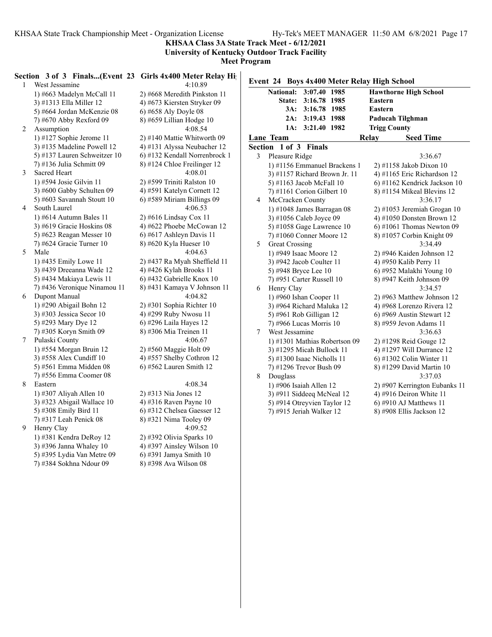**KHSAA Class 3A State Track Meet - 6/12/2021**

**University of Kentucky Outdoor Track Facility**

**Meet Program**

| 1              | Section 3 of 3 Finals(Event 23 Girls 4x400 Meter Relay High<br>West Jessamine | 4:10.89                       | Event 24 Boys 4x400 Meter Relay High School |                               |
|----------------|-------------------------------------------------------------------------------|-------------------------------|---------------------------------------------|-------------------------------|
|                | 1) #663 Madelyn McCall 11                                                     | 2) #668 Meredith Pinkston 11  | National: 3:07.40 1985                      | <b>Hawthorne High School</b>  |
|                | 3) #1313 Ella Miller 12                                                       | 4) #673 Kiersten Stryker 09   | State: 3:16.78 1985                         | Eastern                       |
|                | 5) #664 Jordan McKenzie 08                                                    | 6) #658 Aly Doyle 08          | 3A: 3:16.78 1985                            | Eastern                       |
|                | 7) #670 Abby Rexford 09                                                       | $8)$ #659 Lillian Hodge 10    | 2A: 3:19.43 1988                            | Paducah Tilghman              |
| $\overline{2}$ | Assumption                                                                    | 4:08.54                       | 1A: 3:21.40 1982                            | <b>Trigg County</b>           |
|                | 1) #127 Sophie Jerome 11                                                      | 2) #140 Mattie Whitworth 09   | Lane Team                                   | Relay<br><b>Seed Time</b>     |
|                | 3) #135 Madeline Powell 12                                                    | 4) #131 Alyssa Neubacher 12   | Section 1 of 3 Finals                       |                               |
|                | 5) #137 Lauren Schweitzer 10                                                  | 6) #132 Kendall Norrenbrock 1 | Pleasure Ridge<br>3                         | 3:36.67                       |
|                | 7) #136 Julia Schmitt 09                                                      | 8) #124 Chloe Freilinger 12   | 1) #1156 Emmanuel Brackens 1                | 2) #1158 Jakob Dixon 10       |
| 3              | Sacred Heart                                                                  | 4:08.01                       | 3) #1157 Richard Brown Jr. 11               | 4) #1165 Eric Richardson 12   |
|                | 1) #594 Josie Gilvin 11                                                       | 2) #599 Triniti Ralston 10    | 5) #1163 Jacob McFall 10                    | 6) #1162 Kendrick Jackson 10  |
|                | 3) #600 Gabby Schulten 09                                                     | 4) #591 Katelyn Cornett 12    | 7) #1161 Corion Gilbert 10                  | 8) #1154 Mikeal Blevins 12    |
|                | 5) #603 Savannah Stoutt 10                                                    | 6) #589 Miriam Billings 09    | McCracken County<br>4                       | 3:36.17                       |
| 4              | South Laurel                                                                  | 4:06.53                       | 1) #1048 James Barragan 08                  | 2) #1053 Jeremiah Grogan 10   |
|                | 1) #614 Autumn Bales 11                                                       | 2) #616 Lindsay Cox 11        | 3) #1056 Caleb Joyce 09                     | 4) #1050 Donsten Brown 12     |
|                | 3) #619 Gracie Hoskins 08                                                     | 4) #622 Phoebe McCowan 12     | 5) #1058 Gage Lawrence $10$                 | $6$ ) #1061 Thomas Newton 09  |
|                | 5) #623 Reagan Messer 10                                                      | 6) #617 Ashleyn Davis 11      | 7) #1060 Conner Moore 12                    | 8) #1057 Corbin Knight 09     |
|                | 7) #624 Gracie Turner 10                                                      | 8) #620 Kyla Hueser 10        | 5<br><b>Great Crossing</b>                  | 3:34.49                       |
| 5              | Male                                                                          | 4:04.63                       | 1) #949 Isaac Moore 12                      | 2) #946 Kaiden Johnson 12     |
|                | 1) #435 Emily Lowe 11                                                         | 2) #437 Ra Myah Sheffield 11  | 3) #942 Jacob Coulter 11                    | 4) #950 Kalib Perry 11        |
|                | 3) #439 Dreeanna Wade 12                                                      | 4) #426 Kylah Brooks 11       | 5) #948 Bryce Lee 10                        | 6) #952 Malakhi Young 10      |
|                | 5) #434 Makiaya Lewis 11                                                      | 6) #432 Gabrielle Knox 10     | 7) #951 Carter Russell 10                   | 8) #947 Keith Johnson 09      |
|                | 7) #436 Veronique Ninamou 11                                                  | 8) #431 Kamaya V Johnson 11   | Henry Clay<br>6                             | 3:34.57                       |
| 6              | Dupont Manual                                                                 | 4:04.82                       | 1) #960 Ishan Cooper 11                     | 2) #963 Matthew Johnson 12    |
|                | 1) #290 Abigail Bohn 12                                                       | 2) #301 Sophia Richter 10     | 3) #964 Richard Maluka 12                   | 4) #968 Lorenzo Rivera 12     |
|                | 3) #303 Jessica Secor $10$                                                    | 4) #299 Ruby Nwosu 11         | 5) #961 Rob Gilligan 12                     | $(6)$ #969 Austin Stewart 12  |
|                | 5) #293 Mary Dye 12                                                           | 6) #296 Laila Hayes 12        | 7) #966 Lucas Morris 10                     | 8) #959 Jevon Adams 11        |
|                | 7) #305 Koryn Smith 09                                                        | 8) #306 Mia Treinen 11        | West Jessamine<br>7                         | 3:36.63                       |
| 7              | Pulaski County                                                                | 4:06.67                       | 1) #1301 Mathias Robertson 09               | 2) #1298 Reid Gouge 12        |
|                | 1) #554 Morgan Bruin 12                                                       | 2) #560 Maggie Holt 09        | 3) #1295 Micah Bullock 11                   | 4) #1297 Will Durrance 12     |
|                | 3) #558 Alex Cundiff 10                                                       | 4) #557 Shelby Cothron 12     | 5) #1300 Isaac Nicholls $11$                | $(6)$ #1302 Colin Winter 11   |
|                | 5) #561 Emma Midden 08                                                        | $6$ ) #562 Lauren Smith 12    | 7) #1296 Trevor Bush 09                     | 8) #1299 David Martin 10      |
|                | 7) #556 Emma Coomer 08                                                        |                               | 8<br>Douglass                               | 3:37.03                       |
| 8              | Eastern                                                                       | 4:08.34                       | 1) #906 Isaiah Allen $12$                   | 2) #907 Kerrington Eubanks 11 |
|                | 1) #307 Aliyah Allen 10                                                       | 2) #313 Nia Jones 12          | 3) #911 Siddeeq McNeal 12                   | 4) #916 Deiron White 11       |
|                | 3) #323 Abigail Wallace 10                                                    | 4) #316 Raven Payne 10        | 5) #914 Otreyvien Taylor 12                 | $(6)$ #910 AJ Matthews 11     |
|                | 5) #308 Emily Bird 11                                                         | 6) #312 Chelsea Gaesser 12    | 7) #915 Jeriah Walker 12                    | 8) #908 Ellis Jackson 12      |
|                | 7) #317 Leah Penick 08                                                        | 8) #321 Nima Tooley 09        |                                             |                               |
| 9              | Henry Clay                                                                    | 4:09.52                       |                                             |                               |
|                | 1) #381 Kendra DeRoy 12                                                       | 2) #392 Olivia Sparks 10      |                                             |                               |
|                | 3) #396 Janna Whaley 10                                                       | 4) #397 Ainsley Wilson 10     |                                             |                               |
|                | $\mu$ 205 $\tau$ $\tau$ $\tau$ $\lambda$ $\tau$ $\mu$ $\alpha$                | $0.02011 - 0.3110$            |                                             |                               |

5) #395 Lydia Van Metre 09 6) #391 Jamya Smith 10 7) #384 Sokhna Ndour 09 8) #398 Ava Wilson 08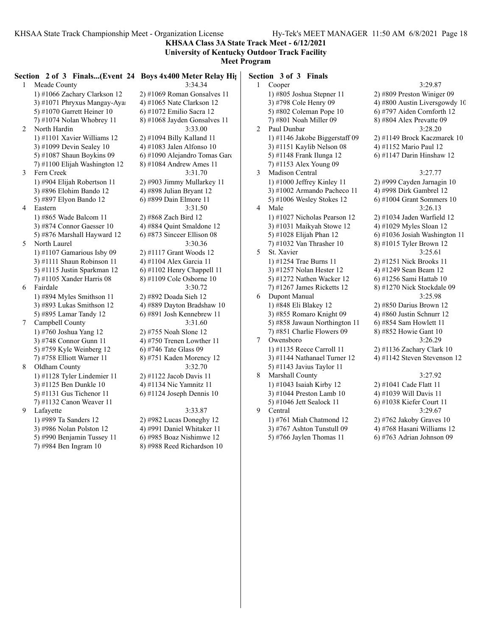**KHSAA Class 3A State Track Meet - 6/12/2021 University of Kentucky Outdoor Track Facility**

# **Meet Program**

**Section 2 of 3 Finals...(Event 24 Boys 4x400 Meter Relay Hig Section 3 of 3 Fig.** 

1 Meade County 3:34.34 1) #1066 Zachary Clarkson 12 2) #1069 Roman Gonsalves 11 3) #1071 Phryxus Mangay-Aya $\qquad$  4) #1065 Nate Clarkson 12 5) #1070 Garrett Heiner 10 6) #1072 Emilio Sacra 12 7) #1074 Nolan Whobrey 11 8) #1068 Jayden Gonsalves 11 2 North Hardin 3:33.00 1) #1101 Xavier Williams 12 2) #1094 Billy Kalland 11 3) #1099 Devin Sealey 10  $\qquad$  4) #1083 Jalen Alfonso 10 7) #1100 Elijah Washington 12 8) #1084 Andrew Ames 11 3 Fern Creek 3:31.70 1) #904 Elijah Robertson 11 2) #903 Jimmy Mullarkey 11 3) #896 Elohim Bando 12 4) #898 Julian Bryant 12 5) #897 Elyon Bando 12 6) #899 Dain Elmore 11 4 Eastern 3:31.50 1) #865 Wade Balcom 11 2) #868 Zach Bird 12 3) #874 Connor Gaesser 10 4) #884 Quint Smaldone 12 5) #876 Marshall Hayward 12  $\qquad$  6) #873 Sinceer Ellison 08 5 North Laurel 3:30.36 1) #1107 Gamarious Isby 09 2) #1117 Grant Woods 12 3) #1111 Shaun Robinson 11 4) #1104 Alex Garcia 11 5) #1115 Justin Sparkman 12 6) #1102 Henry Chappell 11 7) #1105 Xander Harris 08 8) #1109 Cole Osborne 10 6 Fairdale 3:30.72 1) #894 Myles Smithson 11 2) #892 Doada Sieh 12 3) #893 Lukas Smithson 12 4) #889 Dayton Bradshaw 10 5) #895 Lamar Tandy 12 6) #891 Josh Kennebrew 11 7 Campbell County 3:31.60 1) #760 Joshua Yang 12 2) #755 Noah Slone 12 3) #748 Connor Gunn 11  $\qquad \qquad$  4) #750 Trenen Lowther 11 5) #759 Kyle Weinberg 12 6) #746 Tate Glass 09 7) #758 Elliott Warner 11 8) #751 Kaden Morency 12 8 Oldham County 3:32.70 1) #1128 Tyler Lindemier 11 2) #1122 Jacob Davis 11 3) #1125 Ben Dunkle 10 4) #1134 Nic Yamnitz 11 5) #1131 Gus Tichenor 11 6) #1124 Joseph Dennis 10 7) #1132 Canon Weaver 11 9 Lafayette 3:33.87 1) #989 Ta Sanders 12 2) #982 Lucas Doneghy 12 3) #986 Nolan Polston 12 4) #991 Daniel Whitaker 11 5) #990 Benjamin Tussey 11 6) #985 Boaz Nishimwe 12

5) #1087 Shaun Boykins 09 6) #1090 Alejandro Tomas Garc

- 
- 7) #984 Ben Ingram 10 8) #988 Reed Richardson 10

|   | ection 3 of 3 Finals           |                               |
|---|--------------------------------|-------------------------------|
| 1 | Cooper                         | 3:29.87                       |
|   | 1) #805 Joshua Stepner 11      | 2) #809 Preston Winiger 09    |
|   | 3) #798 Cole Henry 09          | 4) #800 Austin Liversgowdy 10 |
|   | 5) #802 Coleman Pope 10        | 6) #797 Aiden Cornforth 12    |
|   | 7) #801 Noah Miller 09         | 8) #804 Alex Prevatte 09      |
| 2 | Paul Dunbar                    | 3:28.20                       |
|   | 1) #1146 Jakobe Biggerstaff 09 | 2) #1149 Brock Kaczmarek 10   |
|   | 3) #1151 Kaylib Nelson 08      | 4) #1152 Mario Paul 12        |
|   | 5) #1148 Frank Ilunga 12       | 6) #1147 Darin Hinshaw 12     |
|   | 7) #1153 Alex Young 09         |                               |
| 3 | Madison Central                | 3:27.77                       |
|   | 1) #1000 Jeffrey Kinley 11     | 2) #999 Cayden Jarnagin 10    |
|   | 3) #1002 Armando Pacheco 11    | 4) #998 Dirk Gambrel 12       |
|   | 5) #1006 Wesley Stokes 12      | $6$ ) #1004 Grant Sommers 10  |
| 4 | Male                           | 3:26.13                       |
|   | 1) #1027 Nicholas Pearson 12   | 2) #1034 Jaden Warfield 12    |
|   | 3) #1031 Maikyah Stowe 12      | 4) #1029 Myles Sloan 12       |
|   | 5) #1028 Elijah Phan 12        | 6) #1036 Josiah Washington 11 |
|   | 7) #1032 Van Thrasher 10       | 8) #1015 Tyler Brown 12       |
| 5 | St. Xavier                     | 3:25.61                       |
|   | 1) #1254 Trae Burns 11         | 2) #1251 Nick Brooks 11       |
|   | 3) #1257 Nolan Hester 12       | 4) #1249 Sean Beam 12         |
|   | 5) #1272 Nathen Wacker 12      | 6) #1256 Sami Hattab 10       |
|   | 7) #1267 James Ricketts 12     | 8) #1270 Nick Stockdale 09    |
| 6 | Dupont Manual                  | 3:25.98                       |
|   | 1) #848 Eli Blakey 12          | 2) #850 Darius Brown 12       |
|   | 3) #855 Romaro Knight 09       | 4) #860 Justin Schnurr 12     |
|   | 5) #858 Jawaun Northington 11  | 6) #854 Sam Howlett 11        |
|   | 7) #851 Charlie Flowers 09     | 8) #852 Howie Gant 10         |
| 7 | Owensboro                      | 3:26.29                       |
|   | 1) #1135 Reece Carroll 11      | 2) #1136 Zachary Clark 10     |
|   | 3) #1144 Nathanael Turner 12   | 4) #1142 Steven Stevenson 12  |
|   | 5) #1143 Javius Taylor 11      |                               |
| 8 | Marshall County                | 3:27.92                       |
|   | 1) #1043 Isaiah Kirby 12       | 2) #1041 Cade Flatt 11        |
|   | 3) #1044 Preston Lamb 10       | 4) #1039 Will Davis 11        |
|   | 5) #1046 Jett Sealock 11       | 6) #1038 Kiefer Court 11      |
| 9 | Central                        | 3:29.67                       |
|   | 1) #761 Miah Chatmond 12       | 2) #762 Jakoby Graves 10      |
|   | 3) #767 Ashton Tunstull 09     | 4) #768 Hasani Williams 12    |

5) #766 Jaylen Thomas 11 6) #763 Adrian Johnson 09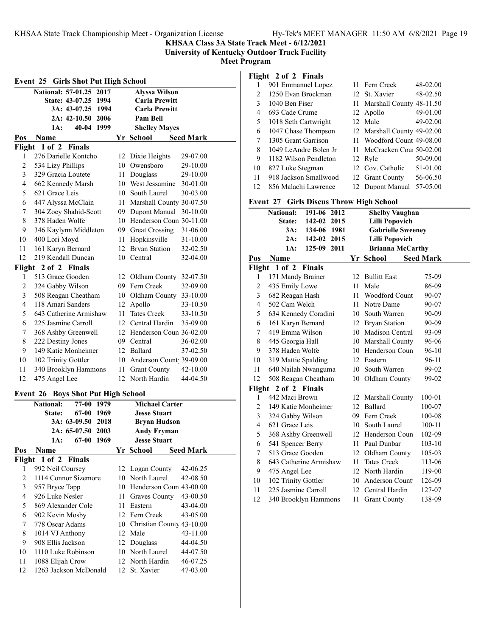**KHSAA Class 3A State Track Meet - 6/12/2021**

**University of Kentucky Outdoor Track Facility**

**Meet Program**

|                | Event 25 Girls Shot Put High School       |    |                             |                  |  |  |
|----------------|-------------------------------------------|----|-----------------------------|------------------|--|--|
|                | <b>National: 57-01.25</b><br>2017         |    | <b>Alyssa Wilson</b>        |                  |  |  |
|                | State: 43-07.25 1994                      |    | <b>Carla Prewitt</b>        |                  |  |  |
|                | 3A: 43-07.25 1994                         |    | <b>Carla Prewitt</b>        |                  |  |  |
|                | 2A: 42-10.50 2006                         |    | Pam Bell                    |                  |  |  |
|                | 1A:<br>40-04 1999                         |    | <b>Shelley Mayes</b>        |                  |  |  |
| Pos            | <b>Name</b>                               |    | Yr School                   | <b>Seed Mark</b> |  |  |
|                | Flight 1 of 2 Finals                      |    |                             |                  |  |  |
| 1              | 276 Darielle Kontcho                      |    | 12 Dixie Heights            | 29-07.00         |  |  |
| 2              | 534 Lizy Phillips                         |    | 10 Owensboro                | 29-10.00         |  |  |
| 3              | 329 Gracia Loutete                        |    | 11 Douglass                 | 29-10.00         |  |  |
| 4              | 662 Kennedy Marsh                         |    | 10 West Jessamine           | 30-01.00         |  |  |
| 5              | 621 Grace Leis                            |    | 10 South Laurel             | 30-03.00         |  |  |
| 6              | 447 Alyssa McClain                        |    | 11 Marshall County 30-07.50 |                  |  |  |
| 7              | 304 Zoey Shahid-Scott                     |    | 09 Dupont Manual            | 30-10.00         |  |  |
| 8              | 378 Haden Wolfe                           |    | 10 Henderson Coun 30-11.00  |                  |  |  |
| 9              | 346 Kaylynn Middleton                     |    | 09 Great Crossing           | 31-06.00         |  |  |
| 10             | 400 Lori Moyd                             |    | 11 Hopkinsville             | 31-10.00         |  |  |
| 11             | 161 Karyn Bernard                         |    | 12 Bryan Station            | 32-02.50         |  |  |
| 12             | 219 Kendall Duncan                        |    | 10 Central                  | 32-04.00         |  |  |
|                | Flight 2 of 2 Finals                      |    |                             |                  |  |  |
| 1              | 513 Grace Gooden                          |    | 12 Oldham County 32-07.50   |                  |  |  |
| 2              | 324 Gabby Wilson                          |    | 09 Fern Creek               | 32-09.00         |  |  |
| 3              | 508 Reagan Cheatham                       |    | 10 Oldham County 33-10.00   |                  |  |  |
| 4              | 118 Amari Sanders                         |    | 12 Apollo                   | 33-10.50         |  |  |
| 5              | 643 Catherine Armishaw                    |    | 11 Tates Creek              | 33-10.50         |  |  |
| 6              | 225 Jasmine Carroll                       |    | 12 Central Hardin           | 35-09.00         |  |  |
| 7              | 368 Ashby Greenwell                       |    | 12 Henderson Coun 36-02.00  |                  |  |  |
| 8              | 222 Destiny Jones                         |    | 09 Central                  | 36-02.00         |  |  |
| 9              | 149 Katie Monheimer                       |    | 12 Ballard                  | 37-02.50         |  |  |
| 10             | 102 Trinity Gottler                       |    | 10 Anderson Count 39-09.00  |                  |  |  |
| 11             | 340 Brooklyn Hammons                      |    | 11 Grant County             | 42-10.00         |  |  |
| 12             | 475 Angel Lee                             |    | 12 North Hardin             | 44-04.50         |  |  |
|                |                                           |    |                             |                  |  |  |
|                | <b>Event 26 Boys Shot Put High School</b> |    |                             |                  |  |  |
|                | National:<br>77-00 1979                   |    | <b>Michael Carter</b>       |                  |  |  |
|                | State:<br>67-00 1969                      |    | <b>Jesse Stuart</b>         |                  |  |  |
|                | 3A: 63-09.50<br>2018                      |    | <b>Bryan Hudson</b>         |                  |  |  |
|                | 2A: 65-07.50<br>2003                      |    | <b>Andy Fryman</b>          |                  |  |  |
|                | 67-00 1969<br>1A:                         |    | <b>Jesse Stuart</b>         |                  |  |  |
| Pos            | Name                                      |    | Yr School                   | <b>Seed Mark</b> |  |  |
| Flight         | $1$ of $2$<br><b>Finals</b>               |    |                             |                  |  |  |
| 1              | 992 Neil Coursey                          | 12 | Logan County                | 42-06.25         |  |  |
| 2              | 1114 Connor Sizemore                      | 10 | North Laurel                | 42-08.50         |  |  |
| 3              | 957 Bryce Tapp                            |    | 10 Henderson Coun 43-00.00  |                  |  |  |
| $\overline{4}$ | 926 Luke Nesler                           | 11 | Graves County               | 43-00.50         |  |  |
| 5              | 869 Alexander Cole                        | 11 | Eastern                     | 43-04.00         |  |  |
| 6              | 902 Kevin Mosby                           | 12 | Fern Creek                  | 43-05.00         |  |  |

 778 Oscar Adams 10 Christian County 43-10.00 1014 VJ Anthony 12 Male 43-11.00 908 Ellis Jackson 12 Douglass 44-04.50 1110 Luke Robinson 10 North Laurel 44-07.50 1088 Elijah Crow 12 North Hardin 46-07.25 1263 Jackson McDonald 12 St. Xavier 47-03.00

## **Flight 2 of 2 Finals**

|    | 901 Emmanuel Lopez    |     | 11 Fern Creek               | 48-02.00 |
|----|-----------------------|-----|-----------------------------|----------|
| 2  | 1250 Evan Brockman    |     | 12 St. Xavier               | 48-02.50 |
| 3  | 1040 Ben Fiser        |     | 11 Marshall County 48-11.50 |          |
| 4  | 693 Cade Crume        |     | 12 Apollo                   | 49-01.00 |
| 5  | 1018 Seth Cartwright  |     | 12 Male                     | 49-02.00 |
| 6  | 1047 Chase Thompson   |     | 12 Marshall County 49-02.00 |          |
| 7  | 1305 Grant Garrison   |     | Woodford Count 49-08.00     |          |
| 8  | 1049 LeAndre Bolen Jr | 11. | McCracken Cou 50-02.00      |          |
| 9  | 1182 Wilson Pendleton |     | 12 Ryle                     | 50-09.00 |
| 10 | 827 Luke Stegman      |     | 12 Cov. Catholic            | 51-01.00 |
| 11 | 918 Jackson Smallwood |     | 12 Grant County             | 56-06.50 |
| 12 | 856 Malachi Lawrence  |     | 12 Dupont Manual            | 57-05.00 |

### **Event 27 Girls Discus Throw High School**

|                | <b>National:</b><br>191-06 2012 |      | <b>Shelby Vaughan</b>    |            |
|----------------|---------------------------------|------|--------------------------|------------|
|                | 142-02 2015<br>State:           |      | <b>Lilli Popovich</b>    |            |
|                | 3A:<br>134-06 1981              |      | <b>Gabrielle Sweeney</b> |            |
|                | 2A: 142-02 2015                 |      | <b>Lilli Popovich</b>    |            |
|                | 125-09 2011<br>1A:              |      | <b>Brianna McCarthy</b>  |            |
| Pos            | Name                            |      | Yr School Seed Mark      |            |
|                | Flight 1 of 2 Finals            |      |                          |            |
| 1              | 171 Mandy Brainer               |      | 12 Bullitt East          | 75-09      |
| 2              | 435 Emily Lowe                  | 11   | Male                     | 86-09      |
| 3              | 682 Reagan Hash                 |      | 11 Woodford Count        | 90-07      |
| 4              | 502 Cam Welch                   |      | 11 Notre Dame            | 90-07      |
| 5              | 634 Kennedy Coradini            |      | 10 South Warren          | 90-09      |
| 6              | 161 Karyn Bernard               |      | 12 Bryan Station         | 90-09      |
| $\overline{7}$ | 419 Emma Wilson                 |      | 10 Madison Central       | 93-09      |
| 8              | 445 Georgia Hall                |      | 10 Marshall County       | 96-06      |
| 9              | 378 Haden Wolfe                 |      | 10 Henderson Coun        | 96-10      |
| 10             | 319 Mattie Spalding             |      | 12 Eastern               | 96-11      |
| 11             | 640 Nailah Nwanguma             |      | 10 South Warren          | 99-02      |
| 12             | 508 Reagan Cheatham             |      | 10 Oldham County         | 99-02      |
| Flight         | 2 of 2 Finals                   |      |                          |            |
| 1              | 442 Maci Brown                  |      | 12 Marshall County       | 100-01     |
| 2              | 149 Katie Monheimer             |      | 12 Ballard               | 100-07     |
| 3              | 324 Gabby Wilson                |      | 09 Fern Creek            | 100-08     |
| $\overline{4}$ | 621 Grace Leis                  |      | 10 South Laurel          | $100 - 11$ |
| 5              | 368 Ashby Greenwell             |      | 12 Henderson Coun        | 102-09     |
| 6              | 541 Spencer Berry               |      | 11 Paul Dunbar           | $103 - 10$ |
| 7              | 513 Grace Gooden                |      | 12 Oldham County         | 105-03     |
| 8              | 643 Catherine Armishaw          | 11   | <b>Tates Creek</b>       | 113-06     |
| 9              | 475 Angel Lee                   |      | 12 North Hardin          | 119-00     |
| 10             | 102 Trinity Gottler             |      | 10 Anderson Count        | 126-09     |
| 11             | 225 Jasmine Carroll             |      | 12 Central Hardin        | 127-07     |
| 12             | 340 Brooklyn Hammons            | 11 - | <b>Grant County</b>      | 138-09     |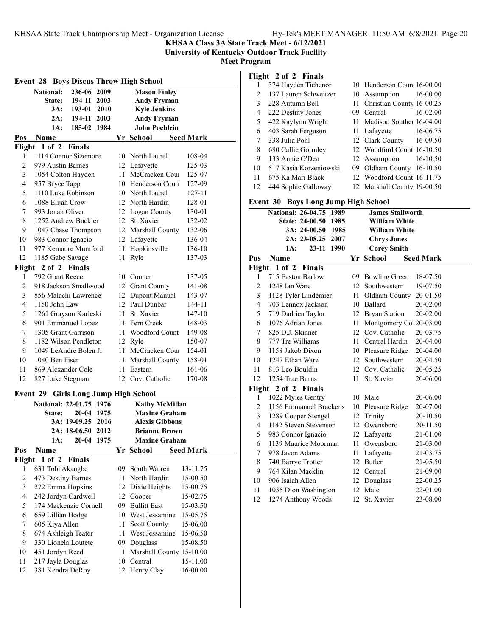**KHSAA Class 3A State Track Meet - 6/12/2021**

**University of Kentucky Outdoor Track Facility**

**Meet Program**

| <b>Event 28 Boys Discus Throw High School</b> |                                             |                   |      |    |                          |                  |
|-----------------------------------------------|---------------------------------------------|-------------------|------|----|--------------------------|------------------|
|                                               | <b>National:</b>                            | $236-06$ 2009     |      |    | <b>Mason Finley</b>      |                  |
|                                               | State:                                      | 194-11            | 2003 |    | <b>Andy Fryman</b>       |                  |
|                                               |                                             | 3A: 193-01 2010   |      |    | <b>Kyle Jenkins</b>      |                  |
|                                               | 2A:                                         | 194-11 2003       |      |    | <b>Andy Fryman</b>       |                  |
|                                               | 1A:                                         | 185-02 1984       |      |    | <b>John Poehlein</b>     |                  |
| Pos                                           | Name                                        |                   |      |    | Yr School                | <b>Seed Mark</b> |
|                                               | Flight 1 of 2 Finals                        |                   |      |    |                          |                  |
| 1                                             | 1114 Connor Sizemore                        |                   |      |    | 10 North Laurel          | 108-04           |
| $\overline{2}$                                | 979 Austin Barnes                           |                   |      |    | 12 Lafayette             | 125-03           |
| 3                                             | 1054 Colton Hayden                          |                   |      |    | 11 McCracken Cou         | 125-07           |
| 4                                             | 957 Bryce Tapp                              |                   |      |    | 10 Henderson Coun        | 127-09           |
| 5                                             | 1110 Luke Robinson                          |                   |      |    | 10 North Laurel          | 127-11           |
| 6                                             | 1088 Elijah Crow                            |                   |      |    | 12 North Hardin          | 128-01           |
| 7                                             | 993 Jonah Oliver                            |                   |      |    | 12 Logan County          | 130-01           |
| 8                                             | 1252 Andrew Buckler                         |                   |      |    | 12 St. Xavier            | 132-02           |
| 9                                             | 1047 Chase Thompson                         |                   |      |    | 12 Marshall County       | 132-06           |
| 10                                            | 983 Connor Ignacio                          |                   |      |    | 12 Lafayette             | 136-04           |
| 11                                            | 977 Kemaure Mumford                         |                   |      |    | 11 Hopkinsville          | 136-10           |
| 12                                            | 1185 Gabe Savage                            |                   |      |    | 11 Ryle                  | 137-03           |
|                                               | Flight 2 of 2 Finals                        |                   |      |    |                          |                  |
| 1                                             | 792 Grant Reece                             |                   |      |    | 10 Conner                | 137-05           |
| 2                                             | 918 Jackson Smallwood                       |                   |      |    | 12 Grant County          | 141-08           |
| 3                                             | 856 Malachi Lawrence                        |                   |      |    | 12 Dupont Manual         | 143-07           |
| 4                                             | 1150 John Law                               |                   |      |    | 12 Paul Dunbar           | 144-11           |
| 5                                             | 1261 Grayson Karleski                       |                   |      |    | 11 St. Xavier            | 147-10           |
| 6                                             | 901 Emmanuel Lopez                          |                   |      |    | 11 Fern Creek            | 148-03           |
| 7                                             | 1305 Grant Garrison                         |                   |      |    | 11 Woodford Count        | 149-08           |
| 8                                             | 1182 Wilson Pendleton                       |                   |      |    | 12 Ryle                  | 150-07           |
| 9                                             | 1049 LeAndre Bolen Jr                       |                   |      |    | 11 McCracken Cou         | 154-01           |
| 10                                            | 1040 Ben Fiser                              |                   |      | 11 | Marshall County          | 158-01           |
| 11                                            | 869 Alexander Cole                          |                   |      |    | 11 Eastern               | 161-06           |
| 12                                            | 827 Luke Stegman                            |                   |      |    | 12 Cov. Catholic         | 170-08           |
|                                               | <b>Event 29 Girls Long Jump High School</b> |                   |      |    |                          |                  |
|                                               | <b>National: 22-01.75</b>                   |                   | 1976 |    | <b>Kathy McMillan</b>    |                  |
|                                               | <b>State:</b>                               | 20-04             | 1975 |    | <b>Maxine Graham</b>     |                  |
|                                               |                                             | 3A: 19-09.25      | 2016 |    | Alexis Gibbons           |                  |
|                                               |                                             | 2A: 18-06.50 2012 |      |    | <b>Brianne Brown</b>     |                  |
|                                               | 1A:                                         | 20-04 1975        |      |    | <b>Maxine Graham</b>     |                  |
| Pos                                           | <b>Name</b>                                 |                   |      |    | Yr School                | <b>Seed Mark</b> |
|                                               | Flight 1 of 2                               | <b>Finals</b>     |      |    |                          |                  |
| 1                                             | 631 Tobi Akangbe                            |                   |      | 09 | South Warren             | 13-11.75         |
| $\overline{2}$                                | 473 Destiny Barnes                          |                   |      | 11 | North Hardin             | 15-00.50         |
| 3                                             | 272 Emma Hopkins                            |                   |      |    | 12 Dixie Heights         | 15-00.75         |
| $\overline{4}$                                | 242 Jordyn Cardwell                         |                   |      |    | 12 Cooper                | 15-02.75         |
| 5                                             | 174 Mackenzie Cornell                       |                   |      |    | 09 Bullitt East          | 15-03.50         |
| 6                                             | 659 Lillian Hodge                           |                   |      |    | 10 West Jessamine        | 15-05.75         |
| 7                                             | 605 Kiya Allen                              |                   |      | 11 | <b>Scott County</b>      | 15-06.00         |
| $\,$ $\,$                                     | 674 Ashleigh Teater                         |                   |      | 11 | West Jessamine           | 15-06.50         |
| 9                                             | 330 Lionela Loutete                         |                   |      | 09 | Douglass                 | 15-08.50         |
| 10                                            | 451 Jordyn Reed                             |                   |      | 11 | Marshall County 15-10.00 |                  |
| 11                                            | 217 Jayla Douglas                           |                   |      |    | 10 Central               | 15-11.00         |
| 12                                            | 381 Kendra DeRoy                            |                   |      | 12 | Henry Clay               | 16-00.00         |

### **Flight 2 of 2 Finals**

| . . |                        |     |                              |          |
|-----|------------------------|-----|------------------------------|----------|
| 1   | 374 Hayden Tichenor    |     | 10 Henderson Coun 16-00.00   |          |
| 2   | 137 Lauren Schweitzer  |     | 10 Assumption 16-00.00       |          |
| 3   | 228 Autumn Bell        |     | 11 Christian County 16-00.25 |          |
| 4   | 222 Destiny Jones      | 09. | Central                      | 16-02.00 |
| 5   | 422 Kaylynn Wright     |     | 11 Madison Souther 16-04.00  |          |
| 6   | 403 Sarah Ferguson     |     | 11 Lafayette 16-06.75        |          |
| 7   | 338 Julia Pohl         |     | 12 Clark County 16-09.50     |          |
| 8   | 680 Callie Gormley     |     | 12 Woodford Count 16-10.50   |          |
| 9   | 133 Annie O'Dea        |     | 12 Assumption 16-10.50       |          |
| 10  | 517 Kasia Korzeniowski |     | 09 Oldham County 16-10.50    |          |
| 11  | 675 Ka Mari Black      |     | 12 Woodford Count 16-11.75   |          |
| 12  | 444 Sophie Galloway    |     | 12 Marshall County 19-00.50  |          |
|     |                        |     |                              |          |

# **Event 30 Boys Long Jump High School**

|        | етст эл ноуз нолд эмир тиди эспоот |     |                           |                  |
|--------|------------------------------------|-----|---------------------------|------------------|
|        | National: 26-04.75 1989            |     | <b>James Stallworth</b>   |                  |
|        | State: 24-00.50 1985               |     | <b>William White</b>      |                  |
|        | $3A: 24-00.50$<br>1985             |     | <b>William White</b>      |                  |
|        | 2A: 23-08.25 2007                  |     | <b>Chrys Jones</b>        |                  |
|        | 1A:<br>23-11<br>1990               |     | <b>Corey Smith</b>        |                  |
| Pos    | Name                               |     | Yr School                 | <b>Seed Mark</b> |
| Flight | 1 of 2 Finals                      |     |                           |                  |
| 1      | 715 Easton Barlow                  | 09. | <b>Bowling Green</b>      | 18-07.50         |
| 2      | 1248 Ian Ware                      |     | 12 Southwestern           | 19-07.50         |
| 3      | 1128 Tyler Lindemier               |     | 11 Oldham County          | 20-01.50         |
| 4      | 703 Lennox Jackson                 |     | 10 Ballard                | 20-02.00         |
| 5      | 719 Dadrien Taylor                 |     | 12 Bryan Station          | 20-02.00         |
| 6      | 1076 Adrian Jones                  |     | 11 Montgomery Co 20-03.00 |                  |
| 7      | 825 D.J. Skinner                   |     | 12 Cov. Catholic          | 20-03.75         |
| 8      | 777 Tre Williams                   |     | 11 Central Hardin         | 20-04.00         |
| 9      | 1158 Jakob Dixon                   |     | 10 Pleasure Ridge         | 20-04.00         |
| 10     | 1247 Ethan Ware                    |     | 12 Southwestern           | 20-04.50         |
| 11     | 813 Leo Bouldin                    |     | 12 Cov. Catholic          | 20-05.25         |
| 12     | 1254 Trae Burns                    | 11  | St. Xavier                | 20-06.00         |
| Flight | 2 of 2 Finals                      |     |                           |                  |
| 1      | 1022 Myles Gentry                  |     | 10 Male                   | 20-06.00         |
| 2      | 1156 Emmanuel Brackens             |     | 10 Pleasure Ridge         | 20-07.00         |
| 3      | 1289 Cooper Stengel                | 12  | Trinity                   | 20-10.50         |
| 4      | 1142 Steven Stevenson              | 12  | Owensboro                 | 20-11.50         |
| 5      | 983 Connor Ignacio                 |     | 12 Lafayette              | 21-01.00         |
| 6      | 1139 Maurice Moorman               |     | 11 Owensboro              | 21-03.00         |
| 7      | 978 Javon Adams                    |     | 11 Lafayette              | 21-03.75         |
| 8      | 740 Barrye Trotter                 |     | 12 Butler                 | 21-05.50         |
| 9      | 764 Kilan Macklin                  |     | 12 Central                | 21-09.00         |
| 10     | 906 Isaiah Allen                   |     | 12 Douglass               | 22-00.25         |
| 11     | 1035 Dion Washington               |     | 12 Male                   | 22-01.00         |
| 12     | 1274 Anthony Woods                 | 12  | St. Xavier                | 23-08.00         |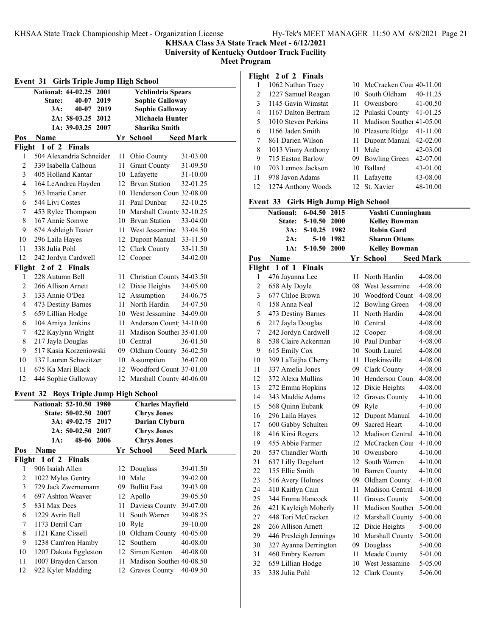**Event 31 Girls Triple Jump High School**

**KHSAA Class 3A State Track Meet - 6/12/2021**

**University of Kentucky Outdoor Track Facility**

**Meet Program**

### **National: 44-02.25 2001 Ychlindria Spears State: 40-07 2019 Sophie Galloway 3A: 40-07 2019 Sophie Galloway 2A: 38-03.25 2012 Michaela Hunter 1A: 39-03.25 2007 Sharika Smith Pos Name Seed Mark Yr School Seed Mark Flight 1 of 2 Finals** 504 Alexandria Schneider 11 Ohio County 31-03.00 339 Isabella Calhoun 11 Grant County 31-09.50 405 Holland Kantar 10 Lafayette 31-10.00 164 LeAndrea Hayden 12 Bryan Station 32-01.25 363 Imarie Carter 10 Henderson Coun 32-08.00 544 Livi Costes 11 Paul Dunbar 32-10.25 453 Rylee Thompson 10 Marshall County 32-10.25 167 Annie Somwe 10 Bryan Station 33-04.00 674 Ashleigh Teater 11 West Jessamine 33-04.50 296 Laila Hayes 12 Dupont Manual 33-11.50 338 Julia Pohl 12 Clark County 33-11.50 242 Jordyn Cardwell 12 Cooper 34-02.00 **Flight 2 of 2 Finals** 228 Autumn Bell 11 Christian County 34-03.50 266 Allison Arnett 12 Dixie Heights 34-05.00 133 Annie O'Dea 12 Assumption 34-06.75 473 Destiny Barnes 11 North Hardin 34-07.50 659 Lillian Hodge 10 West Jessamine 34-09.00 6 104 Amiya Jenkins 11 Anderson Count 34-10.00 422 Kaylynn Wright 11 Madison Souther 35-01.00 217 Jayla Douglas 10 Central 36-01.50 517 Kasia Korzeniowski 09 Oldham County 36-02.50 137 Lauren Schweitzer 10 Assumption 36-07.00 675 Ka Mari Black 12 Woodford Count 37-01.00 444 Sophie Galloway 12 Marshall County 40-06.00 **Event 32 Boys Triple Jump High School National: 52-10.50 1980 Charles Mayfield State: 50-02.50 2007 Chrys Jones 3A: 49-02.75 2017 Darian Clyburn 2A: 50-02.50 2007 Chrys Jones 1A: 48-06 2006 Chrys Jones Pos Name Seed Mark Yr** School **Seed Mark Flight 1 of 2 Finals** 906 Isaiah Allen 12 Douglass 39-01.50 1022 Myles Gentry 10 Male 39-02.00 729 Jack Zwernemann 09 Bullitt East 39-03.00 697 Ashton Weaver 12 Apollo 39-05.50 831 Max Dees 11 Daviess County 39-07.00 1229 Avrin Bell 11 South Warren 39-08.25 1173 Derril Carr 10 Ryle 39-10.00 1121 Kane Cissell 10 Oldham County 40-05.00 1238 Cam'ron Hamby 12 Southern 40-08.00 1207 Dakota Eggleston 12 Simon Kenton 40-08.00 1007 Brayden Carson 11 Madison Souther 40-08.50 922 Kyler Madding 12 Graves County 40-09.50

### **Flight 2 of 2 Finals** 1062 Nathan Tracy 10 McCracken Coun40-11.00

| 2  | 1227 Samuel Reagan  |     | 10 South Oldham             | 40-11.25     |
|----|---------------------|-----|-----------------------------|--------------|
| 3  | 1145 Gavin Wimstat  |     | 11 Owensboro                | $41 - 00.50$ |
| 4  | 1167 Dalton Bertram |     | 12 Pulaski County           | 41-01.25     |
| 5  | 1010 Steven Perkins |     | 11 Madison Souther 41-05.00 |              |
| 6  | 1166 Jaden Smith    |     | 10 Pleasure Ridge 41-11.00  |              |
| 7  | 861 Darien Wilson   |     | 11 Dupont Manual 42-02.00   |              |
| 8  | 1013 Vinny Anthony  | 11. | Male                        | 42-03.00     |
| 9  | 715 Easton Barlow   |     | 09 Bowling Green            | 42-07.00     |
| 10 | 703 Lennox Jackson  |     | 10 Ballard                  | 43-01.00     |
| 11 | 978 Javon Adams     |     | 11 Lafayette                | 43-08.00     |
| 12 | 1274 Anthony Woods  |     | 12 St. Xavier               | 48-10.00     |

## **Event 33 Girls High Jump High School**

|                | Lvent 99<br>Giris High Jump High School |     |                      |                  |
|----------------|-----------------------------------------|-----|----------------------|------------------|
|                | $6 - 04.50$<br>2015<br><b>National:</b> |     | Vashti Cunningham    |                  |
|                | State:<br>5-10.50<br>2000               |     | <b>Kelley Bowman</b> |                  |
|                | 3A:<br>5-10.25<br>1982                  |     | <b>Robin Gard</b>    |                  |
|                | 2A:<br>5-10<br>1982                     |     | <b>Sharon Ottens</b> |                  |
|                | 1A:<br>5-10.50<br><b>2000</b>           |     | <b>Kelley Bowman</b> |                  |
| <u>Pos</u>     | Name                                    |     | Yr School            | <b>Seed Mark</b> |
| Flight         | $1$ of $1$<br>Finals                    |     |                      |                  |
| 1              | 476 Jayanna Lee                         | 11  | North Hardin         | 4-08.00          |
| $\overline{c}$ | 658 Aly Doyle                           |     | 08 West Jessamine    | 4-08.00          |
| 3              | 677 Chloe Brown                         |     | 10 Woodford Count    | 4-08.00          |
| $\overline{4}$ | 158 Anna Neal                           |     | 12 Bowling Green     | 4-08.00          |
| 5              | 473 Destiny Barnes                      | 11  | North Hardin         | 4-08.00          |
| 6              | 217 Jayla Douglas                       |     | 10 Central           | 4-08.00          |
| 7              | 242 Jordyn Cardwell                     | 12  | Cooper               | 4-08.00          |
| $\,$ 8 $\,$    | 538 Claire Ackerman                     |     | 10 Paul Dunbar       | 4-08.00          |
| 9              | 615 Emily Cox                           |     | 10 South Laurel      | 4-08.00          |
| 10             | 399 LaTaijha Cherry                     | 11  | Hopkinsville         | 4-08.00          |
| 11             | 337 Amelia Jones                        |     | 09 Clark County      | 4-08.00          |
| 12             | 372 Alexa Mullins                       |     | 10 Henderson Coun    | 4-08.00          |
| 13             | 272 Emma Hopkins                        | 12  | Dixie Heights        | 4-08.00          |
| 14             | 343 Maddie Adams                        | 12  | <b>Graves County</b> | 4-10.00          |
| 15             | 568 Quinn Eubank                        | 09  | Ryle                 | 4-10.00          |
| 16             | 296 Laila Hayes                         | 12  | Dupont Manual        | 4-10.00          |
| 17             | 600 Gabby Schulten                      | 09  | <b>Sacred Heart</b>  | 4-10.00          |
| 18             | 416 Kirsi Rogers                        |     | 12 Madison Central   | $4 - 10.00$      |
| 19             | 455 Abbie Farmer                        | 12  | McCracken Cou        | $4 - 10.00$      |
| 20             | 537 Chandler Worth                      |     | 10 Owensboro         | $4 - 10.00$      |
| 21             | 637 Lilly Degehart                      | 12  | South Warren         | $4 - 10.00$      |
| 22             | 155 Ellie Smith                         |     | 10 Barren County     | 4-10.00          |
| 23             | 516 Avery Holmes                        |     | 09 Oldham County     | 4-10.00          |
| 24             | 410 Kaitlyn Cain                        | 11  | Madison Central      | 4-10.00          |
| 25             | 344 Emma Hancock                        | 11  | <b>Graves County</b> | 5-00.00          |
| 26             | 421 Kayleigh Moberly                    | 11- | Madison Souther      | 5-00.00          |
| 27             | 448 Tori McCracken                      | 12  | Marshall County      | 5-00.00          |
| 28             | 266 Allison Arnett                      |     | 12 Dixie Heights     | 5-00.00          |
| 29             | 446 Presleigh Jennings                  |     | 10 Marshall County   | 5-00.00          |
| 30             | 327 Ayanna Derrington                   |     | 09 Douglass          | 5-00.00          |
| 31             | 460 Embry Keenan                        | 11  | Meade County         | 5-01.00          |
| 32             | 659 Lillian Hodge                       | 10  | West Jessamine       | 5-05.00          |
| 33             | 338 Julia Pohl                          |     | 12 Clark County      | 5-06.00          |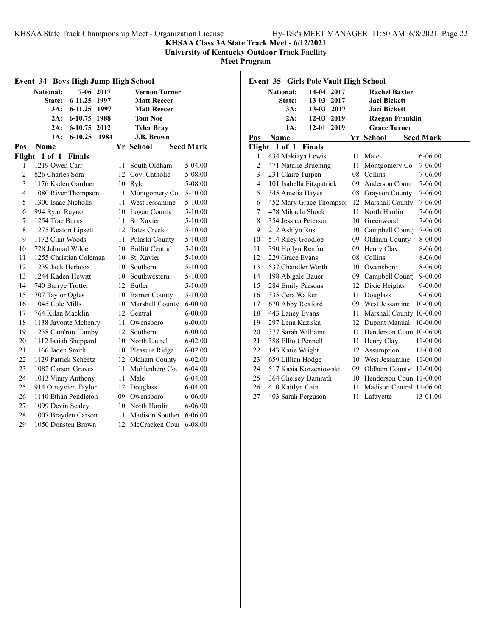#### **KHSAA Class 3A State Track Meet - 6/12/2021**

**University of Kentucky Outdoor Track Facility**

**Meet Program**

|                  | <b>Boys High Jump High School</b><br>Event 34 |               |      |    |                      |                  |
|------------------|-----------------------------------------------|---------------|------|----|----------------------|------------------|
|                  | National:                                     | $7 - 06$      | 2017 |    | <b>Vernon Turner</b> |                  |
|                  | State:                                        | $6 - 11.25$   | 1997 |    | <b>Matt Reecer</b>   |                  |
|                  | 3A:                                           | $6-11.25$     | 1997 |    | <b>Matt Reecer</b>   |                  |
|                  | $2A$ :                                        | $6 - 10.75$   | 1988 |    | <b>Tom Noe</b>       |                  |
|                  | 2A:                                           | $6 - 10.75$   | 2012 |    | <b>Tyler Bray</b>    |                  |
|                  | 1A:                                           | $6 - 10.25$   | 1984 |    | J.B. Brown           |                  |
| Pos              | Name                                          |               |      |    | Yr School            | <b>Seed Mark</b> |
| Flight           | $1$ of $1$                                    | <b>Finals</b> |      |    |                      |                  |
| 1                | 1219 Owen Carr                                |               |      | 11 | South Oldham         | 5-04.00          |
| $\overline{c}$   | 826 Charles Sora                              |               |      |    | 12 Cov. Catholic     | 5-08.00          |
| 3                | 1176 Kaden Gardner                            |               |      | 10 | Rvle                 | 5-08.00          |
| $\overline{4}$   | 1080 River Thompson                           |               |      | 11 | Montgomery Co        | 5-10.00          |
| 5                | 1300 Isaac Nicholls                           |               |      | 11 | West Jessamine       | 5-10.00          |
| 6                | 994 Ryan Rayno                                |               |      | 10 | Logan County         | 5-10.00          |
| $\boldsymbol{7}$ | 1254 Trae Burns                               |               |      | 11 | St. Xavier           | 5-10.00          |
| 8                | 1275 Keaton Lipsett                           |               |      |    | 12 Tates Creek       | 5-10.00          |
| 9                | 1172 Clint Woods                              |               |      | 11 | Pulaski County       | 5-10.00          |
| 10               | 728 Jahmad Wilder                             |               |      |    | 10 Bullitt Central   | $5 - 10.00$      |
| 11               | 1255 Christian Coleman                        |               |      | 10 | St. Xavier           | 5-10.00          |
| 12               | 1239 Jack Herhcox                             |               |      | 10 | Southern             | 5-10.00          |
| 13               | 1244 Kaden Hewitt                             |               |      | 10 | Southwestern         | 5-10.00          |
| 14               | 740 Barrye Trotter                            |               |      |    | 12 Butler            | 5-10.00          |
| 15               | 707 Taylor Ogles                              |               |      | 10 | <b>Barren County</b> | 5-10.00          |
| 16               | 1045 Cole Mills                               |               |      | 10 | Marshall County      | $6 - 00.00$      |
| 17               | 764 Kilan Macklin                             |               |      | 12 | Central              | $6 - 00.00$      |
| 18               | 1138 Javonte Mchenry                          |               |      | 11 | Owensboro            | $6 - 00.00$      |
| 19               | 1238 Cam'ron Hamby                            |               |      | 12 | Southern             | $6 - 00.00$      |
| 20               | 1112 Isaiah Sheppard                          |               |      | 10 | North Laurel         | $6 - 02.00$      |
| 21               | 1166 Jaden Smith                              |               |      | 10 | Pleasure Ridge       | $6 - 02.00$      |
| 22               | 1129 Patrick Scheetz                          |               |      | 12 | Oldham County        | $6 - 02.00$      |
| 23               | 1082 Carson Groves                            |               |      | 11 | Muhlenberg Co.       | 6-04.00          |
| 24               | 1013 Vinny Anthony                            |               |      | 11 | Male                 | $6 - 04.00$      |
| 25               | 914 Otreyvien Taylor                          |               |      | 12 | Douglass             | 6-04.00          |
| 26               | 1140 Ethan Pendleton                          |               |      |    | 09 Owensboro         | 6-06.00          |
| 27               | 1099 Devin Sealey                             |               |      | 10 | North Hardin         | 6-06.00          |
| 28               | 1007 Brayden Carson                           |               |      | 11 | Madison Souther      | 6-06.00          |
| 29               | 1050 Donsten Brown                            |               |      | 12 | McCracken Cou        | 6-08.00          |

**Event 35 Girls Pole Vault High School National: 14-04 2017 Rachel Baxter State: 13-03 2017 Jaci Bickett 3A: 13-03 2017 Jaci Bickett 2A: 12-03 2019 Raegan Franklin 1A: 12-01 2019 Grace Turner Pos Name Seed Mark Yr** School **Seed Mark Flight 1 of 1 Finals** 1 434 Makiaya Lewis 11 Male 6-06.00 471 Natalie Bruening 11 Montgomery Co 7-06.00 231 Claire Turpen 08 Collins 7-06.00 4 101 Isabella Fitzpatrick 09 Anderson Count 7-06.00 345 Amelia Hayes 08 Grayson County 7-06.00 452 Mary Grace Thompson 12 Marshall County 7-06.00 478 Mikaela Shock 11 North Hardin 7-06.00 354 Jessica Peterson 10 Greenwood 7-06.00 9 212 Ashlyn Rust 10 Campbell Count 7-06.00 514 Riley Goodloe 09 Oldham County 8-00.00 390 Hollyn Renfro 09 Henry Clay 8-06.00 229 Grace Evans 08 Collins 8-06.00 537 Chandler Worth 10 Owensboro 8-06.00 14 198 Abigale Bauer 09 Campbell Count 9-00.00 284 Emily Parsons 12 Dixie Heights 9-00.00 335 Cera Walker 11 Douglass 9-06.00 670 Abby Rexford 09 West Jessamine 10-00.00 443 Laney Evans 11 Marshall County 10-00.00 297 Lena Kaziska 12 Dupont Manual 10-00.00 377 Sarah Williams 11 Henderson Coun 10-06.00 388 Elliott Pennell 11 Henry Clay 11-00.00 143 Katie Wright 12 Assumption 11-00.00 659 Lillian Hodge 10 West Jessamine 11-00.00 517 Kasia Korzeniowski 09 Oldham County 11-00.00 364 Chelsey Damrath 10 Henderson Coun 11-00.00 410 Kaitlyn Cain 11 Madison Central 11-06.00 403 Sarah Ferguson 11 Lafayette 13-01.00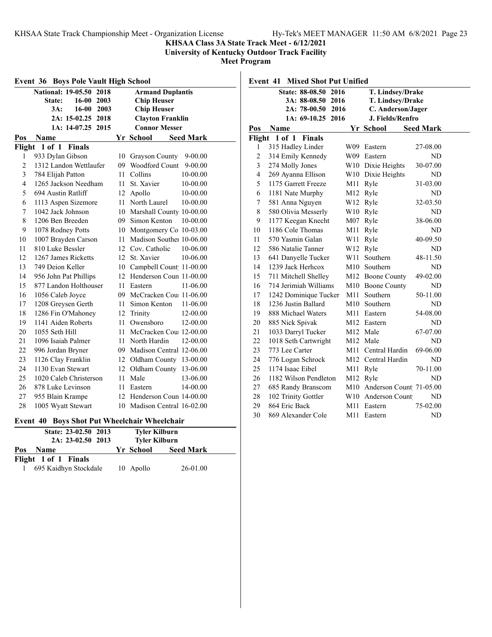### **KHSAA Class 3A State Track Meet - 6/12/2021**

**University of Kentucky Outdoor Track Facility**

**Meet Program**

| Event 36<br><b>Boys Pole Vault High School</b> |                             |    |                                  |  |
|------------------------------------------------|-----------------------------|----|----------------------------------|--|
|                                                | National: 19-05.50 2018     |    | <b>Armand Duplantis</b>          |  |
|                                                | $16 - 00$<br>2003<br>State: |    | <b>Chip Heuser</b>               |  |
|                                                | 3A:<br>$16-00$<br>2003      |    | <b>Chip Heuser</b>               |  |
|                                                | 2A: 15-02.25 2018           |    | <b>Clayton Franklin</b>          |  |
|                                                | 1A: 14-07.25 2015           |    | <b>Connor Messer</b>             |  |
| Pos                                            | Name                        |    | Yr School<br><b>Seed Mark</b>    |  |
| Flight                                         | $1$ of $1$<br><b>Finals</b> |    |                                  |  |
| 1                                              | 933 Dylan Gibson            | 10 | Grayson County<br>$9 - 00.00$    |  |
| $\overline{c}$                                 | 1312 Landon Wettlaufer      |    | 09 Woodford Count<br>$9 - 00.00$ |  |
| 3                                              | 784 Elijah Patton           | 11 | Collins<br>10-00.00              |  |
| $\overline{4}$                                 | 1265 Jackson Needham        | 11 | St. Xavier<br>10-00.00           |  |
| 5                                              | 694 Austin Ratliff          | 12 | Apollo<br>10-00.00               |  |
| 6                                              | 1113 Aspen Sizemore         | 11 | North Laurel<br>10-00.00         |  |
| 7                                              | 1042 Jack Johnson           | 10 | Marshall County 10-00.00         |  |
| 8                                              | 1206 Ben Breeden            | 09 | Simon Kenton<br>10-00.00         |  |
| 9                                              | 1078 Rodney Potts           | 10 | Montgomery Co 10-03.00           |  |
| 10                                             | 1007 Brayden Carson         | 11 | Madison Souther 10-06.00         |  |
| 11                                             | 810 Luke Bessler            |    | 12 Cov. Catholic<br>10-06.00     |  |
| 12                                             | 1267 James Ricketts         | 12 | St. Xavier<br>10-06.00           |  |
| 13                                             | 749 Deion Keller            |    | 10 Campbell Count 11-00.00       |  |
| 14                                             | 956 John Pat Phillips       | 12 | Henderson Coun 11-00.00          |  |
| 15                                             | 877 Landon Holthouser       | 11 | 11-06.00<br>Eastern              |  |
| 16                                             | 1056 Caleb Joyce            |    | 09 McCracken Cou: 11-06.00       |  |
| 17                                             | 1208 Greysen Gerth          | 11 | Simon Kenton<br>11-06.00         |  |
| 18                                             | 1286 Fin O'Mahoney          | 12 | Trinity<br>12-00.00              |  |
| 19                                             | 1141 Aiden Roberts          | 11 | Owensboro<br>12-00.00            |  |
| 20                                             | 1055 Seth Hill              | 11 | McCracken Cou: 12-00.00          |  |
| 21                                             | 1096 Isaiah Palmer          | 11 | North Hardin<br>12-00.00         |  |
| 22                                             | 996 Jordan Bryner           | 09 | Madison Central 12-06.00         |  |
| 23                                             | 1126 Clay Franklin          | 12 | Oldham County<br>13-00.00        |  |
| 24                                             | 1130 Evan Stewart           | 12 | Oldham County<br>13-06.00        |  |
| 25                                             | 1020 Caleb Christerson      | 11 | Male<br>13-06.00                 |  |
| 26                                             | 878 Luke Levinson           | 11 | Eastern<br>14-00.00              |  |
| 27                                             | 955 Blain Krampe            | 12 | Henderson Coun 14-00.00          |  |
| 28                                             | 1005 Wyatt Stewart          |    | 10 Madison Central 16-02.00      |  |

#### **Event 40 Boys Shot Put Wheelchair Wheelchair**

| State: 23-02.50 2013<br>$2A: 23-02.50$ 2013 | <b>Tyler Kilburn</b><br><b>Tyler Kilburn</b> |                  |
|---------------------------------------------|----------------------------------------------|------------------|
| Pos<br><b>Name</b>                          | Yr School                                    | <b>Seed Mark</b> |
| Flight 1 of 1 Finals                        |                                              |                  |
| 695 Kaidhyn Stockdale                       | 10 Apollo                                    | 26-01.00         |

**Event 41 Mixed Shot Put Unified State: 88-08.50 2016 T. Lindsey/Drake 3A: 88-08.50 2016 T. Lindsey/Drake 2A: 78-00.50 2016 C. Anderson/Jager 1A: 69-10.25 2016 J. Fields/Renfro Pos Name Yr School Seed Mark Flight 1 of 1 Finals** 315 Hadley Linder W09 Eastern 27-08.00 314 Emily Kennedy W09 Eastern ND

| 3  | 274 Molly Jones       |     | W10 Dixie Heights           | 30-07.00 |  |
|----|-----------------------|-----|-----------------------------|----------|--|
| 4  | 269 Ayanna Ellison    |     | W10 Dixie Heights           | ND       |  |
| 5  | 1175 Garrett Freeze   | M11 | Ryle                        | 31-03.00 |  |
| 6  | 1181 Nate Murphy      | M12 | Ryle                        | ND       |  |
| 7  | 581 Anna Nguyen       | W12 | Ryle                        | 32-03.50 |  |
| 8  | 580 Olivia Messerly   | W10 | Ryle                        | ND       |  |
| 9  | 1177 Keegan Knecht    | M07 | Ryle                        | 38-06.00 |  |
| 10 | 1186 Cole Thomas      | M11 | Ryle                        | ND       |  |
| 11 | 570 Yasmin Galan      | W11 | Ryle                        | 40-09.50 |  |
| 12 | 586 Natalie Tanner    | W12 | Ryle                        | ND       |  |
| 13 | 641 Danyelle Tucker   | W11 | Southern                    | 48-11.50 |  |
| 14 | 1239 Jack Herhcox     | M10 | Southern                    | ND       |  |
| 15 | 711 Mitchell Shelley  |     | M12 Boone County            | 49-02.00 |  |
| 16 | 714 Jerimiah Williams | M10 | Boone County                | ND       |  |
| 17 | 1242 Dominique Tucker | M11 | Southern                    | 50-11.00 |  |
| 18 | 1236 Justin Ballard   | M10 | Southern                    | ND       |  |
| 19 | 888 Michael Waters    | M11 | Eastern                     | 54-08.00 |  |
| 20 | 885 Nick Spivak       |     | M12 Eastern                 | ND       |  |
| 21 | 1033 Darryl Tucker    |     | M12 Male                    | 67-07.00 |  |
| 22 | 1018 Seth Cartwright  |     | M12 Male                    | ND       |  |
| 23 | 773 Lee Carter        | M11 | Central Hardin              | 69-06.00 |  |
| 24 | 776 Logan Schrock     |     | M12 Central Hardin          | ND       |  |
| 25 | 1174 Isaac Eibel      | M11 | Ryle                        | 70-11.00 |  |
| 26 | 1182 Wilson Pendleton | M12 | Ryle                        | ND       |  |
| 27 | 685 Randy Branscom    |     | M10 Anderson Count 71-05.00 |          |  |
| 28 | 102 Trinity Gottler   |     | W10 Anderson Count          | ND       |  |
| 29 | 864 Eric Back         | M11 | Eastern                     | 75-02.00 |  |
| 30 | 869 Alexander Cole    | M11 | Eastern                     | ND       |  |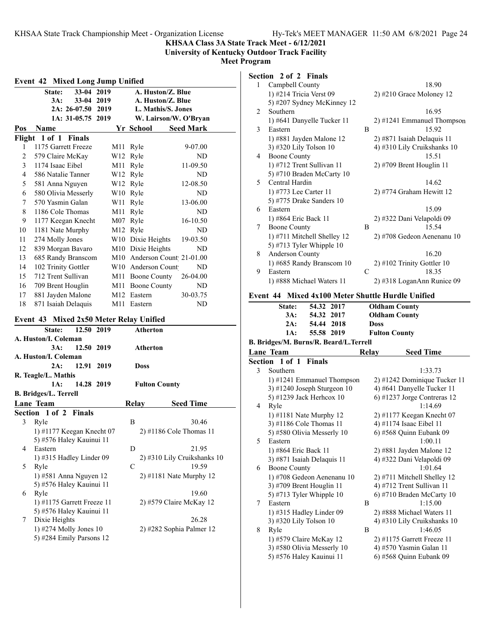**KHSAA Class 3A State Track Meet - 6/12/2021**

**University of Kentucky Outdoor Track Facility**

**Meet Program**

|             | 33-04 2019<br>State:<br>33-04 2019<br>3A:                         |                             | A. Huston/Z. Blue<br>A. Huston/Z. Blue |
|-------------|-------------------------------------------------------------------|-----------------------------|----------------------------------------|
|             | 2A: 26-07.50 2019                                                 |                             | L. Mathis/S. Jones                     |
|             | 1A: 31-05.75 2019                                                 |                             | W. Lairson/W. O'Bryan                  |
| Pos         | <b>Name</b>                                                       | Yr School                   | <b>Seed Mark</b>                       |
|             | Flight 1 of 1 Finals                                              |                             |                                        |
| 1           | 1175 Garrett Freeze                                               | M <sub>11</sub> Ryle        | 9-07.00                                |
| 2           | 579 Claire McKay                                                  | W <sub>12</sub> Ryle        | ND.                                    |
| 3           | 1174 Isaac Eibel                                                  | M11 Ryle                    | 11-09.50                               |
| 4           | 586 Natalie Tanner                                                | W12 Ryle                    | ND                                     |
| 5           | 581 Anna Nguyen                                                   | W <sub>12</sub> Ryle        | 12-08.50                               |
| 6           | 580 Olivia Messerly                                               | W <sub>10</sub> Ryle        | ND                                     |
| 7           | 570 Yasmin Galan                                                  | W <sub>11</sub> Ryle        | 13-06.00                               |
| 8           | 1186 Cole Thomas                                                  | M <sub>11</sub> Ryle        | ND                                     |
| 9           | 1177 Keegan Knecht                                                | M07 Ryle                    | 16-10.50                               |
| 10          | 1181 Nate Murphy                                                  | M12 Ryle                    | ND                                     |
| 11          | 274 Molly Jones                                                   | W10 Dixie Heights           | 19-03.50                               |
| 12          | 839 Morgan Bavaro                                                 | M10 Dixie Heights           | ND                                     |
| 13          | 685 Randy Branscom                                                |                             | M10 Anderson Count 21-01.00            |
| 14          | 102 Trinity Gottler                                               | W10 Anderson Count          | ND                                     |
| 15          | 712 Trent Sullivan                                                | M11 Boone County            | 26-04.00                               |
| 16          | 709 Brent Houglin                                                 | M11 Boone County            | ND                                     |
| 17          | 881 Jayden Malone                                                 | M12 Eastern                 | 30-03.75                               |
| 18          | 871 Isaiah Delaquis                                               | M11 Eastern                 | ND                                     |
|             | 12.50 2019<br>State:<br>A. Huston/I. Coleman<br>12.50 2019<br>3A: | <b>Atherton</b><br>Atherton |                                        |
|             | A. Huston/I. Coleman                                              |                             |                                        |
|             | 12.91 2019<br>2A:                                                 | <b>Doss</b>                 |                                        |
|             | R. Teagle/L. Mathis                                               |                             |                                        |
|             | 1A:<br>14.28 2019                                                 | <b>Fulton County</b>        |                                        |
|             |                                                                   |                             |                                        |
|             | <b>B. Bridges/L. Terrell</b>                                      |                             |                                        |
|             | <b>Lane Team</b>                                                  | <b>Relay</b>                | <b>Seed Time</b>                       |
|             | Section 1 of 2 Finals                                             |                             |                                        |
|             | Ryle                                                              | B                           | 30.46                                  |
|             | 1) #1177 Keegan Knecht 07                                         |                             | 2) #1186 Cole Thomas 11                |
| 3           | 5) #576 Haley Kauinui 11                                          |                             |                                        |
|             | Eastern                                                           | D                           | 21.95                                  |
|             | 1) #315 Hadley Linder $09$                                        |                             |                                        |
|             | Ryle                                                              | C                           | 19.59                                  |
|             | 1) #581 Anna Nguyen 12                                            |                             | $2)$ #1181 Nate Murphy 12              |
|             | 5) #576 Haley Kauinui 11                                          |                             |                                        |
|             | Ryle                                                              |                             | 2) #310 Lily Cruikshanks 10<br>19.60   |
| 4<br>5<br>6 | 1) #1175 Garrett Freeze 11                                        |                             | 2) #579 Claire McKay 12                |
|             | 5) #576 Haley Kauinui 11                                          |                             |                                        |
| 7           | Dixie Heights<br>1) #274 Molly Jones 10                           |                             | 26.28<br>2) #282 Sophia Palmer 12      |

# **Section 2 of 2 Finals**

|                | Secuon 2 oi 2 finais                                 |                              |  |  |  |  |
|----------------|------------------------------------------------------|------------------------------|--|--|--|--|
| 1              | Campbell County                                      | 18.90                        |  |  |  |  |
|                | 1) #214 Tricia Verst 09                              | $2)$ #210 Grace Moloney 12   |  |  |  |  |
|                | 5) #207 Sydney McKinney 12                           |                              |  |  |  |  |
| $\overline{c}$ | Southern                                             | 16.95                        |  |  |  |  |
|                | 1) #641 Danyelle Tucker 11                           | 2) #1241 Emmanuel Thompson   |  |  |  |  |
| 3              | Eastern                                              | 15.92<br>B                   |  |  |  |  |
|                | 1) #881 Jayden Malone 12                             | 2) #871 Isaiah Delaquis 11   |  |  |  |  |
|                | 3) #320 Lily Tolson 10                               | 4) #310 Lily Cruikshanks 10  |  |  |  |  |
| 4              | <b>Boone County</b>                                  | 15.51                        |  |  |  |  |
|                | 1) #712 Trent Sullivan 11                            | 2) #709 Brent Houglin 11     |  |  |  |  |
|                | 5) #710 Braden McCarty 10                            |                              |  |  |  |  |
| 5              | Central Hardin                                       | 14.62                        |  |  |  |  |
|                | 1) #773 Lee Carter 11                                | 2) #774 Graham Hewitt 12     |  |  |  |  |
|                | 5) #775 Drake Sanders 10                             |                              |  |  |  |  |
| 6              | Eastern                                              | 15.09                        |  |  |  |  |
|                | 1) #864 Eric Back 11                                 | 2) #322 Dani Velapoldi 09    |  |  |  |  |
| 7              | <b>Boone County</b>                                  | B<br>15.54                   |  |  |  |  |
|                | 1) #711 Mitchell Shelley 12                          | 2) #708 Gedeon Aenenanu 10   |  |  |  |  |
|                | 5) #713 Tyler Whipple $10$                           |                              |  |  |  |  |
| 8              | Anderson County                                      | 16.20                        |  |  |  |  |
|                | 1) #685 Randy Branscom 10                            | 2) #102 Trinity Gottler 10   |  |  |  |  |
| 9              | Eastern                                              | $\overline{C}$<br>18.35      |  |  |  |  |
|                | 1) #888 Michael Waters 11                            | $2)$ #318 LoganAnn Runice 09 |  |  |  |  |
|                | Mixed 4x100 Meter Shuttle Hurdle Unified<br>Event 44 |                              |  |  |  |  |
|                | 54.32<br>2017<br><b>State:</b>                       | <b>Oldham County</b>         |  |  |  |  |
|                | 3A:<br>54.32<br>2017                                 | <b>Oldham County</b>         |  |  |  |  |
|                | 2A:<br>54.44<br>2018                                 | Doss                         |  |  |  |  |
|                | 55.58 2019<br>1A:                                    | <b>Fulton County</b>         |  |  |  |  |
|                | B. Bridges/M. Burns/R. Beard/L.Terrell               |                              |  |  |  |  |
|                | <b>Lane Team</b>                                     | Relay<br><b>Seed Time</b>    |  |  |  |  |
| Section        | 1 of 1<br><b>Finals</b>                              |                              |  |  |  |  |
| 3              | Southern                                             | 1:33.73                      |  |  |  |  |
|                | 1) #1241 Emmanuel Thompson                           | 2) #1242 Dominique Tucker 11 |  |  |  |  |
|                | 3) #1240 Joseph Sturgeon 10                          | 4) #641 Danyelle Tucker 11   |  |  |  |  |
|                | 5) #1239 Jack Herhcox 10                             | 6) #1237 Jorge Contreras 12  |  |  |  |  |
| 4              | Ryle                                                 | 1:14.69                      |  |  |  |  |

|   | 3) #1240 Joseph Sturgeon $10$ |   | 4) #641 Danyelle Tucker 11     |
|---|-------------------------------|---|--------------------------------|
|   | 5) #1239 Jack Herhcox 10      |   | $(6)$ #1237 Jorge Contreras 12 |
| 4 | Ryle                          |   | 1:14.69                        |
|   | 1) #1181 Nate Murphy 12       |   | $2)$ #1177 Keegan Knecht 07    |
|   | 3) #1186 Cole Thomas 11       |   | 4) #1174 Isaac Eibel 11        |
|   | 5) #580 Olivia Messerly 10    |   | 6) #568 Quinn Eubank 09        |
| 5 | Eastern                       |   | 1:00.11                        |
|   | 1) #864 Eric Back 11          |   | 2) #881 Jayden Malone 12       |
|   | 3) #871 Isaiah Delaquis 11    |   | 4) #322 Dani Velapoldi 09      |
| 6 | <b>Boone County</b>           |   | 1:01.64                        |
|   | 1) #708 Gedeon Aenenanu 10    |   | 2) #711 Mitchell Shelley 12    |
|   | 3) #709 Brent Houglin 11      |   | 4) #712 Trent Sullivan 11      |
|   | 5) #713 Tyler Whipple $10$    |   | $(6)$ #710 Braden McCarty 10   |
| 7 | Eastern                       | B | 1:15.00                        |
|   | 1) #315 Hadley Linder 09      |   | 2) #888 Michael Waters 11      |
|   | 3) #320 Lily Tolson 10        |   | 4) #310 Lily Cruikshanks 10    |
| 8 | Ryle                          | B | 1:46.05                        |
|   | 1) #579 Claire McKay 12       |   | $2)$ #1175 Garrett Freeze 11   |
|   | 3) #580 Olivia Messerly 10    |   | 4) #570 Yasmin Galan 11        |
|   | 5) #576 Haley Kauinui 11      |   | 6) #568 Quinn Eubank 09        |